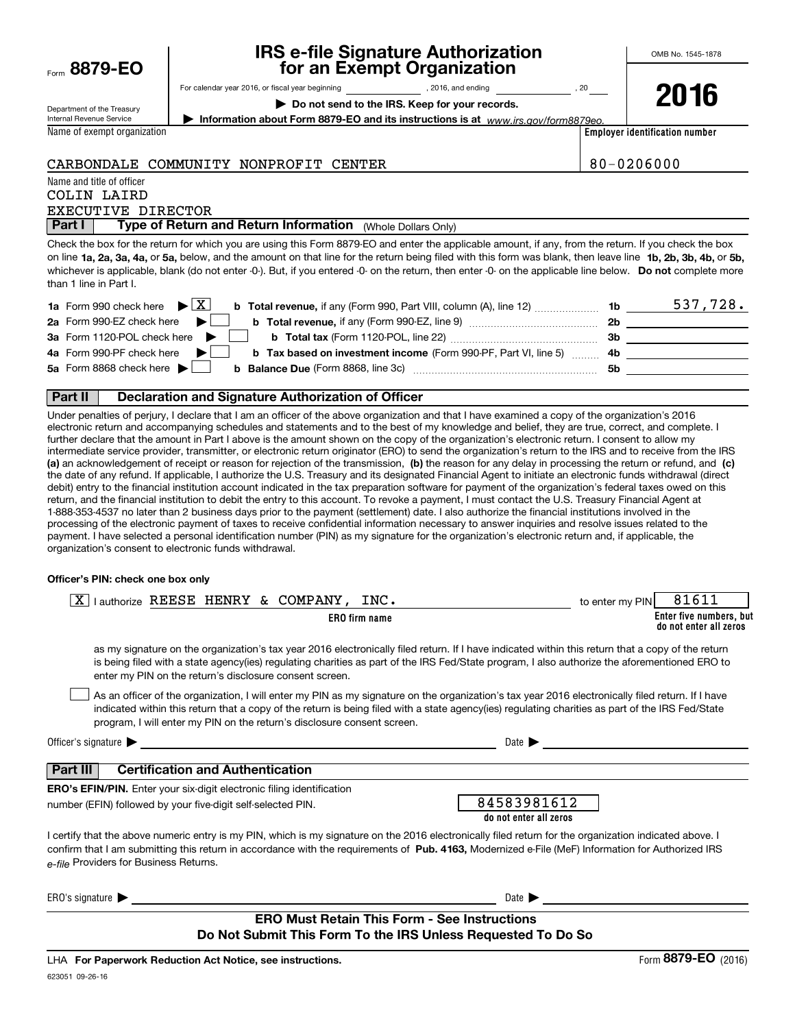| Form 8879-EO |  |
|--------------|--|
|              |  |

# **IRS e-file Signature Authorization for an Exempt Organization**

OMB No. 1545-1878

**2016**

Department of the Treasury Internal Revenue Service

For calendar year 2016, or fiscal year beginning and the state of the state of the state of the state of the state of the state of the state of the state of the state of the state of the state of the state of the state of

**| Do not send to the IRS. Keep for your records.**

**| Information about Form 8879-EO and its instructions is at**  *www.irs.gov/form8879eo.*

**Employer identification number**

Name of exempt organization

CARBONDALE COMMUNITY NONPROFIT CENTER  $|80-0206000$ 

Name and title of officer EXECUTIVE DIRECTOR COLIN LAIRD

**Part I** | Type of Return and Return Information (Whole Dollars Only)

on line **1a, 2a, 3a, 4a,** or **5a,** below, and the amount on that line for the return being filed with this form was blank, then leave line **1b, 2b, 3b, 4b,** or **5b,** whichever is applicable, blank (do not enter -0-). But, if you entered -0- on the return, then enter -0- on the applicable line below. **Do not** complete more Check the box for the return for which you are using this Form 8879-EO and enter the applicable amount, if any, from the return. If you check the box than 1 line in Part I.

| <b>1a</b> Form 990 check here $\blacktriangleright \begin{bmatrix} X \end{bmatrix}$                                          | -1b | 537,728. |
|------------------------------------------------------------------------------------------------------------------------------|-----|----------|
| 2a Form 990-EZ check here $\blacktriangleright$<br><b>b</b> Total revenue, if any (Form 990-EZ, line 9)                      | 2b  |          |
| 3a Form 1120-POL check here $\blacktriangleright$ $\Box$                                                                     | Зb  |          |
| 4a Form 990-PF check here $\blacktriangleright$<br><b>b</b> Tax based on investment income (Form 990-PF, Part VI, line 5) 4b |     |          |
| 5a Form 8868 check here $\blacktriangleright$                                                                                | 5b  |          |
|                                                                                                                              |     |          |

## **Part II Declaration and Signature Authorization of Officer**

**(a)** an acknowledgement of receipt or reason for rejection of the transmission, (b) the reason for any delay in processing the return or refund, and (c) Under penalties of perjury, I declare that I am an officer of the above organization and that I have examined a copy of the organization's 2016 electronic return and accompanying schedules and statements and to the best of my knowledge and belief, they are true, correct, and complete. I further declare that the amount in Part I above is the amount shown on the copy of the organization's electronic return. I consent to allow my intermediate service provider, transmitter, or electronic return originator (ERO) to send the organization's return to the IRS and to receive from the IRS the date of any refund. If applicable, I authorize the U.S. Treasury and its designated Financial Agent to initiate an electronic funds withdrawal (direct debit) entry to the financial institution account indicated in the tax preparation software for payment of the organization's federal taxes owed on this return, and the financial institution to debit the entry to this account. To revoke a payment, I must contact the U.S. Treasury Financial Agent at 1-888-353-4537 no later than 2 business days prior to the payment (settlement) date. I also authorize the financial institutions involved in the processing of the electronic payment of taxes to receive confidential information necessary to answer inquiries and resolve issues related to the payment. I have selected a personal identification number (PIN) as my signature for the organization's electronic return and, if applicable, the organization's consent to electronic funds withdrawal.

### **Officer's PIN: check one box only**

| lauthorize REESE HENRY & COMPANY, INC.<br>X                                                                                                                                                                                                                                                                                                                                      | to enter my PIN | 81611                                             |
|----------------------------------------------------------------------------------------------------------------------------------------------------------------------------------------------------------------------------------------------------------------------------------------------------------------------------------------------------------------------------------|-----------------|---------------------------------------------------|
| <b>ERO</b> firm name                                                                                                                                                                                                                                                                                                                                                             |                 | Enter five numbers, but<br>do not enter all zeros |
| as my signature on the organization's tax year 2016 electronically filed return. If I have indicated within this return that a copy of the return<br>is being filed with a state agency(ies) regulating charities as part of the IRS Fed/State program, I also authorize the aforementioned ERO to<br>enter my PIN on the return's disclosure consent screen.                    |                 |                                                   |
| As an officer of the organization, I will enter my PIN as my signature on the organization's tax year 2016 electronically filed return. If I have<br>indicated within this return that a copy of the return is being filed with a state agency(ies) regulating charities as part of the IRS Fed/State<br>program, I will enter my PIN on the return's disclosure consent screen. |                 |                                                   |
| Officer's signature $\blacktriangleright$<br>Date $\blacktriangleright$<br><u> 1989 - Johann Stein, marwolaethau a bhann an t-Amhair an t-Amhair an t-Amhair an t-Amhair an t-Amhair an t-A</u>                                                                                                                                                                                  |                 |                                                   |
| <b>Certification and Authentication</b><br>Part III                                                                                                                                                                                                                                                                                                                              |                 |                                                   |
| <b>ERO's EFIN/PIN.</b> Enter your six-digit electronic filing identification<br>84583981612<br>number (EFIN) followed by your five-digit self-selected PIN.<br>do not enter all zeros                                                                                                                                                                                            |                 |                                                   |
| I certify that the above numeric entry is my PIN, which is my signature on the 2016 electronically filed return for the organization indicated above. I<br>confirm that I am submitting this return in accordance with the requirements of Pub. 4163, Modernized e-File (MeF) Information for Authorized IRS<br>e-file Providers for Business Returns.                           |                 |                                                   |
| ERO's signature<br>Date $\blacktriangleright$                                                                                                                                                                                                                                                                                                                                    |                 |                                                   |
| <b>ERO Must Retain This Form - See Instructions</b><br>Do Not Submit This Form To the IRS Unless Requested To Do So                                                                                                                                                                                                                                                              |                 |                                                   |

LHA For Paperwork Reduction Act Notice, see instructions.

623051 09-26-16

Form (2016) **8879-EO**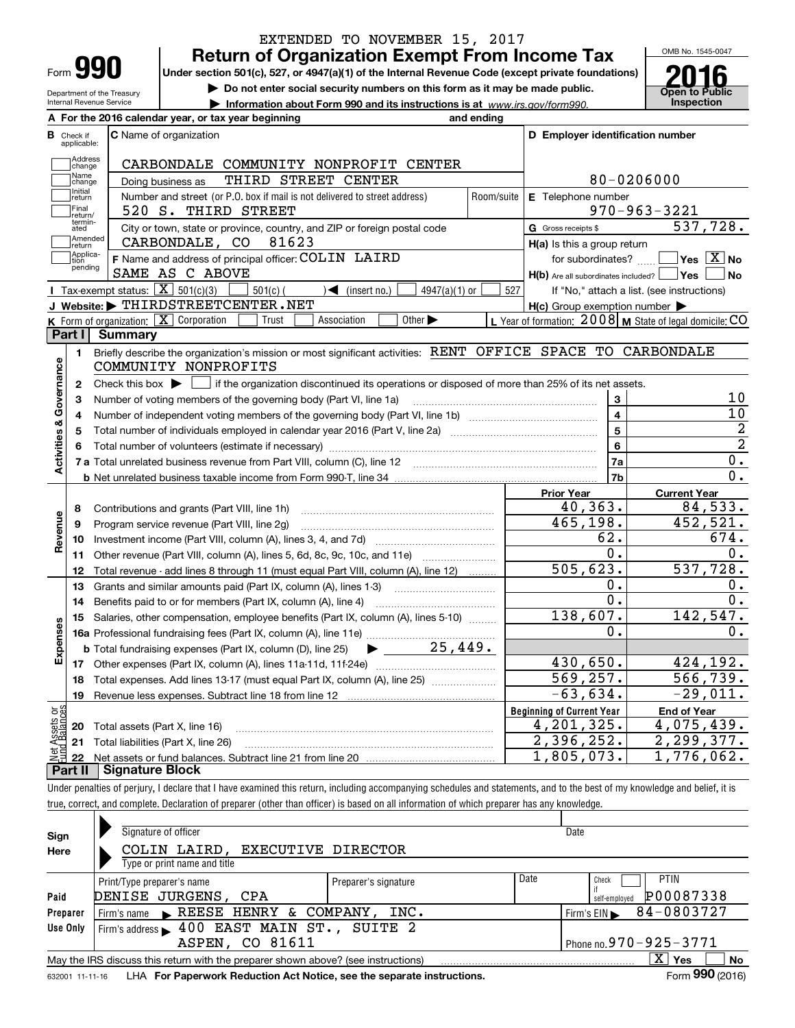|                                                                                                                                                                                                                     |                                                   |                                                                 | <b>Return of Organization Exempt From Income Tax</b>                                                        |                                   |                             |                 |                       |                                                     |                         | OMB No. 1545-0047                                             |
|---------------------------------------------------------------------------------------------------------------------------------------------------------------------------------------------------------------------|---------------------------------------------------|-----------------------------------------------------------------|-------------------------------------------------------------------------------------------------------------|-----------------------------------|-----------------------------|-----------------|-----------------------|-----------------------------------------------------|-------------------------|---------------------------------------------------------------|
| Form <b>990</b><br>Under section 501(c), 527, or 4947(a)(1) of the Internal Revenue Code (except private foundations)                                                                                               |                                                   |                                                                 |                                                                                                             |                                   |                             |                 |                       |                                                     |                         |                                                               |
| Do not enter social security numbers on this form as it may be made public.<br>Department of the Treasury<br>Internal Revenue Service<br>Information about Form 990 and its instructions is at www.irs.gov/form990. |                                                   |                                                                 |                                                                                                             |                                   |                             |                 | <b>Open to Public</b> |                                                     |                         |                                                               |
|                                                                                                                                                                                                                     |                                                   |                                                                 |                                                                                                             |                                   |                             |                 |                       |                                                     |                         | Inspection                                                    |
|                                                                                                                                                                                                                     |                                                   | A For the 2016 calendar year, or tax year beginning             |                                                                                                             |                                   |                             | and ending      |                       |                                                     |                         |                                                               |
| Check if<br>applicable:                                                                                                                                                                                             |                                                   | C Name of organization                                          |                                                                                                             |                                   |                             |                 |                       | D Employer identification number                    |                         |                                                               |
| Address                                                                                                                                                                                                             |                                                   |                                                                 |                                                                                                             |                                   |                             |                 |                       |                                                     |                         |                                                               |
| change<br>Name                                                                                                                                                                                                      |                                                   |                                                                 | CARBONDALE COMMUNITY NONPROFIT CENTER<br>THIRD STREET CENTER                                                |                                   |                             |                 |                       |                                                     | 80-0206000              |                                                               |
| change<br>Initial                                                                                                                                                                                                   |                                                   | Doing business as                                               |                                                                                                             |                                   |                             |                 |                       |                                                     |                         |                                                               |
| return<br>Final                                                                                                                                                                                                     |                                                   | 520 S. THIRD STREET                                             | Number and street (or P.O. box if mail is not delivered to street address)                                  |                                   |                             |                 | Room/suite            | E Telephone number                                  |                         | $970 - 963 - 3221$                                            |
| return/<br>termin-                                                                                                                                                                                                  |                                                   |                                                                 |                                                                                                             |                                   |                             |                 |                       |                                                     |                         | 537,728.                                                      |
| ated<br>Amended                                                                                                                                                                                                     |                                                   | CARBONDALE, CO 81623                                            | City or town, state or province, country, and ZIP or foreign postal code                                    |                                   |                             |                 |                       | G Gross receipts \$                                 |                         |                                                               |
| return<br>Applica-                                                                                                                                                                                                  |                                                   |                                                                 | F Name and address of principal officer: COLIN LAIRD                                                        |                                   |                             |                 |                       | H(a) Is this a group return                         |                         | $\sqrt{}$ Yes $\sqrt{}$ X $\sqrt{}$ No                        |
| tion<br>pending                                                                                                                                                                                                     |                                                   | SAME AS C ABOVE                                                 |                                                                                                             |                                   |                             |                 |                       |                                                     | for subordinates?       |                                                               |
|                                                                                                                                                                                                                     | Tax-exempt status: $\boxed{\mathbf{X}}$ 501(c)(3) |                                                                 |                                                                                                             |                                   |                             |                 | 527                   |                                                     |                         | $H(b)$ Are all subordinates included? $\Box$ Yes<br><b>No</b> |
|                                                                                                                                                                                                                     |                                                   | J Website: FHIRDSTREETCENTER.NET                                | $501(c)$ (                                                                                                  | $\blacktriangleleft$ (insert no.) |                             | $4947(a)(1)$ or |                       |                                                     |                         | If "No," attach a list. (see instructions)                    |
|                                                                                                                                                                                                                     |                                                   | <b>K</b> Form of organization: $\boxed{\mathbf{X}}$ Corporation | Trust                                                                                                       | Association                       | Other $\blacktriangleright$ |                 |                       | $H(c)$ Group exemption number $\blacktriangleright$ |                         | L Year of formation: 2008   M State of legal domicile: CO     |
| Part I                                                                                                                                                                                                              | <b>Summary</b>                                    |                                                                 |                                                                                                             |                                   |                             |                 |                       |                                                     |                         |                                                               |
| 1.                                                                                                                                                                                                                  |                                                   |                                                                 | Briefly describe the organization's mission or most significant activities: RENT OFFICE SPACE TO CARBONDALE |                                   |                             |                 |                       |                                                     |                         |                                                               |
|                                                                                                                                                                                                                     |                                                   | COMMUNITY NONPROFITS                                            |                                                                                                             |                                   |                             |                 |                       |                                                     |                         |                                                               |
| 2                                                                                                                                                                                                                   |                                                   |                                                                 |                                                                                                             |                                   |                             |                 |                       |                                                     |                         |                                                               |
| Check this box $\blacktriangleright$ $\Box$ if the organization discontinued its operations or disposed of more than 25% of its net assets.                                                                         |                                                   |                                                                 |                                                                                                             |                                   |                             |                 |                       |                                                     |                         |                                                               |
|                                                                                                                                                                                                                     |                                                   |                                                                 |                                                                                                             |                                   |                             |                 |                       |                                                     |                         |                                                               |
| з                                                                                                                                                                                                                   |                                                   |                                                                 | Number of voting members of the governing body (Part VI, line 1a)                                           |                                   |                             |                 |                       |                                                     | 3                       | 10                                                            |
| 4                                                                                                                                                                                                                   |                                                   |                                                                 |                                                                                                             |                                   |                             |                 |                       |                                                     | $\overline{\mathbf{4}}$ |                                                               |
| 5                                                                                                                                                                                                                   |                                                   |                                                                 |                                                                                                             |                                   |                             |                 |                       |                                                     | $\overline{5}$          | 10                                                            |
|                                                                                                                                                                                                                     |                                                   |                                                                 |                                                                                                             |                                   |                             |                 |                       |                                                     | $6\phantom{a}$          |                                                               |
|                                                                                                                                                                                                                     |                                                   |                                                                 |                                                                                                             |                                   |                             |                 |                       |                                                     | <b>7a</b>               | $\overline{0}$ .                                              |
|                                                                                                                                                                                                                     |                                                   |                                                                 |                                                                                                             |                                   |                             |                 |                       |                                                     | 7b                      |                                                               |
|                                                                                                                                                                                                                     |                                                   |                                                                 |                                                                                                             |                                   |                             |                 |                       | <b>Prior Year</b>                                   |                         | <b>Current Year</b>                                           |
| 8                                                                                                                                                                                                                   |                                                   | Contributions and grants (Part VIII, line 1h)                   |                                                                                                             |                                   |                             |                 |                       |                                                     | 40,363.                 |                                                               |
| 9                                                                                                                                                                                                                   |                                                   | Program service revenue (Part VIII, line 2g)                    |                                                                                                             |                                   |                             |                 |                       | 465,198.                                            |                         |                                                               |
| 10                                                                                                                                                                                                                  |                                                   |                                                                 |                                                                                                             |                                   |                             |                 |                       |                                                     | 62.<br>0.               |                                                               |
| 11                                                                                                                                                                                                                  |                                                   |                                                                 | Other revenue (Part VIII, column (A), lines 5, 6d, 8c, 9c, 10c, and 11e)                                    |                                   |                             |                 |                       |                                                     |                         | $\overline{0}$ .<br>84,533.<br>452,521.<br>674.<br>0.         |
| 12                                                                                                                                                                                                                  |                                                   |                                                                 | Total revenue - add lines 8 through 11 (must equal Part VIII, column (A), line 12)                          |                                   |                             |                 |                       | 505,623.                                            |                         | 537,728.                                                      |
| 13                                                                                                                                                                                                                  |                                                   |                                                                 | Grants and similar amounts paid (Part IX, column (A), lines 1-3)                                            |                                   |                             |                 |                       |                                                     | 0.                      |                                                               |
| 14                                                                                                                                                                                                                  |                                                   |                                                                 | Benefits paid to or for members (Part IX, column (A), line 4)                                               |                                   |                             |                 |                       |                                                     | 0.                      | 0.<br>0.                                                      |
| 15                                                                                                                                                                                                                  |                                                   |                                                                 | Salaries, other compensation, employee benefits (Part IX, column (A), lines 5-10)                           |                                   |                             |                 |                       | 138,607.                                            |                         | 142,547.                                                      |
|                                                                                                                                                                                                                     |                                                   |                                                                 |                                                                                                             |                                   |                             |                 |                       |                                                     | 0.                      | 0.                                                            |
|                                                                                                                                                                                                                     |                                                   |                                                                 | 15 Salaries, onto compensation of the Carl IX, column (A), line 11e) $\frac{25,449.}{25,449.}$              |                                   |                             |                 |                       |                                                     |                         |                                                               |
|                                                                                                                                                                                                                     |                                                   |                                                                 |                                                                                                             |                                   |                             |                 |                       | 430,650.                                            |                         | 424, 192.                                                     |
| 18                                                                                                                                                                                                                  |                                                   |                                                                 | Total expenses. Add lines 13-17 (must equal Part IX, column (A), line 25)                                   |                                   |                             |                 |                       | 569,257.                                            |                         | 566,739.                                                      |
| 19                                                                                                                                                                                                                  |                                                   |                                                                 | Revenue less expenses. Subtract line 18 from line 12                                                        |                                   |                             |                 |                       | $\overline{-6}3,634$ .                              |                         | $-29,011.$                                                    |
| Activities & Governance<br>Revenue<br>Expenses                                                                                                                                                                      |                                                   |                                                                 |                                                                                                             |                                   |                             |                 |                       | <b>Beginning of Current Year</b>                    |                         | <b>End of Year</b>                                            |
| 20                                                                                                                                                                                                                  | Total assets (Part X, line 16)                    |                                                                 |                                                                                                             |                                   |                             |                 |                       | 4,201,325.                                          |                         | 4,075,439.                                                    |
| Net Assets or<br>Fund Balances<br>21<br>22                                                                                                                                                                          |                                                   | Total liabilities (Part X, line 26)                             |                                                                                                             |                                   |                             |                 |                       | 2,396,252.<br>$\overline{1}$ , 805, 073.            |                         | $\overline{2}$ , 299, 377.<br>1,776,062.                      |

true, correct, and complete. Declaration of preparer (other than officer) is based on all information of which preparer has any knowledge.

| Sign            | Signature of officer                                                                                                  |                      |      | Date                       |  |  |  |
|-----------------|-----------------------------------------------------------------------------------------------------------------------|----------------------|------|----------------------------|--|--|--|
| Here            | COLIN LAIRD, EXECUTIVE DIRECTOR                                                                                       |                      |      |                            |  |  |  |
|                 | Type or print name and title                                                                                          |                      |      |                            |  |  |  |
|                 | Print/Type preparer's name                                                                                            | Preparer's signature | Date | <b>PTIN</b><br>Check       |  |  |  |
| Paid            | DENISE JURGENS, CPA                                                                                                   |                      |      | P00087338<br>self-emploved |  |  |  |
| Preparer        | Firm's name REESE HENRY & COMPANY,                                                                                    | INC.                 |      | 84-0803727<br>Firm's $EIN$ |  |  |  |
| Use Only        | Firm's address 100 EAST MAIN ST., SUITE 2                                                                             |                      |      |                            |  |  |  |
|                 | ASPEN, CO 81611                                                                                                       |                      |      | Phone no. 970 - 925 - 3771 |  |  |  |
|                 | $\mathbf{X}$<br><b>No</b><br>Yes<br>May the IRS discuss this return with the preparer shown above? (see instructions) |                      |      |                            |  |  |  |
| 632001 11-11-16 | LHA For Paperwork Reduction Act Notice, see the separate instructions.                                                |                      |      | Form 990 (2016)            |  |  |  |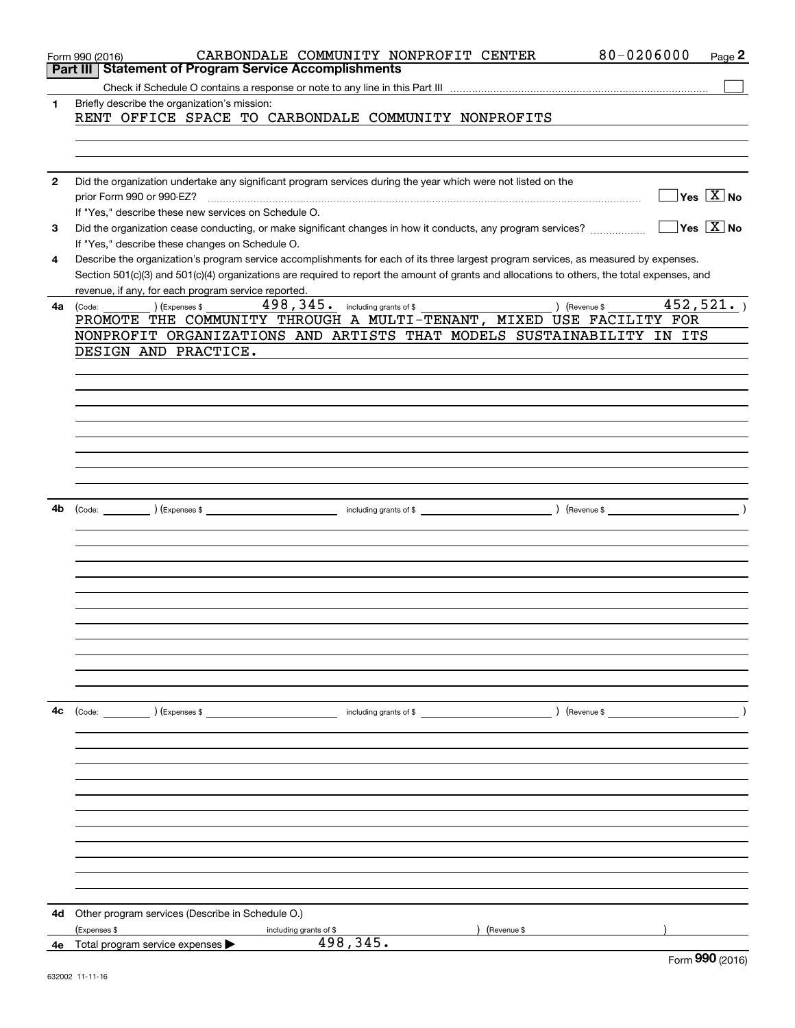|              | 80-0206000<br>CARBONDALE COMMUNITY NONPROFIT CENTER<br>Page 2<br>Form 990 (2016)                                                                       |
|--------------|--------------------------------------------------------------------------------------------------------------------------------------------------------|
|              | Part III   Statement of Program Service Accomplishments                                                                                                |
|              |                                                                                                                                                        |
| 1            | Briefly describe the organization's mission:                                                                                                           |
|              | RENT OFFICE SPACE TO CARBONDALE COMMUNITY NONPROFITS                                                                                                   |
|              |                                                                                                                                                        |
|              |                                                                                                                                                        |
|              |                                                                                                                                                        |
|              |                                                                                                                                                        |
| $\mathbf{2}$ | Did the organization undertake any significant program services during the year which were not listed on the                                           |
|              | $\sqrt{}$ Yes $\sqrt{}$ X $\sqrt{}$ No<br>prior Form 990 or 990-EZ?                                                                                    |
|              | If "Yes," describe these new services on Schedule O.                                                                                                   |
| 3            | $\sqrt{}$ Yes $\sqrt{}$ X $\sqrt{}$ No<br>Did the organization cease conducting, or make significant changes in how it conducts, any program services? |
|              | If "Yes," describe these changes on Schedule O.                                                                                                        |
| 4            | Describe the organization's program service accomplishments for each of its three largest program services, as measured by expenses.                   |
|              | Section 501(c)(3) and 501(c)(4) organizations are required to report the amount of grants and allocations to others, the total expenses, and           |
|              | revenue, if any, for each program service reported.                                                                                                    |
| 4a           | 452, 521.<br>498, 345. including grants of \$<br>) (Revenue \$<br>(Code: ) (Expenses \$                                                                |
|              | PROMOTE THE COMMUNITY THROUGH A MULTI-TENANT, MIXED USE FACILITY FOR                                                                                   |
|              | NONPROFIT ORGANIZATIONS AND ARTISTS THAT MODELS SUSTAINABILITY IN ITS                                                                                  |
|              |                                                                                                                                                        |
|              | DESIGN AND PRACTICE.                                                                                                                                   |
|              |                                                                                                                                                        |
|              |                                                                                                                                                        |
|              |                                                                                                                                                        |
|              |                                                                                                                                                        |
|              |                                                                                                                                                        |
|              |                                                                                                                                                        |
|              |                                                                                                                                                        |
|              |                                                                                                                                                        |
|              |                                                                                                                                                        |
|              |                                                                                                                                                        |
| 4b           | including grants of \$<br>$\left(\text{Code:}\ \_\_\_\_\_\_\_\\right)$ $\left(\text{Expenses $}\ \!\!\!\!\right)$<br>) (Revenue \$                     |
|              |                                                                                                                                                        |
|              |                                                                                                                                                        |
|              |                                                                                                                                                        |
|              |                                                                                                                                                        |
|              |                                                                                                                                                        |
|              |                                                                                                                                                        |
|              |                                                                                                                                                        |
|              |                                                                                                                                                        |
|              |                                                                                                                                                        |
|              |                                                                                                                                                        |
|              |                                                                                                                                                        |
|              |                                                                                                                                                        |
|              |                                                                                                                                                        |
|              |                                                                                                                                                        |
| 4c           |                                                                                                                                                        |
|              |                                                                                                                                                        |
|              |                                                                                                                                                        |
|              |                                                                                                                                                        |
|              |                                                                                                                                                        |
|              |                                                                                                                                                        |
|              |                                                                                                                                                        |
|              |                                                                                                                                                        |
|              |                                                                                                                                                        |
|              |                                                                                                                                                        |
|              |                                                                                                                                                        |
|              |                                                                                                                                                        |
|              |                                                                                                                                                        |
|              |                                                                                                                                                        |
|              |                                                                                                                                                        |
| 4d           | Other program services (Describe in Schedule O.)                                                                                                       |
|              | (Expenses \$<br>(Revenue \$<br>including grants of \$                                                                                                  |
| 4e           | 498,345.<br>Total program service expenses<br>$000 \text{ years}$                                                                                      |
|              |                                                                                                                                                        |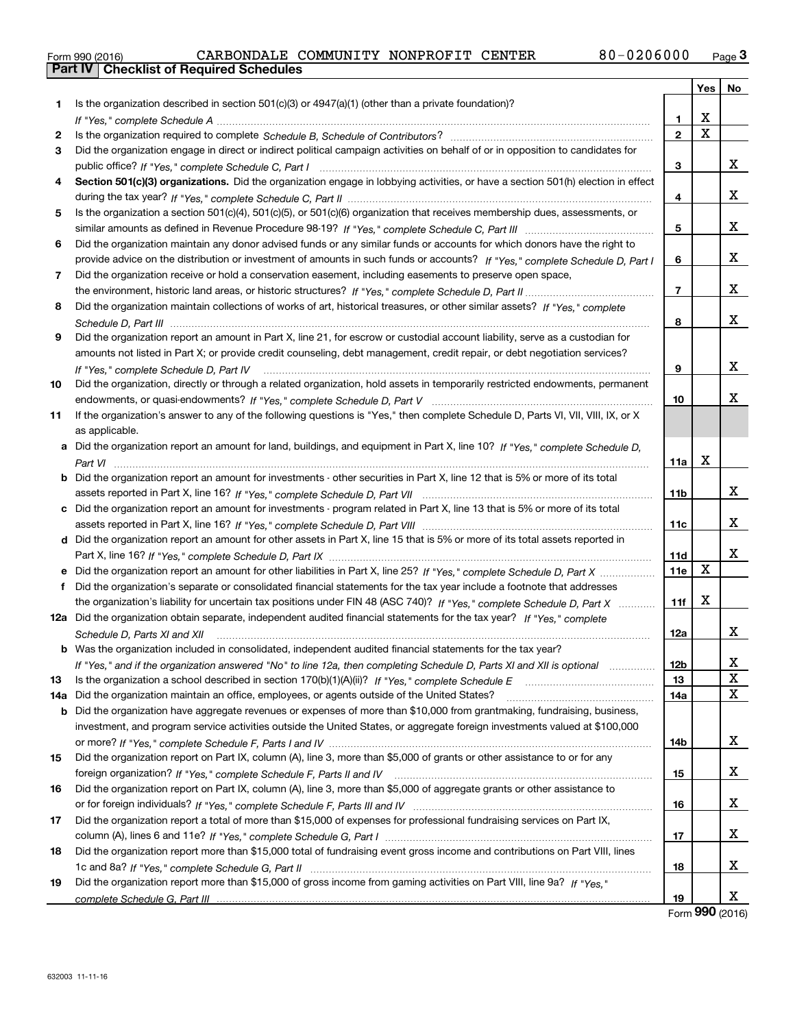|  | Form 990 (2016) |  |
|--|-----------------|--|

|     |                                                                                                                                      |                | Yes                     | No          |
|-----|--------------------------------------------------------------------------------------------------------------------------------------|----------------|-------------------------|-------------|
| 1   | Is the organization described in section $501(c)(3)$ or $4947(a)(1)$ (other than a private foundation)?                              |                |                         |             |
|     |                                                                                                                                      | 1              | X                       |             |
| 2   | Is the organization required to complete Schedule B, Schedule of Contributors?                                                       | $\overline{2}$ | $\overline{\mathbf{x}}$ |             |
| 3   | Did the organization engage in direct or indirect political campaign activities on behalf of or in opposition to candidates for      |                |                         |             |
|     |                                                                                                                                      | 3              |                         | x           |
| 4   | Section 501(c)(3) organizations. Did the organization engage in lobbying activities, or have a section 501(h) election in effect     |                |                         |             |
|     |                                                                                                                                      | 4              |                         | x           |
| 5   | Is the organization a section 501(c)(4), 501(c)(5), or 501(c)(6) organization that receives membership dues, assessments, or         |                |                         |             |
|     |                                                                                                                                      | 5              |                         | x           |
| 6   | Did the organization maintain any donor advised funds or any similar funds or accounts for which donors have the right to            |                |                         |             |
|     | provide advice on the distribution or investment of amounts in such funds or accounts? If "Yes," complete Schedule D, Part I         | 6              |                         | x           |
| 7   | Did the organization receive or hold a conservation easement, including easements to preserve open space,                            |                |                         |             |
|     |                                                                                                                                      | $\overline{7}$ |                         | x           |
| 8   | Did the organization maintain collections of works of art, historical treasures, or other similar assets? If "Yes," complete         |                |                         |             |
|     |                                                                                                                                      | 8              |                         | x           |
| 9   | Did the organization report an amount in Part X, line 21, for escrow or custodial account liability, serve as a custodian for        |                |                         |             |
|     | amounts not listed in Part X; or provide credit counseling, debt management, credit repair, or debt negotiation services?            |                |                         |             |
|     | If "Yes," complete Schedule D, Part IV                                                                                               | 9              |                         | x           |
| 10  | Did the organization, directly or through a related organization, hold assets in temporarily restricted endowments, permanent        |                |                         |             |
|     |                                                                                                                                      | 10             |                         | x           |
| 11  | If the organization's answer to any of the following questions is "Yes," then complete Schedule D, Parts VI, VIII, VIII, IX, or X    |                |                         |             |
|     | as applicable.                                                                                                                       |                |                         |             |
|     | a Did the organization report an amount for land, buildings, and equipment in Part X, line 10? If "Yes," complete Schedule D,        |                |                         |             |
|     | Part VI                                                                                                                              | 11a            | X                       |             |
|     | <b>b</b> Did the organization report an amount for investments - other securities in Part X, line 12 that is 5% or more of its total |                |                         |             |
|     |                                                                                                                                      | 11b            |                         | x           |
|     | c Did the organization report an amount for investments - program related in Part X, line 13 that is 5% or more of its total         |                |                         |             |
|     |                                                                                                                                      | 11c            |                         | x           |
|     | d Did the organization report an amount for other assets in Part X, line 15 that is 5% or more of its total assets reported in       |                |                         |             |
|     |                                                                                                                                      | 11d            |                         | x           |
|     |                                                                                                                                      | <b>11e</b>     | $\mathbf X$             |             |
| f   | Did the organization's separate or consolidated financial statements for the tax year include a footnote that addresses              |                |                         |             |
|     | the organization's liability for uncertain tax positions under FIN 48 (ASC 740)? If "Yes," complete Schedule D, Part X               | 11f            | X                       |             |
|     | 12a Did the organization obtain separate, independent audited financial statements for the tax year? If "Yes," complete              |                |                         |             |
|     | Schedule D, Parts XI and XII                                                                                                         | 12a            |                         | x           |
|     | <b>b</b> Was the organization included in consolidated, independent audited financial statements for the tax year?                   |                |                         |             |
|     | If "Yes," and if the organization answered "No" to line 12a, then completing Schedule D, Parts XI and XII is optional                | 12b            |                         | Y,          |
| 13  |                                                                                                                                      | 13             |                         | X           |
| 14a | Did the organization maintain an office, employees, or agents outside of the United States?                                          | 14a            |                         | $\mathbf X$ |
|     | <b>b</b> Did the organization have aggregate revenues or expenses of more than \$10,000 from grantmaking, fundraising, business,     |                |                         |             |
|     | investment, and program service activities outside the United States, or aggregate foreign investments valued at \$100,000           |                |                         |             |
|     |                                                                                                                                      | 14b            |                         | x           |
| 15  | Did the organization report on Part IX, column (A), line 3, more than \$5,000 of grants or other assistance to or for any            |                |                         |             |
|     |                                                                                                                                      | 15             |                         | x           |
| 16  | Did the organization report on Part IX, column (A), line 3, more than \$5,000 of aggregate grants or other assistance to             |                |                         |             |
|     |                                                                                                                                      | 16             |                         | x           |
| 17  | Did the organization report a total of more than \$15,000 of expenses for professional fundraising services on Part IX,              |                |                         |             |
|     |                                                                                                                                      | 17             |                         | x           |
| 18  | Did the organization report more than \$15,000 total of fundraising event gross income and contributions on Part VIII, lines         |                |                         |             |
|     |                                                                                                                                      | 18             |                         | x           |
| 19  | Did the organization report more than \$15,000 of gross income from gaming activities on Part VIII, line 9a? If "Yes."               |                |                         |             |
|     |                                                                                                                                      | 19             |                         | X           |
|     |                                                                                                                                      |                |                         |             |

Form (2016) **990**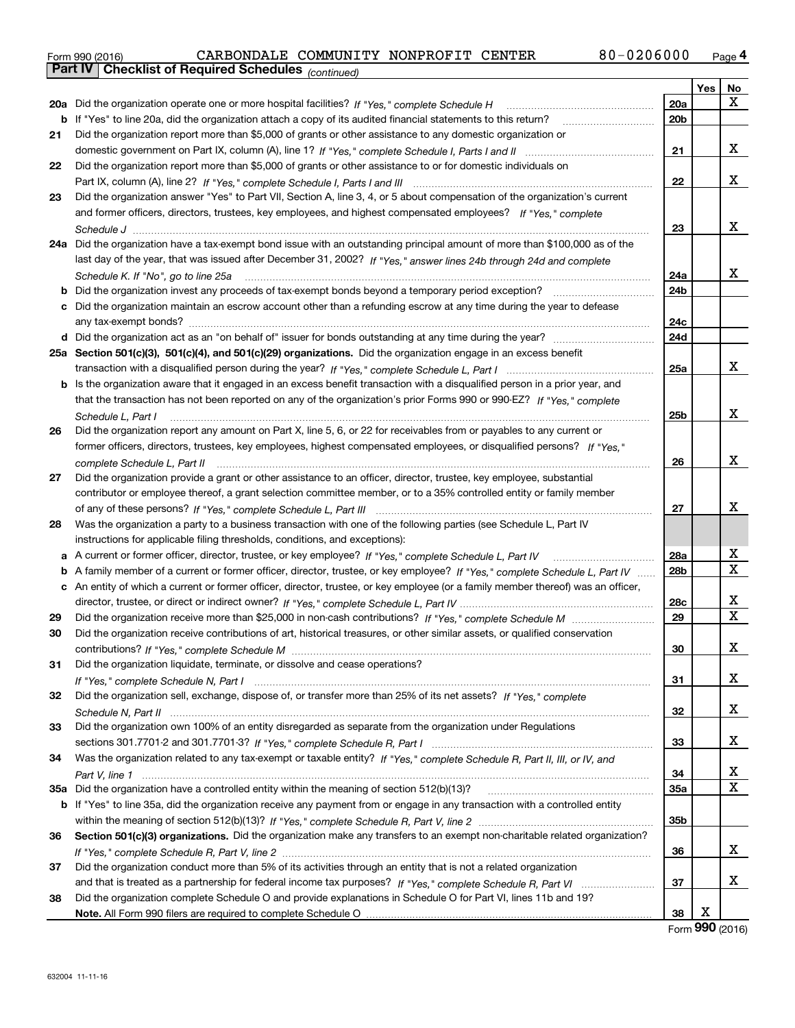| Form 990 (2016) |                                                              |  | CARBONDALE COMMUNITY NONPROFIT CENTER | $80 - 0206000$ | Page 4 |
|-----------------|--------------------------------------------------------------|--|---------------------------------------|----------------|--------|
|                 | <b>Part IV   Checklist of Required Schedules</b> (continued) |  |                                       |                |        |

|    | <b>Part IV</b><br>Criecklist of Required Scriedules (continued)                                                                                                                                                                                                   |                        |     |             |
|----|-------------------------------------------------------------------------------------------------------------------------------------------------------------------------------------------------------------------------------------------------------------------|------------------------|-----|-------------|
|    |                                                                                                                                                                                                                                                                   |                        | Yes | No          |
|    | 20a Did the organization operate one or more hospital facilities? If "Yes," complete Schedule H                                                                                                                                                                   | 20a                    |     | x           |
|    | <b>b</b> If "Yes" to line 20a, did the organization attach a copy of its audited financial statements to this return?                                                                                                                                             | 20 <sub>b</sub>        |     |             |
| 21 | Did the organization report more than \$5,000 of grants or other assistance to any domestic organization or                                                                                                                                                       |                        |     |             |
|    |                                                                                                                                                                                                                                                                   | 21                     |     | x           |
| 22 | Did the organization report more than \$5,000 of grants or other assistance to or for domestic individuals on                                                                                                                                                     |                        |     |             |
|    |                                                                                                                                                                                                                                                                   | 22                     |     | х           |
| 23 | Did the organization answer "Yes" to Part VII, Section A, line 3, 4, or 5 about compensation of the organization's current                                                                                                                                        |                        |     |             |
|    | and former officers, directors, trustees, key employees, and highest compensated employees? If "Yes," complete                                                                                                                                                    |                        |     |             |
|    |                                                                                                                                                                                                                                                                   | 23                     |     | х           |
|    | 24a Did the organization have a tax-exempt bond issue with an outstanding principal amount of more than \$100,000 as of the                                                                                                                                       |                        |     |             |
|    | last day of the year, that was issued after December 31, 2002? If "Yes," answer lines 24b through 24d and complete                                                                                                                                                |                        |     |             |
|    | Schedule K. If "No", go to line 25a                                                                                                                                                                                                                               | 24a                    |     | х           |
|    | <b>b</b> Did the organization invest any proceeds of tax-exempt bonds beyond a temporary period exception?                                                                                                                                                        | 24b                    |     |             |
|    | c Did the organization maintain an escrow account other than a refunding escrow at any time during the year to defease                                                                                                                                            |                        |     |             |
|    | any tax-exempt bonds?                                                                                                                                                                                                                                             | 24c                    |     |             |
|    | d Did the organization act as an "on behalf of" issuer for bonds outstanding at any time during the year?                                                                                                                                                         | 24d                    |     |             |
|    | 25a Section 501(c)(3), 501(c)(4), and 501(c)(29) organizations. Did the organization engage in an excess benefit                                                                                                                                                  |                        |     |             |
|    |                                                                                                                                                                                                                                                                   | 25a                    |     | x           |
|    | b Is the organization aware that it engaged in an excess benefit transaction with a disqualified person in a prior year, and                                                                                                                                      |                        |     |             |
|    | that the transaction has not been reported on any of the organization's prior Forms 990 or 990-EZ? If "Yes," complete                                                                                                                                             |                        |     |             |
|    | Schedule L, Part I                                                                                                                                                                                                                                                | 25b                    |     | х           |
| 26 | Did the organization report any amount on Part X, line 5, 6, or 22 for receivables from or payables to any current or                                                                                                                                             |                        |     |             |
|    | former officers, directors, trustees, key employees, highest compensated employees, or disqualified persons? If "Yes."                                                                                                                                            |                        |     |             |
|    |                                                                                                                                                                                                                                                                   | 26                     |     | х           |
| 27 | Did the organization provide a grant or other assistance to an officer, director, trustee, key employee, substantial                                                                                                                                              |                        |     |             |
|    | contributor or employee thereof, a grant selection committee member, or to a 35% controlled entity or family member                                                                                                                                               |                        |     |             |
|    |                                                                                                                                                                                                                                                                   | 27                     |     | x           |
| 28 | Was the organization a party to a business transaction with one of the following parties (see Schedule L, Part IV                                                                                                                                                 |                        |     |             |
|    |                                                                                                                                                                                                                                                                   |                        |     |             |
|    | instructions for applicable filing thresholds, conditions, and exceptions):                                                                                                                                                                                       |                        |     | х           |
|    | a A current or former officer, director, trustee, or key employee? If "Yes," complete Schedule L, Part IV                                                                                                                                                         | 28a<br>28 <sub>b</sub> |     | $\mathbf X$ |
|    | b A family member of a current or former officer, director, trustee, or key employee? If "Yes," complete Schedule L, Part IV<br>c An entity of which a current or former officer, director, trustee, or key employee (or a family member thereof) was an officer, |                        |     |             |
|    |                                                                                                                                                                                                                                                                   |                        |     | х           |
|    |                                                                                                                                                                                                                                                                   | 28c                    |     | Х           |
| 29 |                                                                                                                                                                                                                                                                   | 29                     |     |             |
| 30 | Did the organization receive contributions of art, historical treasures, or other similar assets, or qualified conservation                                                                                                                                       |                        |     |             |
|    |                                                                                                                                                                                                                                                                   | 30                     |     | х           |
| 31 | Did the organization liquidate, terminate, or dissolve and cease operations?                                                                                                                                                                                      |                        |     |             |
|    |                                                                                                                                                                                                                                                                   | 31                     |     | x           |
| 32 | Did the organization sell, exchange, dispose of, or transfer more than 25% of its net assets? If "Yes," complete                                                                                                                                                  |                        |     |             |
|    |                                                                                                                                                                                                                                                                   | 32                     |     | x           |
| 33 | Did the organization own 100% of an entity disregarded as separate from the organization under Regulations                                                                                                                                                        |                        |     |             |
|    |                                                                                                                                                                                                                                                                   | 33                     |     | х           |
| 34 | Was the organization related to any tax-exempt or taxable entity? If "Yes," complete Schedule R, Part II, III, or IV, and                                                                                                                                         |                        |     |             |
|    |                                                                                                                                                                                                                                                                   | 34                     |     | х           |
|    |                                                                                                                                                                                                                                                                   | <b>35a</b>             |     | х           |
|    | b If "Yes" to line 35a, did the organization receive any payment from or engage in any transaction with a controlled entity                                                                                                                                       |                        |     |             |
|    |                                                                                                                                                                                                                                                                   | 35b                    |     |             |
| 36 | Section 501(c)(3) organizations. Did the organization make any transfers to an exempt non-charitable related organization?                                                                                                                                        |                        |     |             |
|    |                                                                                                                                                                                                                                                                   | 36                     |     | x           |
| 37 | Did the organization conduct more than 5% of its activities through an entity that is not a related organization                                                                                                                                                  |                        |     |             |
|    |                                                                                                                                                                                                                                                                   | 37                     |     | х           |
| 38 | Did the organization complete Schedule O and provide explanations in Schedule O for Part VI, lines 11b and 19?                                                                                                                                                    |                        |     |             |
|    |                                                                                                                                                                                                                                                                   | 38                     | х   |             |

Form (2016) **990**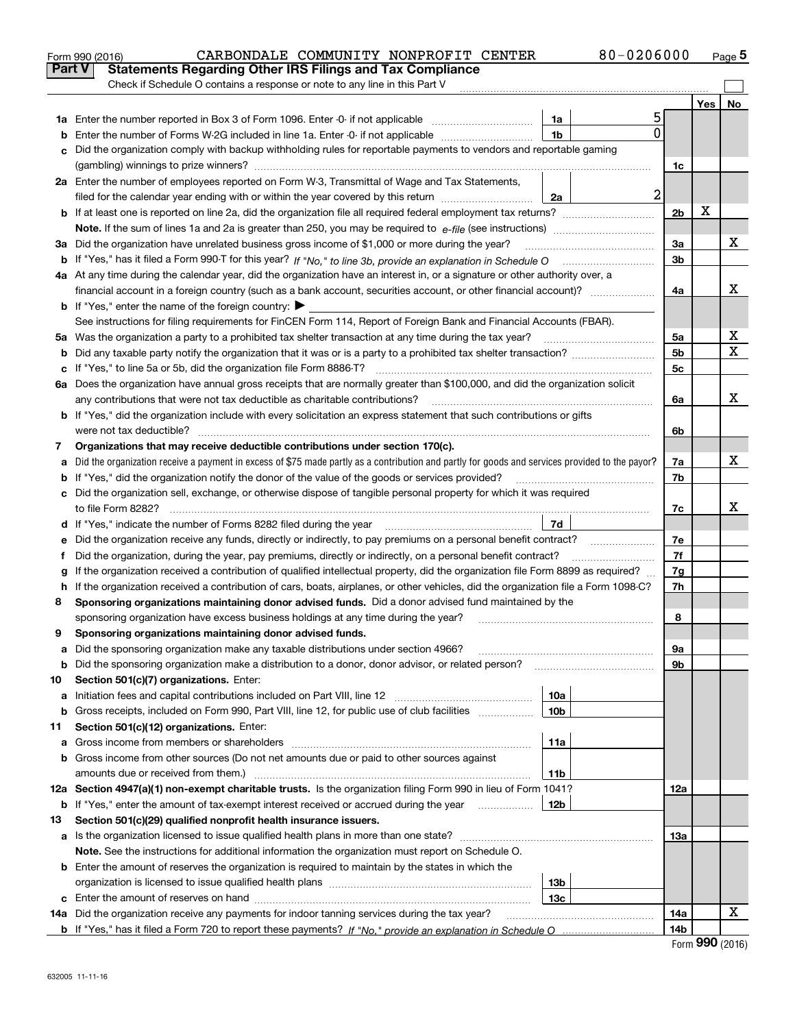|               | CARBONDALE COMMUNITY NONPROFIT CENTER<br>Form 990 (2016)                                                                                                                          |                 | 80-0206000 |                |     | Page $5$ |
|---------------|-----------------------------------------------------------------------------------------------------------------------------------------------------------------------------------|-----------------|------------|----------------|-----|----------|
| <b>Part V</b> | <b>Statements Regarding Other IRS Filings and Tax Compliance</b>                                                                                                                  |                 |            |                |     |          |
|               | Check if Schedule O contains a response or note to any line in this Part V                                                                                                        |                 |            |                |     |          |
|               |                                                                                                                                                                                   |                 |            |                | Yes | No       |
|               |                                                                                                                                                                                   | 1a              | 5          |                |     |          |
| b             | Enter the number of Forms W-2G included in line 1a. Enter -0- if not applicable                                                                                                   | 1 <sub>b</sub>  | 0          |                |     |          |
| c             | Did the organization comply with backup withholding rules for reportable payments to vendors and reportable gaming                                                                |                 |            |                |     |          |
|               |                                                                                                                                                                                   |                 |            | 1c             |     |          |
|               | 2a Enter the number of employees reported on Form W-3, Transmittal of Wage and Tax Statements,                                                                                    |                 |            |                |     |          |
|               | filed for the calendar year ending with or within the year covered by this return                                                                                                 | 2a              | 2          |                |     |          |
|               |                                                                                                                                                                                   |                 |            | 2 <sub>b</sub> | х   |          |
|               |                                                                                                                                                                                   |                 |            |                |     |          |
|               | 3a Did the organization have unrelated business gross income of \$1,000 or more during the year?                                                                                  |                 |            | 3a             |     | x        |
|               |                                                                                                                                                                                   |                 |            | 3 <sub>b</sub> |     |          |
|               | 4a At any time during the calendar year, did the organization have an interest in, or a signature or other authority over, a                                                      |                 |            |                |     |          |
|               | financial account in a foreign country (such as a bank account, securities account, or other financial account)?                                                                  |                 |            | 4a             |     | x        |
|               | <b>b</b> If "Yes," enter the name of the foreign country: $\blacktriangleright$                                                                                                   |                 |            |                |     |          |
|               | See instructions for filing requirements for FinCEN Form 114, Report of Foreign Bank and Financial Accounts (FBAR).                                                               |                 |            |                |     |          |
|               |                                                                                                                                                                                   |                 |            | 5a             |     | x        |
|               |                                                                                                                                                                                   |                 |            | 5 <sub>b</sub> |     | х        |
|               |                                                                                                                                                                                   |                 |            | 5c             |     |          |
|               | 6a Does the organization have annual gross receipts that are normally greater than \$100,000, and did the organization solicit                                                    |                 |            |                |     |          |
|               |                                                                                                                                                                                   |                 |            | 6a             |     | x        |
|               | <b>b</b> If "Yes," did the organization include with every solicitation an express statement that such contributions or gifts                                                     |                 |            |                |     |          |
|               |                                                                                                                                                                                   |                 |            | 6b             |     |          |
| 7             | Organizations that may receive deductible contributions under section 170(c).                                                                                                     |                 |            |                |     |          |
| a             | Did the organization receive a payment in excess of \$75 made partly as a contribution and partly for goods and services provided to the payor?                                   |                 |            | 7a             |     | х        |
|               | <b>b</b> If "Yes," did the organization notify the donor of the value of the goods or services provided?                                                                          |                 |            | 7b             |     |          |
|               | c Did the organization sell, exchange, or otherwise dispose of tangible personal property for which it was required                                                               |                 |            |                |     |          |
|               |                                                                                                                                                                                   |                 |            | 7c             |     | x        |
|               | d If "Yes," indicate the number of Forms 8282 filed during the year [11,111] The Section of Holder and The Section (11) The Section of Holder and The Section Annual Section 2014 | 7d              |            |                |     |          |
| е             |                                                                                                                                                                                   |                 |            | 7e             |     |          |
| f             | Did the organization, during the year, pay premiums, directly or indirectly, on a personal benefit contract?                                                                      |                 |            | 7f             |     |          |
| g             | If the organization received a contribution of qualified intellectual property, did the organization file Form 8899 as required?                                                  |                 |            | 7g             |     |          |
|               | h If the organization received a contribution of cars, boats, airplanes, or other vehicles, did the organization file a Form 1098-C?                                              |                 |            | 7h             |     |          |
| 8             | Sponsoring organizations maintaining donor advised funds. Did a donor advised fund maintained by the                                                                              |                 |            |                |     |          |
|               | sponsoring organization have excess business holdings at any time during the year?                                                                                                |                 |            | 8              |     |          |
|               | Sponsoring organizations maintaining donor advised funds.                                                                                                                         |                 |            |                |     |          |
| a             | Did the sponsoring organization make any taxable distributions under section 4966?                                                                                                |                 |            | 9а             |     |          |
| b             | Did the sponsoring organization make a distribution to a donor, donor advisor, or related person?                                                                                 |                 |            | 9b             |     |          |
| 10            | Section 501(c)(7) organizations. Enter:                                                                                                                                           |                 |            |                |     |          |
| а             | Initiation fees and capital contributions included on Part VIII, line 12                                                                                                          | 10a             |            |                |     |          |
| b             | Gross receipts, included on Form 990, Part VIII, line 12, for public use of club facilities                                                                                       | 10 <sub>b</sub> |            |                |     |          |
| 11            | Section 501(c)(12) organizations. Enter:                                                                                                                                          |                 |            |                |     |          |
| a             | Gross income from members or shareholders                                                                                                                                         | 11a             |            |                |     |          |
|               | b Gross income from other sources (Do not net amounts due or paid to other sources against                                                                                        |                 |            |                |     |          |
|               | amounts due or received from them.)                                                                                                                                               | 11b             |            |                |     |          |
|               | 12a Section 4947(a)(1) non-exempt charitable trusts. Is the organization filing Form 990 in lieu of Form 1041?                                                                    |                 |            | 12a            |     |          |
|               | <b>b</b> If "Yes," enter the amount of tax-exempt interest received or accrued during the year <i>manument</i>                                                                    | 12b             |            |                |     |          |
| 13            | Section 501(c)(29) qualified nonprofit health insurance issuers.                                                                                                                  |                 |            |                |     |          |
|               | a Is the organization licensed to issue qualified health plans in more than one state?                                                                                            |                 |            | 13а            |     |          |
|               | Note. See the instructions for additional information the organization must report on Schedule O.                                                                                 |                 |            |                |     |          |
|               | <b>b</b> Enter the amount of reserves the organization is required to maintain by the states in which the                                                                         |                 |            |                |     |          |
|               |                                                                                                                                                                                   | 13b             |            |                |     |          |
|               |                                                                                                                                                                                   | 13c             |            |                |     |          |
|               | 14a Did the organization receive any payments for indoor tanning services during the tax year?                                                                                    |                 |            | 14a            |     | х        |
|               |                                                                                                                                                                                   |                 |            | 14b            |     |          |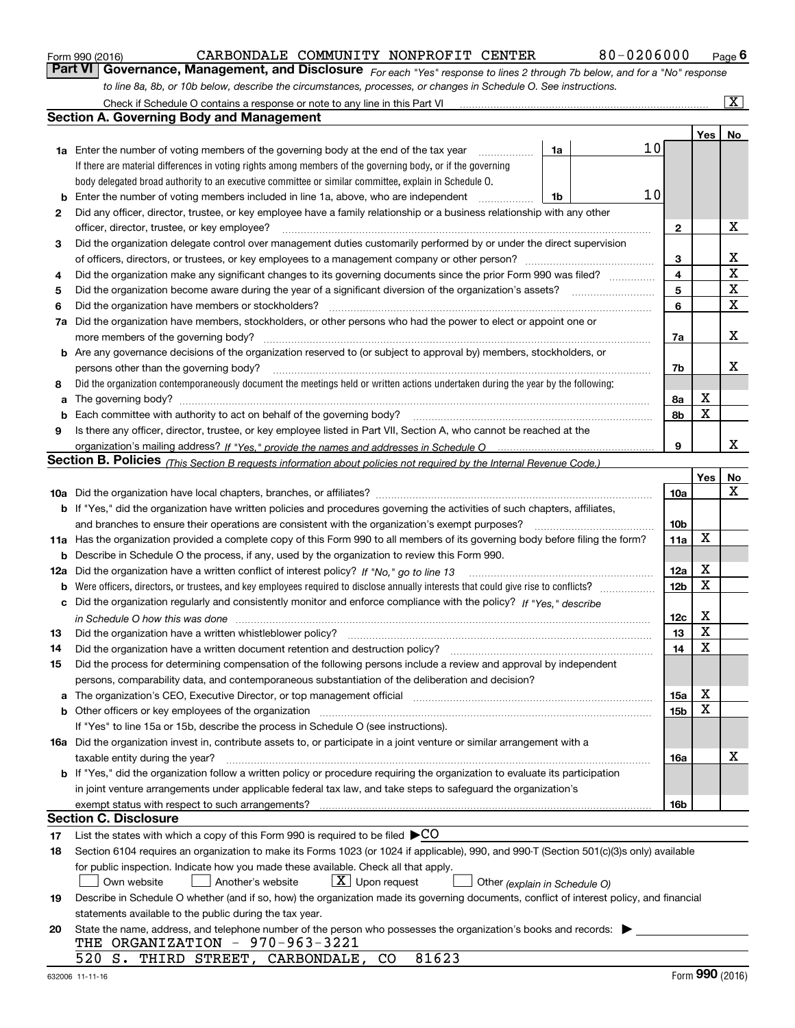|  | Form 990 (2016) |
|--|-----------------|
|  |                 |

# CARBONDALE COMMUNITY NONPROFIT CENTER 80-0206000

*For each "Yes" response to lines 2 through 7b below, and for a "No" response to line 8a, 8b, or 10b below, describe the circumstances, processes, or changes in Schedule O. See instructions.* Form 990 (2016) **CARBONDALE COMMUNITY NONPROFIT CENTER** 80-0206000 Page 6<br>**Part VI Governance, Management, and Disclosure** For each "Yes" response to lines 2 through 7b below, and for a "No" response

|     | Check if Schedule O contains a response or note to any line in this Part VI                                                                                                                                                    |    |    |                 |             | $\boxed{\text{X}}$ |  |  |  |
|-----|--------------------------------------------------------------------------------------------------------------------------------------------------------------------------------------------------------------------------------|----|----|-----------------|-------------|--------------------|--|--|--|
|     | <b>Section A. Governing Body and Management</b>                                                                                                                                                                                |    |    |                 |             |                    |  |  |  |
|     |                                                                                                                                                                                                                                |    |    |                 | Yes         | No                 |  |  |  |
|     | <b>1a</b> Enter the number of voting members of the governing body at the end of the tax year                                                                                                                                  | 1a | 10 |                 |             |                    |  |  |  |
|     | If there are material differences in voting rights among members of the governing body, or if the governing                                                                                                                    |    |    |                 |             |                    |  |  |  |
|     | body delegated broad authority to an executive committee or similar committee, explain in Schedule O.                                                                                                                          |    |    |                 |             |                    |  |  |  |
| b   | Enter the number of voting members included in line 1a, above, who are independent                                                                                                                                             | 1b | 10 |                 |             |                    |  |  |  |
| 2   | Did any officer, director, trustee, or key employee have a family relationship or a business relationship with any other                                                                                                       |    |    |                 |             |                    |  |  |  |
|     | officer, director, trustee, or key employee?                                                                                                                                                                                   |    |    | $\mathbf{2}$    |             | х                  |  |  |  |
| 3   | Did the organization delegate control over management duties customarily performed by or under the direct supervision                                                                                                          |    |    |                 |             |                    |  |  |  |
|     |                                                                                                                                                                                                                                |    |    | 3               |             | х                  |  |  |  |
| 4   | Did the organization make any significant changes to its governing documents since the prior Form 990 was filed?                                                                                                               |    |    | 4               |             | $\mathbf X$        |  |  |  |
| 5   |                                                                                                                                                                                                                                |    |    | 5               |             | $\mathbf X$        |  |  |  |
| 6   | Did the organization have members or stockholders?                                                                                                                                                                             |    |    | 6               |             | $\mathbf X$        |  |  |  |
| 7a  | Did the organization have members, stockholders, or other persons who had the power to elect or appoint one or                                                                                                                 |    |    |                 |             |                    |  |  |  |
|     | more members of the governing body?                                                                                                                                                                                            |    |    | 7a              |             | х                  |  |  |  |
|     | <b>b</b> Are any governance decisions of the organization reserved to (or subject to approval by) members, stockholders, or                                                                                                    |    |    |                 |             |                    |  |  |  |
|     | persons other than the governing body?                                                                                                                                                                                         |    |    |                 |             |                    |  |  |  |
| 8   | Did the organization contemporaneously document the meetings held or written actions undertaken during the year by the following:                                                                                              |    |    |                 |             |                    |  |  |  |
| a   |                                                                                                                                                                                                                                |    |    |                 |             |                    |  |  |  |
| b   | Each committee with authority to act on behalf of the governing body?                                                                                                                                                          |    |    | 8b              | X           |                    |  |  |  |
| 9   | Is there any officer, director, trustee, or key employee listed in Part VII, Section A, who cannot be reached at the                                                                                                           |    |    |                 |             |                    |  |  |  |
|     |                                                                                                                                                                                                                                |    |    | 9               |             | х                  |  |  |  |
|     | Section B. Policies <sub>(This Section B requests information about policies not required by the Internal Revenue Code.)</sub>                                                                                                 |    |    |                 |             |                    |  |  |  |
|     |                                                                                                                                                                                                                                |    |    |                 | Yes         | No                 |  |  |  |
|     |                                                                                                                                                                                                                                |    |    | 10a             |             | $\mathbf X$        |  |  |  |
|     | <b>b</b> If "Yes," did the organization have written policies and procedures governing the activities of such chapters, affiliates,                                                                                            |    |    |                 |             |                    |  |  |  |
|     | and branches to ensure their operations are consistent with the organization's exempt purposes?                                                                                                                                |    |    | 10 <sub>b</sub> |             |                    |  |  |  |
|     | 11a Has the organization provided a complete copy of this Form 990 to all members of its governing body before filing the form?                                                                                                |    |    | 11a             | $\mathbf X$ |                    |  |  |  |
| b   | Describe in Schedule O the process, if any, used by the organization to review this Form 990.                                                                                                                                  |    |    |                 |             |                    |  |  |  |
| 12a | Did the organization have a written conflict of interest policy? If "No," go to line 13                                                                                                                                        |    |    | 12a             | X           |                    |  |  |  |
| b   |                                                                                                                                                                                                                                |    |    | 12 <sub>b</sub> | $\mathbf X$ |                    |  |  |  |
| с   | Did the organization regularly and consistently monitor and enforce compliance with the policy? If "Yes." describe                                                                                                             |    |    |                 |             |                    |  |  |  |
|     | in Schedule O how this was done material and the control of the state of the state of the state of the state of the state of the state of the state of the state of the state of the state of the state of the state of the st |    |    | 12c             | X           |                    |  |  |  |
| 13  | Did the organization have a written whistleblower policy?                                                                                                                                                                      |    |    | 13              | X           |                    |  |  |  |
| 14  | Did the organization have a written document retention and destruction policy?                                                                                                                                                 |    |    | 14              | $\mathbf X$ |                    |  |  |  |
| 15  | Did the process for determining compensation of the following persons include a review and approval by independent                                                                                                             |    |    |                 |             |                    |  |  |  |
|     | persons, comparability data, and contemporaneous substantiation of the deliberation and decision?                                                                                                                              |    |    |                 |             |                    |  |  |  |
| a   | The organization's CEO, Executive Director, or top management official manufactured content of the organization's CEO, Executive Director, or top management official                                                          |    |    | 15a             | х           |                    |  |  |  |
|     | <b>b</b> Other officers or key employees of the organization                                                                                                                                                                   |    |    | 15b             | X           |                    |  |  |  |
|     | If "Yes" to line 15a or 15b, describe the process in Schedule O (see instructions).                                                                                                                                            |    |    |                 |             |                    |  |  |  |
|     | 16a Did the organization invest in, contribute assets to, or participate in a joint venture or similar arrangement with a                                                                                                      |    |    |                 |             |                    |  |  |  |
|     | taxable entity during the year?                                                                                                                                                                                                |    |    | 16a             |             | x                  |  |  |  |
|     | b If "Yes," did the organization follow a written policy or procedure requiring the organization to evaluate its participation                                                                                                 |    |    |                 |             |                    |  |  |  |
|     | in joint venture arrangements under applicable federal tax law, and take steps to safeguard the organization's                                                                                                                 |    |    |                 |             |                    |  |  |  |
|     | exempt status with respect to such arrangements?<br><b>Section C. Disclosure</b>                                                                                                                                               |    |    | 16b             |             |                    |  |  |  |
|     |                                                                                                                                                                                                                                |    |    |                 |             |                    |  |  |  |
| 17  | List the states with which a copy of this Form 990 is required to be filed $\blacktriangleright$ CO                                                                                                                            |    |    |                 |             |                    |  |  |  |
| 18  | Section 6104 requires an organization to make its Forms 1023 (or 1024 if applicable), 990, and 990-T (Section 501(c)(3)s only) available                                                                                       |    |    |                 |             |                    |  |  |  |
|     | for public inspection. Indicate how you made these available. Check all that apply.<br>$X$ Upon request                                                                                                                        |    |    |                 |             |                    |  |  |  |
|     | Own website<br>Another's website<br>Other (explain in Schedule O)                                                                                                                                                              |    |    |                 |             |                    |  |  |  |
| 19  | Describe in Schedule O whether (and if so, how) the organization made its governing documents, conflict of interest policy, and financial<br>statements available to the public during the tax year.                           |    |    |                 |             |                    |  |  |  |
|     | State the name, address, and telephone number of the person who possesses the organization's books and records:                                                                                                                |    |    |                 |             |                    |  |  |  |
| 20  | THE ORGANIZATION - 970-963-3221                                                                                                                                                                                                |    |    |                 |             |                    |  |  |  |
|     | 520 S. THIRD STREET, CARBONDALE, CO<br>81623                                                                                                                                                                                   |    |    |                 |             |                    |  |  |  |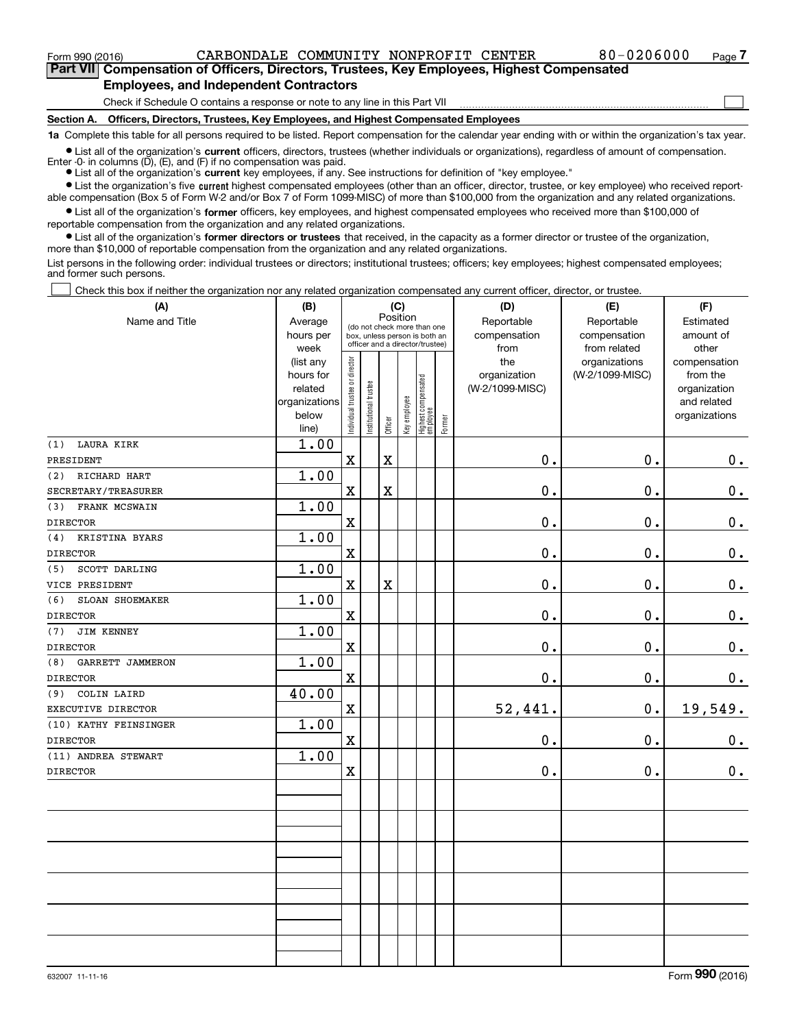$\mathcal{L}^{\text{max}}$ 

**7Part VII Compensation of Officers, Directors, Trustees, Key Employees, Highest Compensated Employees, and Independent Contractors**

Check if Schedule O contains a response or note to any line in this Part VII

**Section A. Officers, Directors, Trustees, Key Employees, and Highest Compensated Employees**

**1a**  Complete this table for all persons required to be listed. Report compensation for the calendar year ending with or within the organization's tax year.

**•** List all of the organization's current officers, directors, trustees (whether individuals or organizations), regardless of amount of compensation. Enter -0- in columns  $(D)$ ,  $(E)$ , and  $(F)$  if no compensation was paid.

● List all of the organization's **current** key employees, if any. See instructions for definition of "key employee."

**•** List the organization's five current highest compensated employees (other than an officer, director, trustee, or key employee) who received reportable compensation (Box 5 of Form W-2 and/or Box 7 of Form 1099-MISC) of more than \$100,000 from the organization and any related organizations.

 $\bullet$  List all of the organization's **former** officers, key employees, and highest compensated employees who received more than \$100,000 of reportable compensation from the organization and any related organizations.

**•** List all of the organization's former directors or trustees that received, in the capacity as a former director or trustee of the organization, more than \$10,000 of reportable compensation from the organization and any related organizations.

List persons in the following order: individual trustees or directors; institutional trustees; officers; key employees; highest compensated employees; and former such persons.

Check this box if neither the organization nor any related organization compensated any current officer, director, or trustee.  $\mathcal{L}^{\text{max}}$ 

| (A)                      | (B)            | (C)                           |                       |             |              |                                               | (D)             | (E)             | (F)           |
|--------------------------|----------------|-------------------------------|-----------------------|-------------|--------------|-----------------------------------------------|-----------------|-----------------|---------------|
| Name and Title           | Average        |                               |                       | Position    |              | (do not check more than one                   | Reportable      | Reportable      | Estimated     |
|                          | hours per      |                               |                       |             |              | box, unless person is both an                 | compensation    | compensation    | amount of     |
|                          | week           |                               |                       |             |              | officer and a director/trustee)               | from            | from related    | other         |
|                          | (list any      |                               |                       |             |              |                                               | the             | organizations   | compensation  |
|                          | hours for      |                               |                       |             |              |                                               | organization    | (W-2/1099-MISC) | from the      |
|                          | related        |                               |                       |             |              |                                               | (W-2/1099-MISC) |                 | organization  |
|                          | organizations  |                               |                       |             |              |                                               |                 |                 | and related   |
|                          | below<br>line) | ndividual trustee or director | Institutional trustee | Officer     | Key employee | Highest compensated<br>  employee<br>  Former |                 |                 | organizations |
| <b>LAURA KIRK</b><br>(1) | 1.00           |                               |                       |             |              |                                               |                 |                 |               |
| PRESIDENT                |                | $\mathbf x$                   |                       | $\rm X$     |              |                                               | 0.              | 0.              | $0_{.}$       |
| RICHARD HART<br>(2)      | 1.00           |                               |                       |             |              |                                               |                 |                 |               |
| SECRETARY/TREASURER      |                | $\mathbf X$                   |                       | $\mathbf X$ |              |                                               | 0.              | $\mathbf 0$ .   | $\mathbf 0$ . |
| FRANK MCSWAIN<br>(3)     | 1.00           |                               |                       |             |              |                                               |                 |                 |               |
| <b>DIRECTOR</b>          |                | $\mathbf x$                   |                       |             |              |                                               | 0.              | $\mathbf 0$ .   | $0_{.}$       |
| KRISTINA BYARS<br>(4)    | 1.00           |                               |                       |             |              |                                               |                 |                 |               |
| <b>DIRECTOR</b>          |                | $\mathbf X$                   |                       |             |              |                                               | 0.              | $\mathbf 0$ .   | $\mathbf 0$ . |
| SCOTT DARLING<br>(5)     | 1.00           |                               |                       |             |              |                                               |                 |                 |               |
| VICE PRESIDENT           |                | $\mathbf x$                   |                       | $\rm X$     |              |                                               | 0.              | 0.              | $\mathbf 0$ . |
| SLOAN SHOEMAKER<br>(6)   | 1.00           |                               |                       |             |              |                                               |                 |                 |               |
| <b>DIRECTOR</b>          |                | $\mathbf x$                   |                       |             |              |                                               | 0.              | 0.              | $\mathbf 0$ . |
| (7)<br><b>JIM KENNEY</b> | 1.00           |                               |                       |             |              |                                               |                 |                 |               |
| <b>DIRECTOR</b>          |                | $\mathbf x$                   |                       |             |              |                                               | $0$ .           | $\mathbf 0$ .   | $0_{.}$       |
| GARRETT JAMMERON<br>(8)  | 1.00           |                               |                       |             |              |                                               |                 |                 |               |
| <b>DIRECTOR</b>          |                | $\mathbf X$                   |                       |             |              |                                               | 0.              | 0.              | 0.            |
| COLIN LAIRD<br>(9)       | 40.00          |                               |                       |             |              |                                               |                 |                 |               |
| EXECUTIVE DIRECTOR       |                | $\mathbf x$                   |                       |             |              |                                               | 52,441.         | 0.              | 19,549.       |
| (10) KATHY FEINSINGER    | 1.00           |                               |                       |             |              |                                               |                 |                 |               |
| <b>DIRECTOR</b>          |                | $\mathbf x$                   |                       |             |              |                                               | 0.              | 0.              | $\mathbf 0$ . |
| (11) ANDREA STEWART      | 1.00           |                               |                       |             |              |                                               |                 |                 |               |
| <b>DIRECTOR</b>          |                | $\mathbf x$                   |                       |             |              |                                               | 0.              | 0.              | $\mathbf 0$ . |
|                          |                |                               |                       |             |              |                                               |                 |                 |               |
|                          |                |                               |                       |             |              |                                               |                 |                 |               |
|                          |                |                               |                       |             |              |                                               |                 |                 |               |
|                          |                |                               |                       |             |              |                                               |                 |                 |               |
|                          |                |                               |                       |             |              |                                               |                 |                 |               |
|                          |                |                               |                       |             |              |                                               |                 |                 |               |
|                          |                |                               |                       |             |              |                                               |                 |                 |               |
|                          |                |                               |                       |             |              |                                               |                 |                 |               |
|                          |                |                               |                       |             |              |                                               |                 |                 |               |
|                          |                |                               |                       |             |              |                                               |                 |                 |               |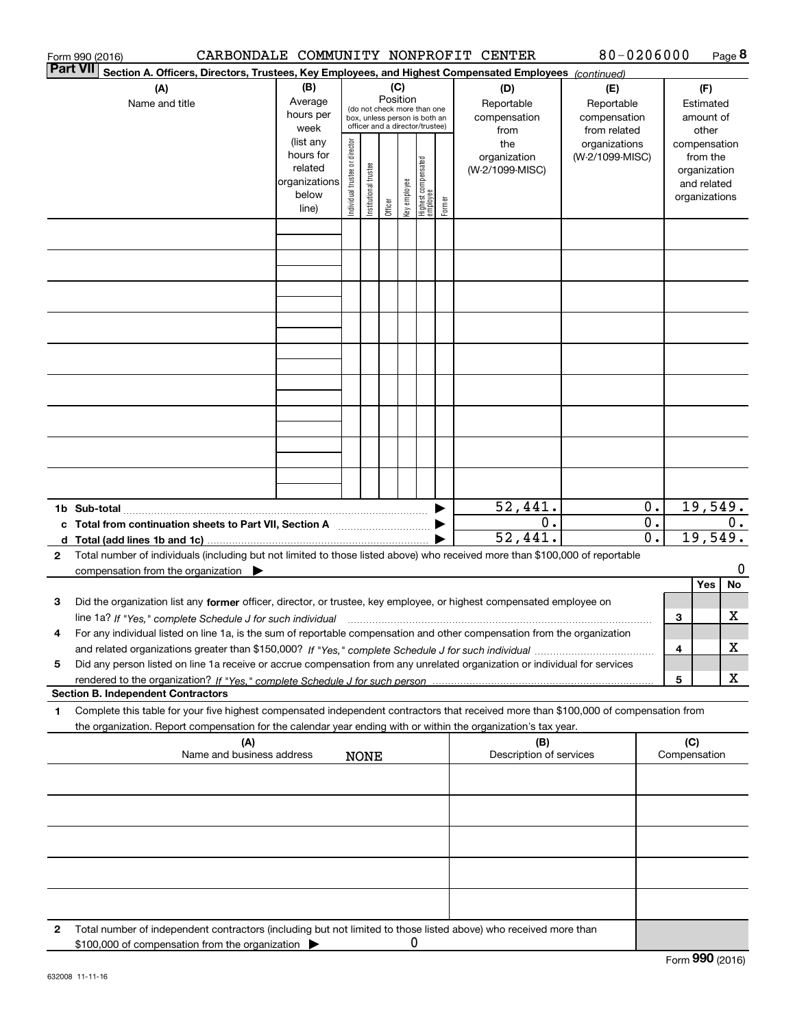|                 | Form 990 (2016)                                                                                                                                                                                                                                                             |                                                                      |                                |                       |            |              |                                                                                                 |        | CARBONDALE COMMUNITY NONPROFIT CENTER     | 80-0206000                                        |                                        |                     | Page 8                                                                   |
|-----------------|-----------------------------------------------------------------------------------------------------------------------------------------------------------------------------------------------------------------------------------------------------------------------------|----------------------------------------------------------------------|--------------------------------|-----------------------|------------|--------------|-------------------------------------------------------------------------------------------------|--------|-------------------------------------------|---------------------------------------------------|----------------------------------------|---------------------|--------------------------------------------------------------------------|
| <b>Part VII</b> | Section A. Officers, Directors, Trustees, Key Employees, and Highest Compensated Employees (continued)                                                                                                                                                                      |                                                                      |                                |                       |            |              |                                                                                                 |        |                                           |                                                   |                                        |                     |                                                                          |
|                 | (A)<br>Name and title                                                                                                                                                                                                                                                       | (B)<br>Average<br>hours per<br>week                                  |                                |                       | (C)        | Position     | (do not check more than one<br>box, unless person is both an<br>officer and a director/trustee) |        | (D)<br>Reportable<br>compensation<br>from | (E)<br>Reportable<br>compensation<br>from related | (F)<br>Estimated<br>amount of<br>other |                     |                                                                          |
|                 |                                                                                                                                                                                                                                                                             | (list any<br>hours for<br>related<br>organizations<br>below<br>line) | Individual trustee or director | Institutional trustee | $O$ fficer | Key employee | Highest compensated<br> employee                                                                | Former | the<br>organization<br>(W-2/1099-MISC)    | organizations<br>(W-2/1099-MISC)                  |                                        |                     | compensation<br>from the<br>organization<br>and related<br>organizations |
|                 |                                                                                                                                                                                                                                                                             |                                                                      |                                |                       |            |              |                                                                                                 |        |                                           |                                                   |                                        |                     |                                                                          |
|                 |                                                                                                                                                                                                                                                                             |                                                                      |                                |                       |            |              |                                                                                                 |        |                                           |                                                   |                                        |                     |                                                                          |
|                 |                                                                                                                                                                                                                                                                             |                                                                      |                                |                       |            |              |                                                                                                 |        |                                           |                                                   |                                        |                     |                                                                          |
|                 |                                                                                                                                                                                                                                                                             |                                                                      |                                |                       |            |              |                                                                                                 |        |                                           |                                                   |                                        |                     |                                                                          |
|                 |                                                                                                                                                                                                                                                                             |                                                                      |                                |                       |            |              |                                                                                                 |        |                                           |                                                   |                                        |                     |                                                                          |
|                 |                                                                                                                                                                                                                                                                             |                                                                      |                                |                       |            |              |                                                                                                 |        |                                           |                                                   |                                        |                     |                                                                          |
|                 |                                                                                                                                                                                                                                                                             |                                                                      |                                |                       |            |              |                                                                                                 |        |                                           |                                                   |                                        |                     |                                                                          |
|                 |                                                                                                                                                                                                                                                                             |                                                                      |                                |                       |            |              |                                                                                                 |        | 52,441.                                   |                                                   | $0$ .                                  |                     | 19,549.                                                                  |
|                 | c Total from continuation sheets to Part VII, Section A                                                                                                                                                                                                                     |                                                                      |                                |                       |            |              |                                                                                                 |        | 0.<br>52,441.                             |                                                   | $\overline{0}$ .<br>0.                 |                     | $0$ .<br>19,549.                                                         |
| 2               | Total number of individuals (including but not limited to those listed above) who received more than \$100,000 of reportable<br>compensation from the organization                                                                                                          |                                                                      |                                |                       |            |              |                                                                                                 |        |                                           |                                                   |                                        |                     | 0                                                                        |
| 3               | Did the organization list any former officer, director, or trustee, key employee, or highest compensated employee on                                                                                                                                                        |                                                                      |                                |                       |            |              |                                                                                                 |        |                                           |                                                   |                                        |                     | Yes<br>No<br>X                                                           |
|                 | line 1a? If "Yes," complete Schedule J for such individual manufactured contained and the 1a? If "Yes," complete Schedule J for such individual<br>For any individual listed on line 1a, is the sum of reportable compensation and other compensation from the organization |                                                                      |                                |                       |            |              |                                                                                                 |        |                                           |                                                   |                                        | 3<br>4              | х                                                                        |
| 5               | Did any person listed on line 1a receive or accrue compensation from any unrelated organization or individual for services                                                                                                                                                  |                                                                      |                                |                       |            |              |                                                                                                 |        |                                           |                                                   |                                        | 5                   | х                                                                        |
|                 | <b>Section B. Independent Contractors</b>                                                                                                                                                                                                                                   |                                                                      |                                |                       |            |              |                                                                                                 |        |                                           |                                                   |                                        |                     |                                                                          |
| 1.              | Complete this table for your five highest compensated independent contractors that received more than \$100,000 of compensation from<br>the organization. Report compensation for the calendar year ending with or within the organization's tax year.                      |                                                                      |                                |                       |            |              |                                                                                                 |        |                                           |                                                   |                                        |                     |                                                                          |
|                 | (A)<br>Name and business address                                                                                                                                                                                                                                            |                                                                      |                                | <b>NONE</b>           |            |              |                                                                                                 |        | (B)<br>Description of services            |                                                   |                                        | (C)<br>Compensation |                                                                          |
|                 |                                                                                                                                                                                                                                                                             |                                                                      |                                |                       |            |              |                                                                                                 |        |                                           |                                                   |                                        |                     |                                                                          |
|                 |                                                                                                                                                                                                                                                                             |                                                                      |                                |                       |            |              |                                                                                                 |        |                                           |                                                   |                                        |                     |                                                                          |
|                 |                                                                                                                                                                                                                                                                             |                                                                      |                                |                       |            |              |                                                                                                 |        |                                           |                                                   |                                        |                     |                                                                          |
|                 |                                                                                                                                                                                                                                                                             |                                                                      |                                |                       |            |              |                                                                                                 |        |                                           |                                                   |                                        |                     |                                                                          |
| 2               | Total number of independent contractors (including but not limited to those listed above) who received more than<br>\$100,000 of compensation from the organization                                                                                                         |                                                                      |                                |                       |            | 0            |                                                                                                 |        |                                           |                                                   |                                        |                     |                                                                          |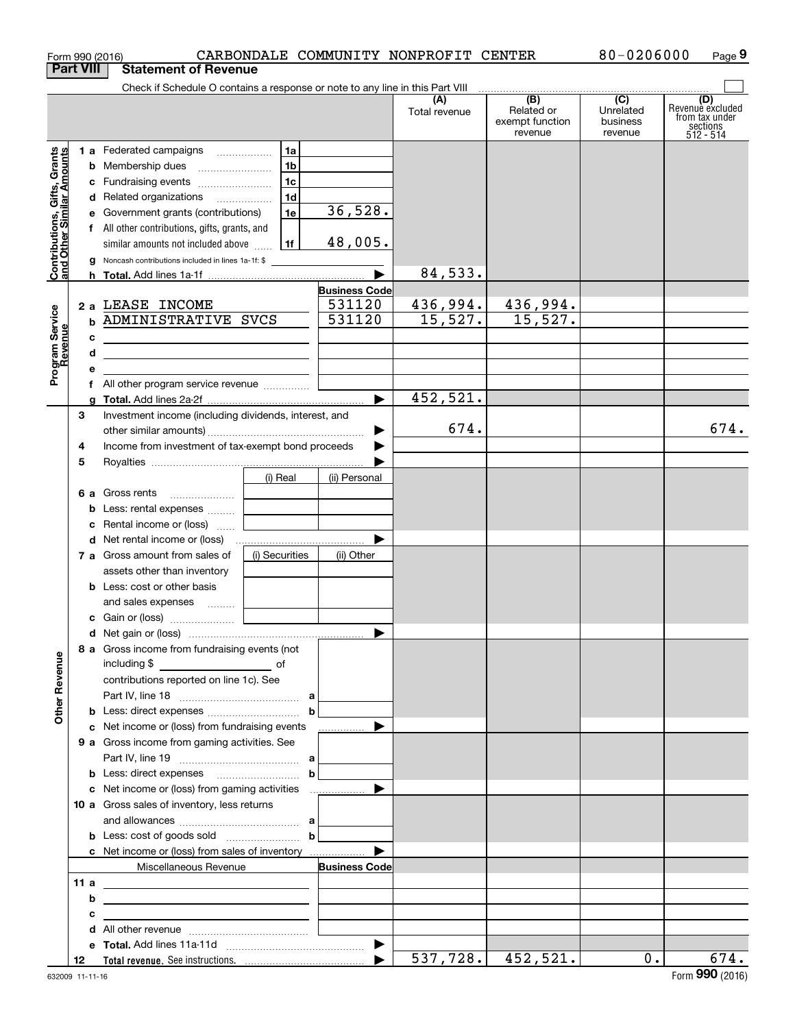|                                                           | Form 990 (2016)  |                                                                                                                                                                                                                                                               |                                              |                                          | CARBONDALE COMMUNITY NONPROFIT CENTER |                                                 | 80-0206000                                           | Page 9                                                             |
|-----------------------------------------------------------|------------------|---------------------------------------------------------------------------------------------------------------------------------------------------------------------------------------------------------------------------------------------------------------|----------------------------------------------|------------------------------------------|---------------------------------------|-------------------------------------------------|------------------------------------------------------|--------------------------------------------------------------------|
|                                                           | <b>Part VIII</b> | <b>Statement of Revenue</b>                                                                                                                                                                                                                                   |                                              |                                          |                                       |                                                 |                                                      |                                                                    |
|                                                           |                  | Check if Schedule O contains a response or note to any line in this Part VIII                                                                                                                                                                                 |                                              |                                          | (A)<br>Total revenue                  | (B)<br>Related or<br>exempt function<br>revenue | $\overline{(C)}$<br>Unrelated<br>business<br>revenue | (D)<br>Revenue excluded<br>from tax under<br>sections<br>512 - 514 |
| Contributions, Gifts, Grants<br>and Other Similar Amounts | g                | 1 a Federated campaigns<br>c Fundraising events<br>d Related organizations<br>e Government grants (contributions)<br>f All other contributions, gifts, grants, and<br>similar amounts not included above<br>Noncash contributions included in lines 1a-1f: \$ | 1a<br>1 <sub>b</sub><br>1c<br>1d<br>1e<br>1f | 36,528.<br>48,005.                       | 84,533.                               |                                                 |                                                      |                                                                    |
| Program Service<br>Revenue                                | с<br>d<br>е      | 2 a LEASE INCOME<br><b>b ADMINISTRATIVE SVCS</b><br><u> 1989 - Johann Barbara, martin amerikan basar dan berasal dalam basar dalam basar dalam basar dalam basar dala</u><br>f All other program service revenue                                              |                                              | <b>Business Code</b><br>531120<br>531120 | 436,994.<br>15,527.                   | 436,994.<br>15,527.                             |                                                      |                                                                    |
|                                                           | a<br>З<br>4<br>5 | Investment income (including dividends, interest, and<br>Income from investment of tax-exempt bond proceeds                                                                                                                                                   |                                              |                                          | 452,521.<br>674.                      |                                                 |                                                      | 674.                                                               |
|                                                           | c                | <b>6 a</b> Gross rents<br><b>b</b> Less: rental expenses<br>Rental income or (loss)                                                                                                                                                                           | (i) Real                                     | (ii) Personal                            |                                       |                                                 |                                                      |                                                                    |
|                                                           |                  | 7 a Gross amount from sales of<br>assets other than inventory<br><b>b</b> Less: cost or other basis<br>and sales expenses                                                                                                                                     | (i) Securities                               | (ii) Other                               |                                       |                                                 |                                                      |                                                                    |
|                                                           |                  | 8 a Gross income from fundraising events (not                                                                                                                                                                                                                 |                                              |                                          |                                       |                                                 |                                                      |                                                                    |
| <b>Other Revenue</b>                                      |                  | contributions reported on line 1c). See                                                                                                                                                                                                                       | $\mathbf b$                                  |                                          |                                       |                                                 |                                                      |                                                                    |
|                                                           |                  | c Net income or (loss) from fundraising events<br><b>9 a</b> Gross income from gaming activities. See                                                                                                                                                         | $\mathbf b$                                  | .                                        |                                       |                                                 |                                                      |                                                                    |
|                                                           |                  | 10 a Gross sales of inventory, less returns<br><b>c</b> Net income or (loss) from sales of inventory                                                                                                                                                          | $\mathbf b$                                  |                                          |                                       |                                                 |                                                      |                                                                    |
|                                                           |                  | Miscellaneous Revenue                                                                                                                                                                                                                                         |                                              | <b>Business Code</b>                     |                                       |                                                 |                                                      |                                                                    |
|                                                           | 11 a<br>b<br>с   | <u> 1989 - Johann Barn, amerikansk politiker (</u><br><u> 1989 - Johann Barbara, martin amerikan basar dan berasal dalam basar dalam basar dalam basar dalam basar dala</u><br>the control of the control of the control of the control of the control of     |                                              |                                          |                                       |                                                 |                                                      |                                                                    |
|                                                           | 12               |                                                                                                                                                                                                                                                               |                                              |                                          | 537,728.                              | 452,521.                                        | $0$ .                                                | 674.                                                               |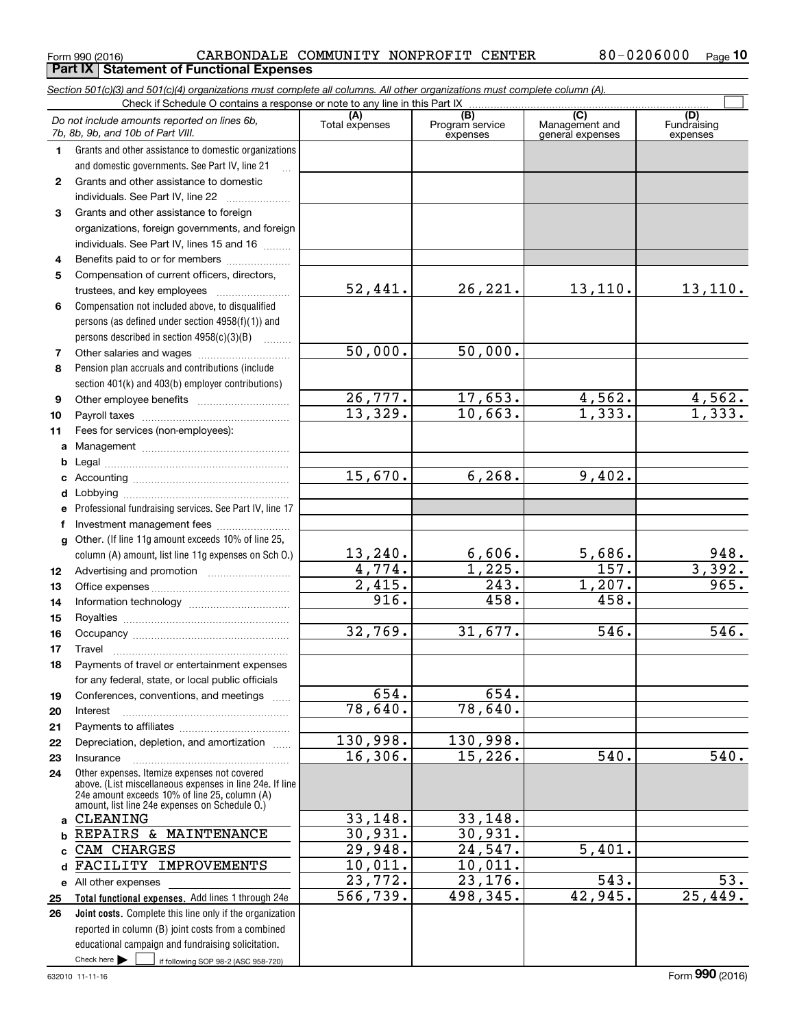Check here

 $\mathcal{L}^{\text{max}}$ 

 $\frac{1}{2}$  if following SOP 98-2 (ASC 958-720)

#### Form 990 (2016) CARBONDALE COMMUNITY NONPROFIT CENTER 8 U-U 2 U 6 U U Page **Part IX Statement of Functional Expenses** CARBONDALE COMMUNITY NONPROFIT CENTER 80-0206000

*Section 501(c)(3) and 501(c)(4) organizations must complete all columns. All other organizations must complete column (A).*

**10**

|              | Do not include amounts reported on lines 6b,<br>7b, 8b, 9b, and 10b of Part VIII.                                                                                                                           | (A)<br>Total expenses | $\overline{(B)}$<br>Program service<br>expenses | $\overline{C}$<br>Management and<br>general expenses | (D)<br>Fundraising<br>expenses |
|--------------|-------------------------------------------------------------------------------------------------------------------------------------------------------------------------------------------------------------|-----------------------|-------------------------------------------------|------------------------------------------------------|--------------------------------|
| 1            | Grants and other assistance to domestic organizations                                                                                                                                                       |                       |                                                 |                                                      |                                |
|              | and domestic governments. See Part IV, line 21                                                                                                                                                              |                       |                                                 |                                                      |                                |
| $\mathbf{2}$ | Grants and other assistance to domestic                                                                                                                                                                     |                       |                                                 |                                                      |                                |
|              | individuals. See Part IV, line 22                                                                                                                                                                           |                       |                                                 |                                                      |                                |
| 3            | Grants and other assistance to foreign                                                                                                                                                                      |                       |                                                 |                                                      |                                |
|              | organizations, foreign governments, and foreign                                                                                                                                                             |                       |                                                 |                                                      |                                |
|              | individuals. See Part IV, lines 15 and 16                                                                                                                                                                   |                       |                                                 |                                                      |                                |
| 4            | Benefits paid to or for members                                                                                                                                                                             |                       |                                                 |                                                      |                                |
| 5            | Compensation of current officers, directors,                                                                                                                                                                |                       |                                                 |                                                      |                                |
|              |                                                                                                                                                                                                             | 52,441.               | 26,221.                                         | 13, 110.                                             | 13,110.                        |
| 6            | Compensation not included above, to disqualified                                                                                                                                                            |                       |                                                 |                                                      |                                |
|              | persons (as defined under section 4958(f)(1)) and                                                                                                                                                           |                       |                                                 |                                                      |                                |
|              | persons described in section 4958(c)(3)(B)                                                                                                                                                                  |                       |                                                 |                                                      |                                |
| 7            |                                                                                                                                                                                                             | 50,000.               | 50,000.                                         |                                                      |                                |
| 8            | Pension plan accruals and contributions (include                                                                                                                                                            |                       |                                                 |                                                      |                                |
|              | section 401(k) and 403(b) employer contributions)                                                                                                                                                           |                       |                                                 |                                                      |                                |
| 9            |                                                                                                                                                                                                             | 26,777.               | 17,653.                                         | 4,562.                                               | 4,562.                         |
| 10           |                                                                                                                                                                                                             | 13,329.               | 10,663.                                         | 1,333.                                               | 1,333.                         |
| 11           | Fees for services (non-employees):                                                                                                                                                                          |                       |                                                 |                                                      |                                |
| a            |                                                                                                                                                                                                             |                       |                                                 |                                                      |                                |
|              |                                                                                                                                                                                                             |                       |                                                 |                                                      |                                |
|              |                                                                                                                                                                                                             | 15,670.               | 6, 268.                                         | 9,402.                                               |                                |
| d            |                                                                                                                                                                                                             |                       |                                                 |                                                      |                                |
| е            | Professional fundraising services. See Part IV, line 17                                                                                                                                                     |                       |                                                 |                                                      |                                |
| f            | Investment management fees                                                                                                                                                                                  |                       |                                                 |                                                      |                                |
| g            | Other. (If line 11g amount exceeds 10% of line 25,                                                                                                                                                          | 13, 240.              | 6,606.                                          | 5,686.                                               | 948.                           |
|              | column (A) amount, list line 11g expenses on Sch O.)                                                                                                                                                        | $\overline{4,774}$ .  | $\overline{1,225}$ .                            | 157.                                                 | 3,392.                         |
| 12<br>13     |                                                                                                                                                                                                             | 2,415.                | $\overline{243}$ .                              | 1,207.                                               | 965.                           |
| 14           |                                                                                                                                                                                                             | 916.                  | 458.                                            | 458.                                                 |                                |
| 15           |                                                                                                                                                                                                             |                       |                                                 |                                                      |                                |
| 16           |                                                                                                                                                                                                             | 32,769.               | 31,677.                                         | 546.                                                 | 546.                           |
| 17           | Travel                                                                                                                                                                                                      |                       |                                                 |                                                      |                                |
| 18           | Payments of travel or entertainment expenses                                                                                                                                                                |                       |                                                 |                                                      |                                |
|              | for any federal, state, or local public officials                                                                                                                                                           |                       |                                                 |                                                      |                                |
| 19           | Conferences, conventions, and meetings                                                                                                                                                                      | 654.                  | 654.                                            |                                                      |                                |
| 20           | Interest                                                                                                                                                                                                    | 78,640.               | 78,640.                                         |                                                      |                                |
| 21           |                                                                                                                                                                                                             |                       |                                                 |                                                      |                                |
| 22           | Depreciation, depletion, and amortization                                                                                                                                                                   | 130,998.              | 130,998.                                        |                                                      |                                |
| 23           | Insurance                                                                                                                                                                                                   | 16,306.               | 15, 226.                                        | 540.                                                 | 540.                           |
| 24           | Other expenses. Itemize expenses not covered<br>above. (List miscellaneous expenses in line 24e. If line<br>24e amount exceeds 10% of line 25, column (A)<br>amount, list line 24e expenses on Schedule O.) |                       |                                                 |                                                      |                                |
|              | a CLEANING                                                                                                                                                                                                  | 33,148.               | 33,148.                                         |                                                      |                                |
|              | <b>b REPAIRS &amp; MAINTENANCE</b>                                                                                                                                                                          | 30,931.               | 30,931.                                         |                                                      |                                |
|              | c CAM CHARGES                                                                                                                                                                                               | 29,948.               | 24,547.                                         | 5,401.                                               |                                |
|              | d FACILITY IMPROVEMENTS                                                                                                                                                                                     | 10,011.               | 10,011.                                         |                                                      |                                |
|              | e All other expenses                                                                                                                                                                                        | 23,772.               | 23, 176.                                        | 543.                                                 | 53.                            |
| 25           | Total functional expenses. Add lines 1 through 24e                                                                                                                                                          | 566, 739.             | 498,345.                                        | 42,945.                                              | 25,449.                        |
| 26           | Joint costs. Complete this line only if the organization                                                                                                                                                    |                       |                                                 |                                                      |                                |
|              | reported in column (B) joint costs from a combined                                                                                                                                                          |                       |                                                 |                                                      |                                |
|              | educational campaign and fundraising solicitation.                                                                                                                                                          |                       |                                                 |                                                      |                                |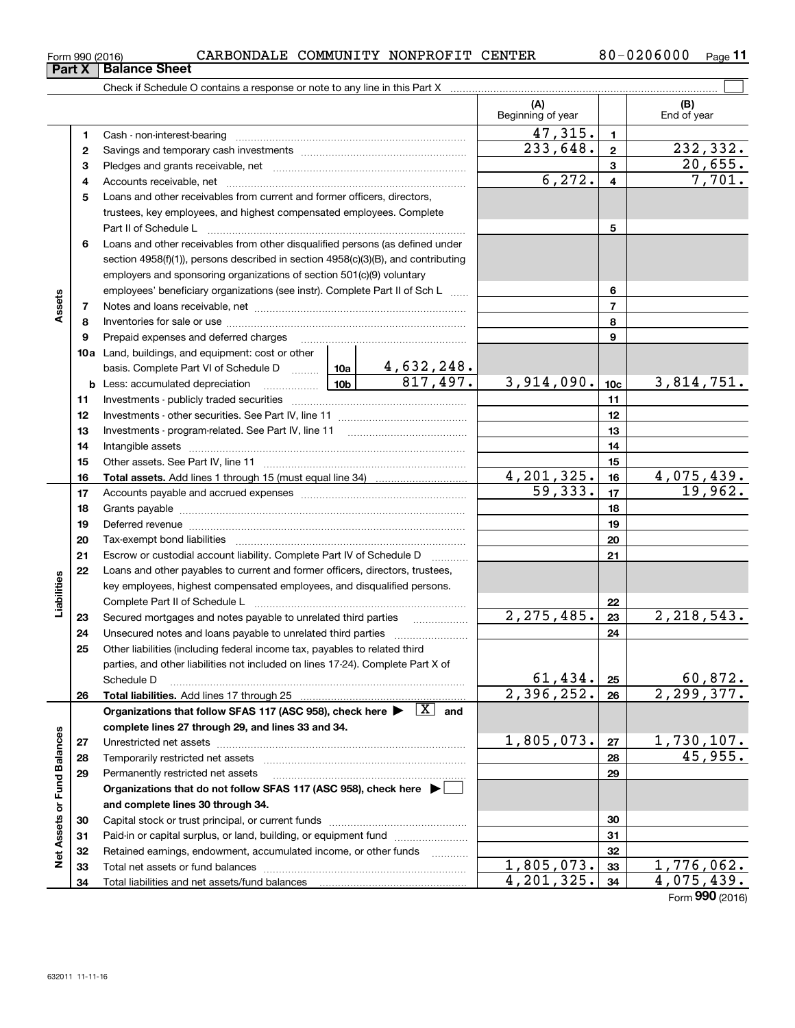| Form 990 (2016) |  | CARBONDALE | COMMUNITY | NONPROFIT | CENTER | 80-0206000 | Page |
|-----------------|--|------------|-----------|-----------|--------|------------|------|
|-----------------|--|------------|-----------|-----------|--------|------------|------|

|                             |    | Check if Schedule O contains a response or note to any line in this Part X                           |                          |                 |                                 |
|-----------------------------|----|------------------------------------------------------------------------------------------------------|--------------------------|-----------------|---------------------------------|
|                             |    |                                                                                                      | (A)<br>Beginning of year |                 | (B)<br>End of year              |
|                             | 1. |                                                                                                      | 47,315.                  | $\mathbf{1}$    |                                 |
|                             | 2  |                                                                                                      | $\overline{233,648}$ .   | $\mathbf{2}$    | $\overline{2}32,332.$           |
|                             | з  |                                                                                                      |                          | 3               | $20,655$ .                      |
|                             | 4  |                                                                                                      | 6,272.                   | 4               | 7,701.                          |
|                             | 5  | Loans and other receivables from current and former officers, directors,                             |                          |                 |                                 |
|                             |    | trustees, key employees, and highest compensated employees. Complete                                 |                          |                 |                                 |
|                             |    | Part II of Schedule L                                                                                |                          | 5               |                                 |
|                             | 6  | Loans and other receivables from other disqualified persons (as defined under                        |                          |                 |                                 |
|                             |    | section 4958(f)(1)), persons described in section 4958(c)(3)(B), and contributing                    |                          |                 |                                 |
|                             |    | employers and sponsoring organizations of section 501(c)(9) voluntary                                |                          |                 |                                 |
|                             |    | employees' beneficiary organizations (see instr). Complete Part II of Sch L                          |                          | 6               |                                 |
| Assets                      | 7  |                                                                                                      |                          | $\overline{7}$  |                                 |
|                             | 8  |                                                                                                      |                          | 8               |                                 |
|                             | 9  | Prepaid expenses and deferred charges                                                                |                          | 9               |                                 |
|                             |    | <b>10a</b> Land, buildings, and equipment: cost or other                                             |                          |                 |                                 |
|                             |    |                                                                                                      |                          |                 |                                 |
|                             |    |                                                                                                      | 3,914,090.               | 10 <sub>c</sub> | 3,814,751.                      |
|                             | 11 |                                                                                                      |                          | 11              |                                 |
|                             | 12 |                                                                                                      |                          | 12              |                                 |
|                             | 13 |                                                                                                      |                          | 13              |                                 |
|                             | 14 |                                                                                                      |                          | 14              |                                 |
|                             | 15 |                                                                                                      |                          | 15              |                                 |
|                             | 16 |                                                                                                      | 4, 201, 325.             | 16              | 4,075,439.                      |
|                             | 17 |                                                                                                      | 59,333.                  | 17              | 19,962.                         |
|                             | 18 |                                                                                                      |                          | 18              |                                 |
|                             | 19 |                                                                                                      |                          | 19              |                                 |
|                             | 20 |                                                                                                      |                          | 20              |                                 |
|                             | 21 | Escrow or custodial account liability. Complete Part IV of Schedule D                                |                          | 21              |                                 |
|                             | 22 | Loans and other payables to current and former officers, directors, trustees,                        |                          |                 |                                 |
| Liabilities                 |    | key employees, highest compensated employees, and disqualified persons.                              |                          |                 |                                 |
|                             | 23 | Secured mortgages and notes payable to unrelated third parties [100011111111111111111111111111111111 | 2, 275, 485.             | 22<br>23        | 2,218,543.                      |
|                             | 24 |                                                                                                      |                          | 24              |                                 |
|                             | 25 | Other liabilities (including federal income tax, payables to related third                           |                          |                 |                                 |
|                             |    | parties, and other liabilities not included on lines 17-24). Complete Part X of                      |                          |                 |                                 |
|                             |    | Schedule D                                                                                           | <u>61,434.</u>           | 25              |                                 |
|                             | 26 | Total liabilities. Add lines 17 through 25                                                           | 2,396,252.               | 26              | $\frac{60,872}{2,299,377.}$     |
|                             |    | Organizations that follow SFAS 117 (ASC 958), check here $\blacktriangleright \boxed{X}$ and         |                          |                 |                                 |
|                             |    | complete lines 27 through 29, and lines 33 and 34.                                                   |                          |                 |                                 |
|                             | 27 | Unrestricted net assets                                                                              | 1,805,073.               | 27              |                                 |
|                             | 28 | Temporarily restricted net assets                                                                    |                          | 28              | $\frac{1,730,107.}{45,955.}$    |
|                             | 29 | Permanently restricted net assets                                                                    |                          | 29              |                                 |
|                             |    | Organizations that do not follow SFAS 117 (ASC 958), check here ▶ □                                  |                          |                 |                                 |
| Net Assets or Fund Balances |    | and complete lines 30 through 34.                                                                    |                          |                 |                                 |
|                             | 30 |                                                                                                      |                          | 30              |                                 |
|                             | 31 | Paid-in or capital surplus, or land, building, or equipment fund                                     |                          | 31              |                                 |
|                             | 32 | Retained earnings, endowment, accumulated income, or other funds                                     |                          | 32              |                                 |
|                             | 33 |                                                                                                      | 1,805,073.               | 33              | $\frac{1,776,062.}{4,075,439.}$ |
|                             | 34 |                                                                                                      | $\overline{4,201},325.$  | 34              |                                 |

**Part X Balance B** 

| , , , , |               | . . |
|---------|---------------|-----|
|         | Balance Sheet |     |

Form (2016) **990**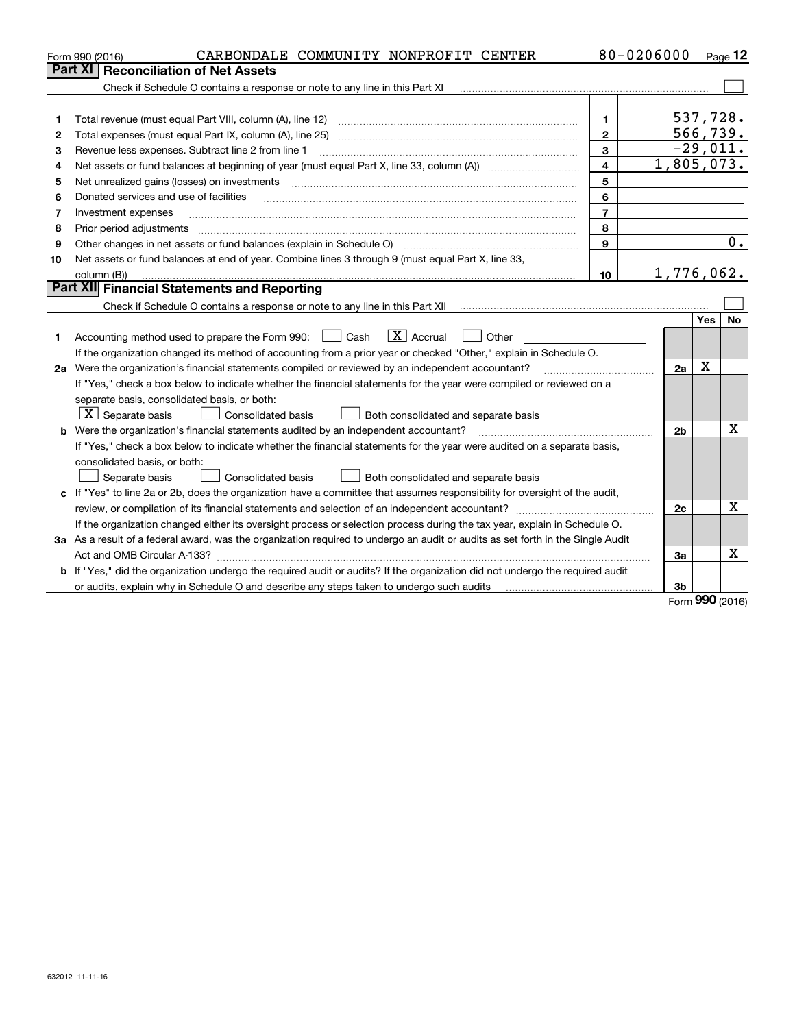|    | CARBONDALE COMMUNITY NONPROFIT CENTER<br>Form 990 (2016)                                                                                                                                                                       |                | 80-0206000     |            | $Page$ 12              |  |  |
|----|--------------------------------------------------------------------------------------------------------------------------------------------------------------------------------------------------------------------------------|----------------|----------------|------------|------------------------|--|--|
|    | Part XI<br><b>Reconciliation of Net Assets</b>                                                                                                                                                                                 |                |                |            |                        |  |  |
|    | Check if Schedule O contains a response or note to any line in this Part XI [11] [12] [12] Check if Schedule O contains a response or note to any line in this Part XI                                                         |                |                |            |                        |  |  |
|    |                                                                                                                                                                                                                                |                |                |            |                        |  |  |
| 1  |                                                                                                                                                                                                                                | 1              |                |            | 537,728.               |  |  |
| 2  | Total expenses (must equal Part IX, column (A), line 25)                                                                                                                                                                       | $\overline{2}$ |                |            | 566, 739.              |  |  |
| з  | Revenue less expenses. Subtract line 2 from line 1                                                                                                                                                                             | 3              |                |            | $\overline{-29,011}$ . |  |  |
| 4  | Net assets or fund balances at beginning of year (must equal Part X, line 33, column (A)) <i></i>                                                                                                                              | $\overline{4}$ | 1,805,073.     |            |                        |  |  |
| 5  | Net unrealized gains (losses) on investments                                                                                                                                                                                   | 5              |                |            |                        |  |  |
| 6  | Donated services and use of facilities                                                                                                                                                                                         | 6              |                |            |                        |  |  |
| 7  | Investment expenses                                                                                                                                                                                                            | $\overline{7}$ |                |            |                        |  |  |
| 8  | Prior period adjustments                                                                                                                                                                                                       | 8              |                |            |                        |  |  |
| 9  | Other changes in net assets or fund balances (explain in Schedule O) [11] [12] manument changes in net assets or fund balances (explain in Schedule O) [11] manument changes in net assets or fund balances (explain in Schedu | $\mathbf{Q}$   |                |            | 0.                     |  |  |
| 10 | Net assets or fund balances at end of year. Combine lines 3 through 9 (must equal Part X, line 33,                                                                                                                             |                |                |            |                        |  |  |
|    | column (B))                                                                                                                                                                                                                    | 10             | 1,776,062.     |            |                        |  |  |
|    | Part XII Financial Statements and Reporting                                                                                                                                                                                    |                |                |            |                        |  |  |
|    |                                                                                                                                                                                                                                |                |                |            |                        |  |  |
|    |                                                                                                                                                                                                                                |                |                | <b>Yes</b> | <b>No</b>              |  |  |
| 1  | $\boxed{\mathbf{X}}$ Accrual<br>Accounting method used to prepare the Form 990: [139] Cash<br>Other                                                                                                                            |                |                |            |                        |  |  |
|    | If the organization changed its method of accounting from a prior year or checked "Other," explain in Schedule O.                                                                                                              |                |                |            |                        |  |  |
|    | 2a Were the organization's financial statements compiled or reviewed by an independent accountant?                                                                                                                             |                | 2a             | Χ          |                        |  |  |
|    | If "Yes," check a box below to indicate whether the financial statements for the year were compiled or reviewed on a                                                                                                           |                |                |            |                        |  |  |
|    | separate basis, consolidated basis, or both:                                                                                                                                                                                   |                |                |            |                        |  |  |
|    | $ \mathbf{X} $ Separate basis<br><b>Consolidated basis</b><br>Both consolidated and separate basis                                                                                                                             |                |                |            |                        |  |  |
|    | b Were the organization's financial statements audited by an independent accountant?                                                                                                                                           |                | 2 <sub>b</sub> |            | x                      |  |  |
|    | If "Yes," check a box below to indicate whether the financial statements for the year were audited on a separate basis,                                                                                                        |                |                |            |                        |  |  |
|    | consolidated basis, or both:                                                                                                                                                                                                   |                |                |            |                        |  |  |
|    | Separate basis<br><b>Consolidated basis</b><br>Both consolidated and separate basis                                                                                                                                            |                |                |            |                        |  |  |
|    | c If "Yes" to line 2a or 2b, does the organization have a committee that assumes responsibility for oversight of the audit,                                                                                                    |                |                |            |                        |  |  |
|    |                                                                                                                                                                                                                                |                | 2c             |            | х                      |  |  |
|    | If the organization changed either its oversight process or selection process during the tax year, explain in Schedule O.                                                                                                      |                |                |            |                        |  |  |
|    | 3a As a result of a federal award, was the organization required to undergo an audit or audits as set forth in the Single Audit                                                                                                |                |                |            |                        |  |  |
|    |                                                                                                                                                                                                                                |                | 3a             |            | x                      |  |  |
|    | b If "Yes," did the organization undergo the required audit or audits? If the organization did not undergo the required audit                                                                                                  |                |                |            |                        |  |  |
|    |                                                                                                                                                                                                                                |                | 3 <sub>b</sub> |            |                        |  |  |

Form (2016) **990**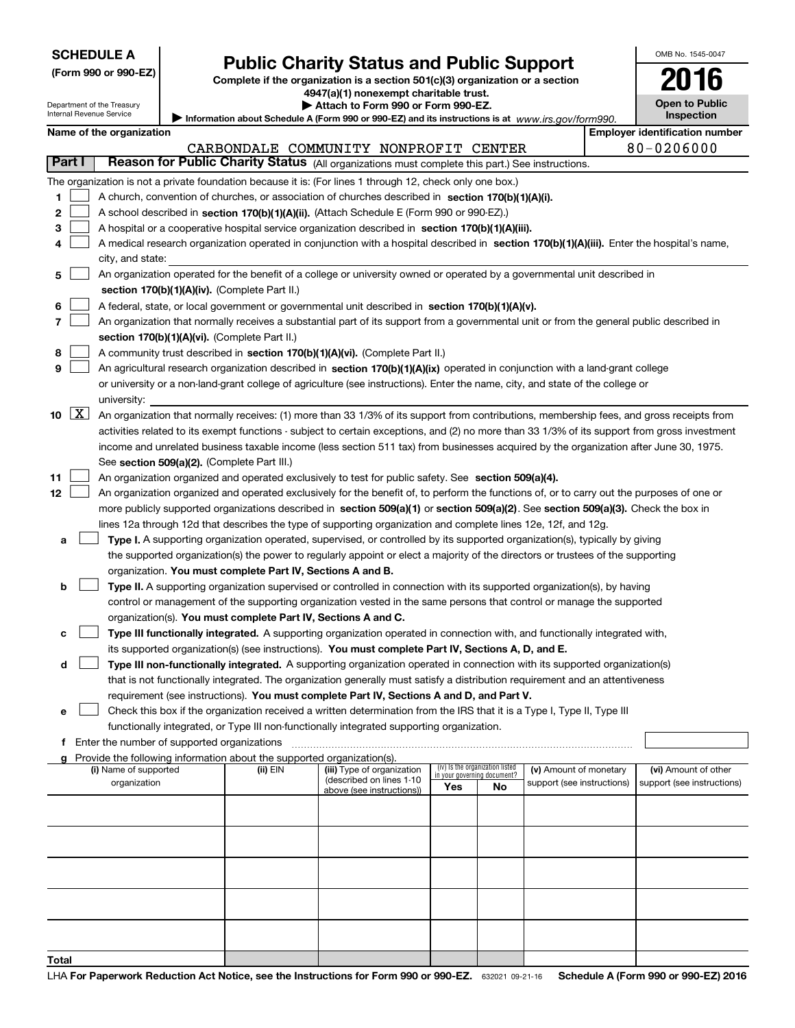| <b>SCHEDULE A</b> |  |
|-------------------|--|
|-------------------|--|

Department of the Treasury

| (Form 990 or 990-EZ) |  |  |  |  |
|----------------------|--|--|--|--|
|----------------------|--|--|--|--|

# **Public Charity Status and Public Support**

OMB No. 1545-0047

**Open to Public**

**2016**

**Complete if the organization is a section 501(c)(3) organization or a section 4947(a)(1) nonexempt charitable trust.**

**| Attach to Form 990 or Form 990-EZ.** 

|                  | nternal Revenue Service<br><b>Inspection</b><br>Information about Schedule A (Form 990 or 990-EZ) and its instructions is at $www.irs.gov/form990$ . |                          |                                             |                                                                        |                                                                                                                                               |                             |                                 |                            |  |                                       |  |
|------------------|------------------------------------------------------------------------------------------------------------------------------------------------------|--------------------------|---------------------------------------------|------------------------------------------------------------------------|-----------------------------------------------------------------------------------------------------------------------------------------------|-----------------------------|---------------------------------|----------------------------|--|---------------------------------------|--|
|                  |                                                                                                                                                      | Name of the organization |                                             |                                                                        |                                                                                                                                               |                             |                                 |                            |  | <b>Employer identification number</b> |  |
|                  |                                                                                                                                                      |                          |                                             |                                                                        | CARBONDALE COMMUNITY NONPROFIT CENTER                                                                                                         |                             |                                 |                            |  | 80-0206000                            |  |
|                  | Part I                                                                                                                                               |                          |                                             |                                                                        | Reason for Public Charity Status (All organizations must complete this part.) See instructions.                                               |                             |                                 |                            |  |                                       |  |
|                  |                                                                                                                                                      |                          |                                             |                                                                        | The organization is not a private foundation because it is: (For lines 1 through 12, check only one box.)                                     |                             |                                 |                            |  |                                       |  |
| 1.               |                                                                                                                                                      |                          |                                             |                                                                        | A church, convention of churches, or association of churches described in section 170(b)(1)(A)(i).                                            |                             |                                 |                            |  |                                       |  |
| 2                |                                                                                                                                                      |                          |                                             |                                                                        | A school described in section 170(b)(1)(A)(ii). (Attach Schedule E (Form 990 or 990-EZ).)                                                     |                             |                                 |                            |  |                                       |  |
| З                |                                                                                                                                                      |                          |                                             |                                                                        | A hospital or a cooperative hospital service organization described in section 170(b)(1)(A)(iii).                                             |                             |                                 |                            |  |                                       |  |
| 4                |                                                                                                                                                      |                          |                                             |                                                                        | A medical research organization operated in conjunction with a hospital described in section 170(b)(1)(A)(iii). Enter the hospital's name,    |                             |                                 |                            |  |                                       |  |
|                  | city, and state:                                                                                                                                     |                          |                                             |                                                                        |                                                                                                                                               |                             |                                 |                            |  |                                       |  |
| 5                | An organization operated for the benefit of a college or university owned or operated by a governmental unit described in                            |                          |                                             |                                                                        |                                                                                                                                               |                             |                                 |                            |  |                                       |  |
|                  |                                                                                                                                                      |                          |                                             | section 170(b)(1)(A)(iv). (Complete Part II.)                          |                                                                                                                                               |                             |                                 |                            |  |                                       |  |
| 6                | A federal, state, or local government or governmental unit described in section 170(b)(1)(A)(v).                                                     |                          |                                             |                                                                        |                                                                                                                                               |                             |                                 |                            |  |                                       |  |
| 7                |                                                                                                                                                      |                          |                                             |                                                                        | An organization that normally receives a substantial part of its support from a governmental unit or from the general public described in     |                             |                                 |                            |  |                                       |  |
|                  |                                                                                                                                                      |                          |                                             | section 170(b)(1)(A)(vi). (Complete Part II.)                          |                                                                                                                                               |                             |                                 |                            |  |                                       |  |
| 8                |                                                                                                                                                      |                          |                                             |                                                                        | A community trust described in section 170(b)(1)(A)(vi). (Complete Part II.)                                                                  |                             |                                 |                            |  |                                       |  |
| 9                |                                                                                                                                                      |                          |                                             |                                                                        | An agricultural research organization described in section 170(b)(1)(A)(ix) operated in conjunction with a land-grant college                 |                             |                                 |                            |  |                                       |  |
|                  |                                                                                                                                                      |                          |                                             |                                                                        | or university or a non-land-grant college of agriculture (see instructions). Enter the name, city, and state of the college or                |                             |                                 |                            |  |                                       |  |
|                  |                                                                                                                                                      | university:              |                                             |                                                                        |                                                                                                                                               |                             |                                 |                            |  |                                       |  |
| $10 \mid X \mid$ |                                                                                                                                                      |                          |                                             |                                                                        | An organization that normally receives: (1) more than 33 1/3% of its support from contributions, membership fees, and gross receipts from     |                             |                                 |                            |  |                                       |  |
|                  |                                                                                                                                                      |                          |                                             |                                                                        | activities related to its exempt functions - subject to certain exceptions, and (2) no more than 33 1/3% of its support from gross investment |                             |                                 |                            |  |                                       |  |
|                  |                                                                                                                                                      |                          |                                             |                                                                        | income and unrelated business taxable income (less section 511 tax) from businesses acquired by the organization after June 30, 1975.         |                             |                                 |                            |  |                                       |  |
|                  |                                                                                                                                                      |                          | See section 509(a)(2). (Complete Part III.) |                                                                        |                                                                                                                                               |                             |                                 |                            |  |                                       |  |
| 11               |                                                                                                                                                      |                          |                                             |                                                                        | An organization organized and operated exclusively to test for public safety. See section 509(a)(4).                                          |                             |                                 |                            |  |                                       |  |
| 12               |                                                                                                                                                      |                          |                                             |                                                                        | An organization organized and operated exclusively for the benefit of, to perform the functions of, or to carry out the purposes of one or    |                             |                                 |                            |  |                                       |  |
|                  |                                                                                                                                                      |                          |                                             |                                                                        | more publicly supported organizations described in section 509(a)(1) or section 509(a)(2). See section 509(a)(3). Check the box in            |                             |                                 |                            |  |                                       |  |
|                  |                                                                                                                                                      |                          |                                             |                                                                        | lines 12a through 12d that describes the type of supporting organization and complete lines 12e, 12f, and 12g.                                |                             |                                 |                            |  |                                       |  |
| а                |                                                                                                                                                      |                          |                                             |                                                                        | Type I. A supporting organization operated, supervised, or controlled by its supported organization(s), typically by giving                   |                             |                                 |                            |  |                                       |  |
|                  |                                                                                                                                                      |                          |                                             |                                                                        | the supported organization(s) the power to regularly appoint or elect a majority of the directors or trustees of the supporting               |                             |                                 |                            |  |                                       |  |
|                  |                                                                                                                                                      |                          |                                             | organization. You must complete Part IV, Sections A and B.             |                                                                                                                                               |                             |                                 |                            |  |                                       |  |
| b                |                                                                                                                                                      |                          |                                             |                                                                        | Type II. A supporting organization supervised or controlled in connection with its supported organization(s), by having                       |                             |                                 |                            |  |                                       |  |
|                  |                                                                                                                                                      |                          |                                             |                                                                        | control or management of the supporting organization vested in the same persons that control or manage the supported                          |                             |                                 |                            |  |                                       |  |
|                  |                                                                                                                                                      |                          |                                             | organization(s). You must complete Part IV, Sections A and C.          |                                                                                                                                               |                             |                                 |                            |  |                                       |  |
| с                |                                                                                                                                                      |                          |                                             |                                                                        | Type III functionally integrated. A supporting organization operated in connection with, and functionally integrated with,                    |                             |                                 |                            |  |                                       |  |
|                  |                                                                                                                                                      |                          |                                             |                                                                        | its supported organization(s) (see instructions). You must complete Part IV, Sections A, D, and E.                                            |                             |                                 |                            |  |                                       |  |
| d                |                                                                                                                                                      |                          |                                             |                                                                        | Type III non-functionally integrated. A supporting organization operated in connection with its supported organization(s)                     |                             |                                 |                            |  |                                       |  |
|                  |                                                                                                                                                      |                          |                                             |                                                                        | that is not functionally integrated. The organization generally must satisfy a distribution requirement and an attentiveness                  |                             |                                 |                            |  |                                       |  |
|                  |                                                                                                                                                      |                          |                                             |                                                                        | requirement (see instructions). You must complete Part IV, Sections A and D, and Part V.                                                      |                             |                                 |                            |  |                                       |  |
| е                |                                                                                                                                                      |                          |                                             |                                                                        | Check this box if the organization received a written determination from the IRS that it is a Type I, Type II, Type III                       |                             |                                 |                            |  |                                       |  |
|                  |                                                                                                                                                      |                          |                                             |                                                                        | functionally integrated, or Type III non-functionally integrated supporting organization.                                                     |                             |                                 |                            |  |                                       |  |
| f.               |                                                                                                                                                      |                          | Enter the number of supported organizations |                                                                        |                                                                                                                                               |                             |                                 |                            |  |                                       |  |
| a                |                                                                                                                                                      |                          |                                             | Provide the following information about the supported organization(s). |                                                                                                                                               |                             |                                 |                            |  |                                       |  |
|                  |                                                                                                                                                      | (i) Name of supported    |                                             | (ii) EIN                                                               | (iii) Type of organization<br>(described on lines 1-10                                                                                        | in your governing document? | (iv) Is the organization listed | (v) Amount of monetary     |  | (vi) Amount of other                  |  |
|                  |                                                                                                                                                      | organization             |                                             |                                                                        | above (see instructions))                                                                                                                     | Yes                         | No                              | support (see instructions) |  | support (see instructions)            |  |
|                  |                                                                                                                                                      |                          |                                             |                                                                        |                                                                                                                                               |                             |                                 |                            |  |                                       |  |
|                  |                                                                                                                                                      |                          |                                             |                                                                        |                                                                                                                                               |                             |                                 |                            |  |                                       |  |
|                  |                                                                                                                                                      |                          |                                             |                                                                        |                                                                                                                                               |                             |                                 |                            |  |                                       |  |
|                  |                                                                                                                                                      |                          |                                             |                                                                        |                                                                                                                                               |                             |                                 |                            |  |                                       |  |
|                  |                                                                                                                                                      |                          |                                             |                                                                        |                                                                                                                                               |                             |                                 |                            |  |                                       |  |
|                  |                                                                                                                                                      |                          |                                             |                                                                        |                                                                                                                                               |                             |                                 |                            |  |                                       |  |
|                  |                                                                                                                                                      |                          |                                             |                                                                        |                                                                                                                                               |                             |                                 |                            |  |                                       |  |
|                  |                                                                                                                                                      |                          |                                             |                                                                        |                                                                                                                                               |                             |                                 |                            |  |                                       |  |
|                  |                                                                                                                                                      |                          |                                             |                                                                        |                                                                                                                                               |                             |                                 |                            |  |                                       |  |
|                  |                                                                                                                                                      |                          |                                             |                                                                        |                                                                                                                                               |                             |                                 |                            |  |                                       |  |
| Total            |                                                                                                                                                      |                          |                                             |                                                                        |                                                                                                                                               |                             |                                 |                            |  |                                       |  |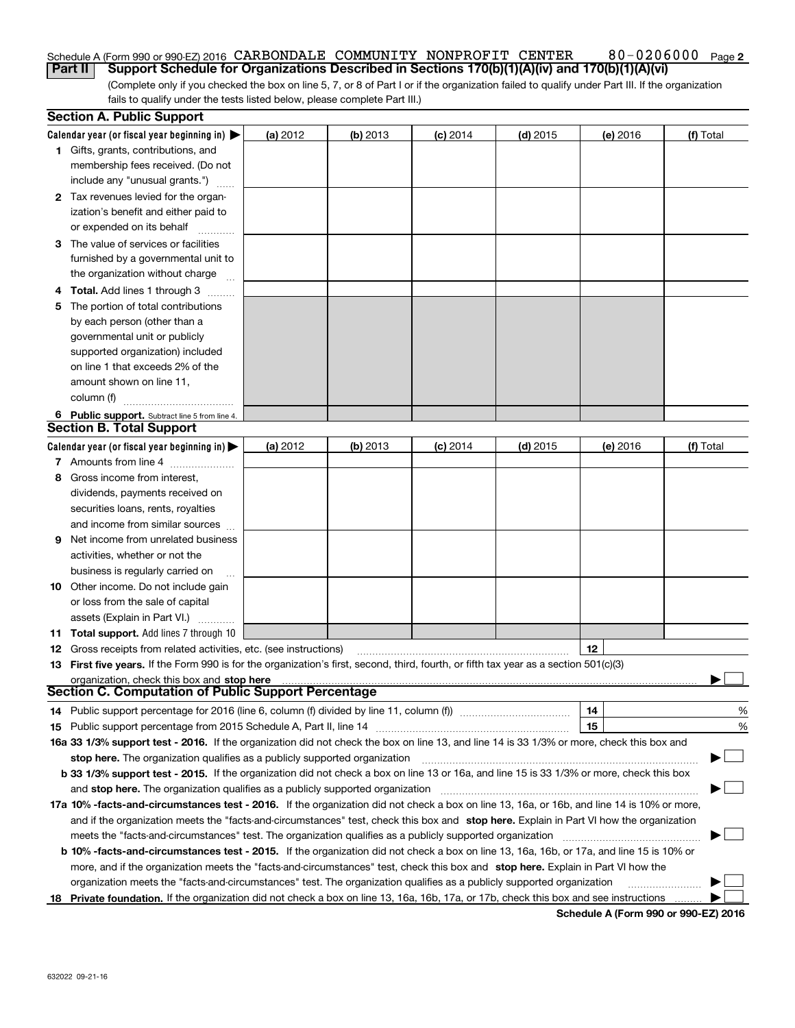#### **2** Schedule A (Form 990 or 990-EZ) 2016  $\,$  CARBONDALE  $\,$  COMMUNITY  $\,$  NONPROFIT  $\,$  CENTER  $\,$   $\,$   $\,$  80  $-$  0.206000  $\,$  Page **Part II Support Schedule for Organizations Described in Sections 170(b)(1)(A)(iv) and 170(b)(1)(A)(vi)**

(Complete only if you checked the box on line 5, 7, or 8 of Part I or if the organization failed to qualify under Part III. If the organization fails to qualify under the tests listed below, please complete Part III.)

|    | <b>Section A. Public Support</b>                                                                                                               |          |          |                 |            |          |           |
|----|------------------------------------------------------------------------------------------------------------------------------------------------|----------|----------|-----------------|------------|----------|-----------|
|    | Calendar year (or fiscal year beginning in) $\blacktriangleright$                                                                              | (a) 2012 | (b) 2013 | <b>(c)</b> 2014 | $(d)$ 2015 | (e) 2016 | (f) Total |
|    | 1 Gifts, grants, contributions, and                                                                                                            |          |          |                 |            |          |           |
|    | membership fees received. (Do not                                                                                                              |          |          |                 |            |          |           |
|    | include any "unusual grants.")                                                                                                                 |          |          |                 |            |          |           |
|    | 2 Tax revenues levied for the organ-                                                                                                           |          |          |                 |            |          |           |
|    | ization's benefit and either paid to                                                                                                           |          |          |                 |            |          |           |
|    | or expended on its behalf                                                                                                                      |          |          |                 |            |          |           |
|    | 3 The value of services or facilities                                                                                                          |          |          |                 |            |          |           |
|    | furnished by a governmental unit to                                                                                                            |          |          |                 |            |          |           |
|    | the organization without charge                                                                                                                |          |          |                 |            |          |           |
|    | 4 Total. Add lines 1 through 3<br>$\sim$                                                                                                       |          |          |                 |            |          |           |
| 5. | The portion of total contributions                                                                                                             |          |          |                 |            |          |           |
|    | by each person (other than a                                                                                                                   |          |          |                 |            |          |           |
|    | governmental unit or publicly                                                                                                                  |          |          |                 |            |          |           |
|    | supported organization) included                                                                                                               |          |          |                 |            |          |           |
|    | on line 1 that exceeds 2% of the                                                                                                               |          |          |                 |            |          |           |
|    | amount shown on line 11,                                                                                                                       |          |          |                 |            |          |           |
|    | column (f)                                                                                                                                     |          |          |                 |            |          |           |
|    | 6 Public support. Subtract line 5 from line 4.                                                                                                 |          |          |                 |            |          |           |
|    | <b>Section B. Total Support</b>                                                                                                                |          |          |                 |            |          |           |
|    | Calendar year (or fiscal year beginning in) $\blacktriangleright$                                                                              | (a) 2012 | (b) 2013 | $(c)$ 2014      | $(d)$ 2015 | (e) 2016 | (f) Total |
|    | 7 Amounts from line 4                                                                                                                          |          |          |                 |            |          |           |
| 8  | Gross income from interest,                                                                                                                    |          |          |                 |            |          |           |
|    | dividends, payments received on                                                                                                                |          |          |                 |            |          |           |
|    | securities loans, rents, royalties                                                                                                             |          |          |                 |            |          |           |
|    | and income from similar sources                                                                                                                |          |          |                 |            |          |           |
| 9. | Net income from unrelated business                                                                                                             |          |          |                 |            |          |           |
|    | activities, whether or not the                                                                                                                 |          |          |                 |            |          |           |
|    | business is regularly carried on                                                                                                               |          |          |                 |            |          |           |
|    | <b>10</b> Other income. Do not include gain                                                                                                    |          |          |                 |            |          |           |
|    | or loss from the sale of capital                                                                                                               |          |          |                 |            |          |           |
|    | assets (Explain in Part VI.)                                                                                                                   |          |          |                 |            |          |           |
|    | <b>11 Total support.</b> Add lines 7 through 10                                                                                                |          |          |                 |            |          |           |
|    | <b>12</b> Gross receipts from related activities, etc. (see instructions)                                                                      |          |          |                 |            | 12       |           |
|    | 13 First five years. If the Form 990 is for the organization's first, second, third, fourth, or fifth tax year as a section 501(c)(3)          |          |          |                 |            |          |           |
|    | organization, check this box and stop here                                                                                                     |          |          |                 |            |          |           |
|    | Section C. Computation of Public Support Percentage                                                                                            |          |          |                 |            |          |           |
|    | 14 Public support percentage for 2016 (line 6, column (f) divided by line 11, column (f) <i>mummention</i>                                     |          |          |                 |            | 14       | %         |
|    |                                                                                                                                                |          |          |                 |            | 15       | %         |
|    | 16a 33 1/3% support test - 2016. If the organization did not check the box on line 13, and line 14 is 33 1/3% or more, check this box and      |          |          |                 |            |          |           |
|    | stop here. The organization qualifies as a publicly supported organization                                                                     |          |          |                 |            |          | $\sim$    |
|    | b 33 1/3% support test - 2015. If the organization did not check a box on line 13 or 16a, and line 15 is 33 1/3% or more, check this box       |          |          |                 |            |          |           |
|    | and stop here. The organization qualifies as a publicly supported organization                                                                 |          |          |                 |            |          |           |
|    | 17a 10% -facts-and-circumstances test - 2016. If the organization did not check a box on line 13, 16a, or 16b, and line 14 is 10% or more,     |          |          |                 |            |          |           |
|    | and if the organization meets the "facts-and-circumstances" test, check this box and stop here. Explain in Part VI how the organization        |          |          |                 |            |          |           |
|    | meets the "facts-and-circumstances" test. The organization qualifies as a publicly supported organization                                      |          |          |                 |            |          |           |
|    | <b>b 10% -facts-and-circumstances test - 2015.</b> If the organization did not check a box on line 13, 16a, 16b, or 17a, and line 15 is 10% or |          |          |                 |            |          |           |
|    | more, and if the organization meets the "facts-and-circumstances" test, check this box and stop here. Explain in Part VI how the               |          |          |                 |            |          |           |
|    | organization meets the "facts-and-circumstances" test. The organization qualifies as a publicly supported organization                         |          |          |                 |            |          |           |
|    | 18 Private foundation. If the organization did not check a box on line 13, 16a, 16b, 17a, or 17b, check this box and see instructions          |          |          |                 |            |          |           |

**Schedule A (Form 990 or 990-EZ) 2016**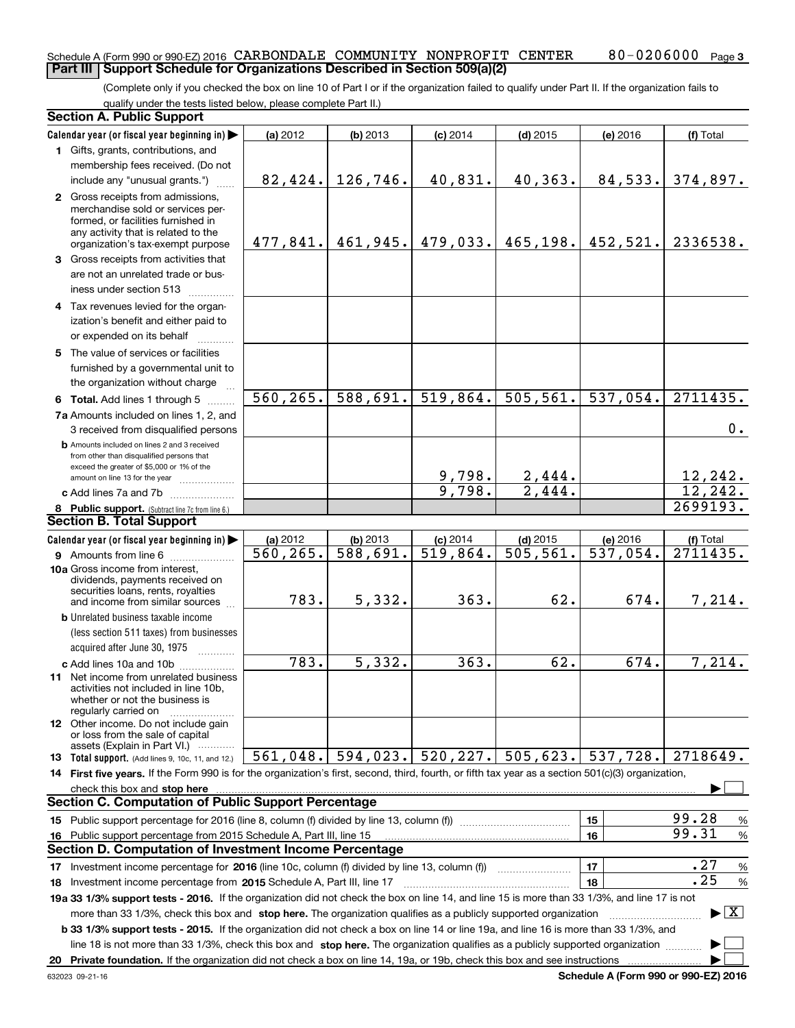#### **3** Schedule A (Form 990 or 990-EZ) 2016  $\,$  CARBONDALE  $\,$  COMMUNITY  $\,$  NONPROFIT  $\,$  CENTER  $\,$   $\,$   $\,$  80  $-$  0.206000  $\,$  Page **Part III** | Support Schedule for Organizations Described in Section 509(a)(2)

(Complete only if you checked the box on line 10 of Part I or if the organization failed to qualify under Part II. If the organization fails to qualify under the tests listed below, please complete Part II.)

| <b>Section A. Public Support</b>                                                                                                                                                                                                                                 |                         |                        |                        |                      |          |                                          |
|------------------------------------------------------------------------------------------------------------------------------------------------------------------------------------------------------------------------------------------------------------------|-------------------------|------------------------|------------------------|----------------------|----------|------------------------------------------|
| Calendar year (or fiscal year beginning in)                                                                                                                                                                                                                      | (a) 2012                | (b) 2013               | $(c)$ 2014             | $(d)$ 2015           | (e) 2016 | (f) Total                                |
| 1 Gifts, grants, contributions, and                                                                                                                                                                                                                              |                         |                        |                        |                      |          |                                          |
| membership fees received. (Do not                                                                                                                                                                                                                                |                         |                        |                        |                      |          |                                          |
| include any "unusual grants.")                                                                                                                                                                                                                                   | 82,424.                 | 126,746.               | 40,831.                | 40,363.              | 84,533.  | 374,897.                                 |
| 2 Gross receipts from admissions,<br>merchandise sold or services per-<br>formed, or facilities furnished in<br>any activity that is related to the<br>organization's tax-exempt purpose                                                                         | 477,841.                | 461,945.               | 479,033.               | 465, 198.            | 452,521. | 2336538.                                 |
| 3 Gross receipts from activities that                                                                                                                                                                                                                            |                         |                        |                        |                      |          |                                          |
| are not an unrelated trade or bus-<br>iness under section 513                                                                                                                                                                                                    |                         |                        |                        |                      |          |                                          |
| 4 Tax revenues levied for the organ-<br>ization's benefit and either paid to                                                                                                                                                                                     |                         |                        |                        |                      |          |                                          |
| or expended on its behalf                                                                                                                                                                                                                                        |                         |                        |                        |                      |          |                                          |
| 5 The value of services or facilities                                                                                                                                                                                                                            |                         |                        |                        |                      |          |                                          |
| furnished by a governmental unit to<br>the organization without charge                                                                                                                                                                                           |                         |                        |                        |                      |          |                                          |
| 6 Total. Add lines 1 through 5                                                                                                                                                                                                                                   | 560, 265.               | 588,691.               | 519,864.               | 505, 561.            | 537,054. | 2711435.                                 |
| 7a Amounts included on lines 1, 2, and<br>3 received from disqualified persons                                                                                                                                                                                   |                         |                        |                        |                      |          | 0.                                       |
| <b>b</b> Amounts included on lines 2 and 3 received<br>from other than disqualified persons that<br>exceed the greater of \$5,000 or 1% of the                                                                                                                   |                         |                        |                        |                      |          |                                          |
| amount on line 13 for the year                                                                                                                                                                                                                                   |                         |                        | 9,798.                 | 2,444.               |          | 12,242.                                  |
| c Add lines 7a and 7b                                                                                                                                                                                                                                            |                         |                        | 9,798.                 | 2,444.               |          | 12, 242.                                 |
| 8 Public support. (Subtract line 7c from line 6.)                                                                                                                                                                                                                |                         |                        |                        |                      |          | 2699193.                                 |
| <b>Section B. Total Support</b>                                                                                                                                                                                                                                  |                         |                        |                        |                      |          |                                          |
| Calendar year (or fiscal year beginning in)                                                                                                                                                                                                                      | (a) 2012                | (b) 2013               | $(c)$ 2014             | $(d)$ 2015           | (e) 2016 | (f) Total                                |
| <b>9</b> Amounts from line 6                                                                                                                                                                                                                                     | $\overline{560, 265}$ . | $\overline{588,691}$ . | $\overline{519,864}$ . | 505, 561.            | 537,054. | 2711435.                                 |
| 10a Gross income from interest,<br>dividends, payments received on<br>securities loans, rents, royalties                                                                                                                                                         |                         |                        |                        |                      |          |                                          |
| and income from similar sources                                                                                                                                                                                                                                  | 783.                    | 5,332.                 | 363.                   | 62.                  | 674.     | 7,214.                                   |
| <b>b</b> Unrelated business taxable income                                                                                                                                                                                                                       |                         |                        |                        |                      |          |                                          |
| (less section 511 taxes) from businesses                                                                                                                                                                                                                         |                         |                        |                        |                      |          |                                          |
| acquired after June 30, 1975                                                                                                                                                                                                                                     |                         |                        |                        |                      |          |                                          |
| c Add lines 10a and 10b<br>11 Net income from unrelated business<br>activities not included in line 10b,<br>whether or not the business is<br>regularly carried on                                                                                               | $\overline{783}$ .      | 5,332.                 | 363.                   | 62.                  | 674.     | 7,214.                                   |
| 12 Other income. Do not include gain<br>or loss from the sale of capital<br>assets (Explain in Part VI.)                                                                                                                                                         |                         |                        |                        |                      |          |                                          |
| 13 Total support. (Add lines 9, 10c, 11, and 12.)                                                                                                                                                                                                                | 561,048.                | 594,023.               |                        | $520, 227.$ 505,623. | 537,728. | 2718649.                                 |
| 14 First five years. If the Form 990 is for the organization's first, second, third, fourth, or fifth tax year as a section 501(c)(3) organization,                                                                                                              |                         |                        |                        |                      |          |                                          |
| check this box and stop here                                                                                                                                                                                                                                     |                         |                        |                        |                      |          |                                          |
| <b>Section C. Computation of Public Support Percentage</b>                                                                                                                                                                                                       |                         |                        |                        |                      |          |                                          |
| 15 Public support percentage for 2016 (line 8, column (f) divided by line 13, column (f))                                                                                                                                                                        |                         |                        |                        |                      | 15       | 99.28<br>%                               |
| 16 Public support percentage from 2015 Schedule A, Part III, line 15                                                                                                                                                                                             |                         |                        |                        |                      | 16       | 99.31<br>$\%$                            |
| Section D. Computation of Investment Income Percentage                                                                                                                                                                                                           |                         |                        |                        |                      |          |                                          |
| 17 Investment income percentage for 2016 (line 10c, column (f) divided by line 13, column (f))                                                                                                                                                                   |                         |                        |                        |                      | 17       | .27<br>%                                 |
| 18 Investment income percentage from 2015 Schedule A, Part III, line 17                                                                                                                                                                                          |                         |                        |                        |                      | 18       | .25<br>%                                 |
| 19a 33 1/3% support tests - 2016. If the organization did not check the box on line 14, and line 15 is more than 33 1/3%, and line 17 is not                                                                                                                     |                         |                        |                        |                      |          |                                          |
| more than 33 1/3%, check this box and stop here. The organization qualifies as a publicly supported organization<br><b>b 33 1/3% support tests - 2015.</b> If the organization did not check a box on line 14 or line 19a, and line 16 is more than 33 1/3%, and |                         |                        |                        |                      |          | $\blacktriangleright$ $\boxed{\text{X}}$ |
| line 18 is not more than 33 1/3%, check this box and stop here. The organization qualifies as a publicly supported organization                                                                                                                                  |                         |                        |                        |                      |          |                                          |
| 20 Private foundation. If the organization did not check a box on line 14, 19a, or 19b, check this box and see instructions                                                                                                                                      |                         |                        |                        |                      |          |                                          |

**Schedule A (Form 990 or 990-EZ) 2016**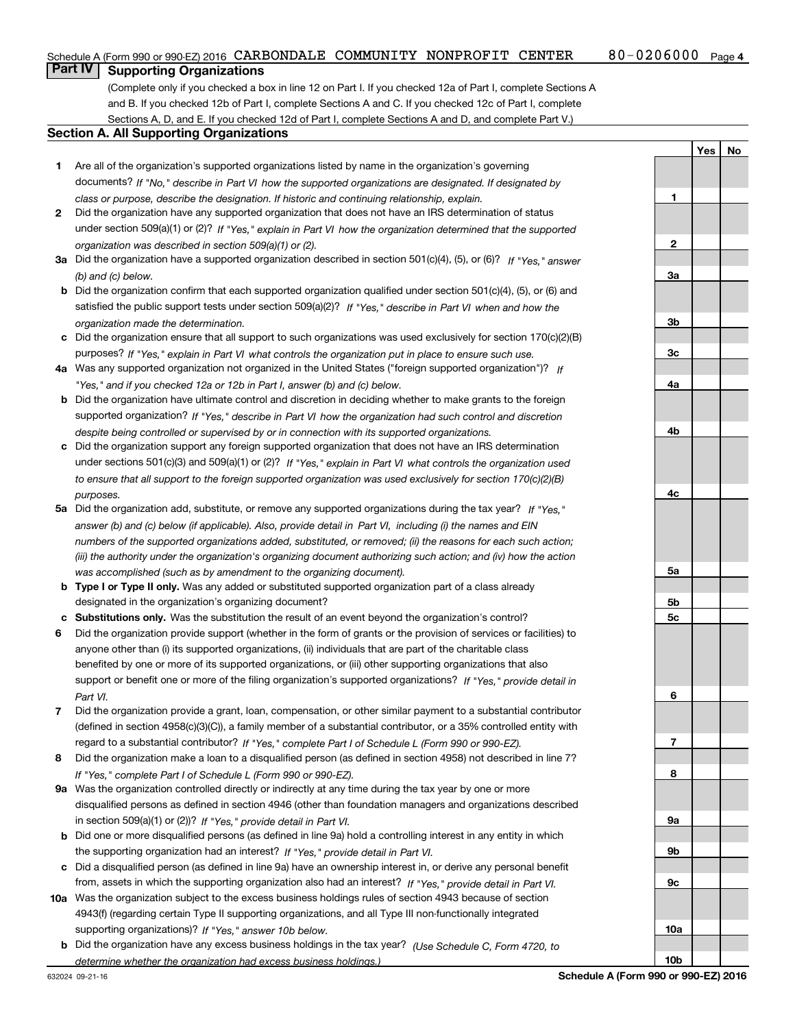#### 80-0206000 Page 4 Schedule A (Form 990 or 990-EZ) 2016  $\,$  CARBONDALE  $\,$  COMMUNITY  $\,$  NONPROFIT  $\,$  CENTER  $\,$   $\,$   $\,$  80  $-$  0.206000  $\,$  Page

# **Part IV Supporting Organizations**

(Complete only if you checked a box in line 12 on Part I. If you checked 12a of Part I, complete Sections A and B. If you checked 12b of Part I, complete Sections A and C. If you checked 12c of Part I, complete Sections A, D, and E. If you checked 12d of Part I, complete Sections A and D, and complete Part V.)

## **Section A. All Supporting Organizations**

- **1** Are all of the organization's supported organizations listed by name in the organization's governing documents? If "No," describe in Part VI how the supported organizations are designated. If designated by *class or purpose, describe the designation. If historic and continuing relationship, explain.*
- **2** Did the organization have any supported organization that does not have an IRS determination of status under section 509(a)(1) or (2)? If "Yes," explain in Part VI how the organization determined that the supported *organization was described in section 509(a)(1) or (2).*
- **3a** Did the organization have a supported organization described in section 501(c)(4), (5), or (6)? If "Yes," answer *(b) and (c) below.*
- **b** Did the organization confirm that each supported organization qualified under section 501(c)(4), (5), or (6) and satisfied the public support tests under section 509(a)(2)? If "Yes," describe in Part VI when and how the *organization made the determination.*
- **c**Did the organization ensure that all support to such organizations was used exclusively for section 170(c)(2)(B) purposes? If "Yes," explain in Part VI what controls the organization put in place to ensure such use.
- **4a***If* Was any supported organization not organized in the United States ("foreign supported organization")? *"Yes," and if you checked 12a or 12b in Part I, answer (b) and (c) below.*
- **b** Did the organization have ultimate control and discretion in deciding whether to make grants to the foreign supported organization? If "Yes," describe in Part VI how the organization had such control and discretion *despite being controlled or supervised by or in connection with its supported organizations.*
- **c** Did the organization support any foreign supported organization that does not have an IRS determination under sections 501(c)(3) and 509(a)(1) or (2)? If "Yes," explain in Part VI what controls the organization used *to ensure that all support to the foreign supported organization was used exclusively for section 170(c)(2)(B) purposes.*
- **5a***If "Yes,"* Did the organization add, substitute, or remove any supported organizations during the tax year? answer (b) and (c) below (if applicable). Also, provide detail in Part VI, including (i) the names and EIN *numbers of the supported organizations added, substituted, or removed; (ii) the reasons for each such action; (iii) the authority under the organization's organizing document authorizing such action; and (iv) how the action was accomplished (such as by amendment to the organizing document).*
- **b** Type I or Type II only. Was any added or substituted supported organization part of a class already designated in the organization's organizing document?
- **cSubstitutions only.**  Was the substitution the result of an event beyond the organization's control?
- **6** Did the organization provide support (whether in the form of grants or the provision of services or facilities) to *If "Yes," provide detail in* support or benefit one or more of the filing organization's supported organizations? anyone other than (i) its supported organizations, (ii) individuals that are part of the charitable class benefited by one or more of its supported organizations, or (iii) other supporting organizations that also *Part VI.*
- **7**Did the organization provide a grant, loan, compensation, or other similar payment to a substantial contributor *If "Yes," complete Part I of Schedule L (Form 990 or 990-EZ).* regard to a substantial contributor? (defined in section 4958(c)(3)(C)), a family member of a substantial contributor, or a 35% controlled entity with
- **8** Did the organization make a loan to a disqualified person (as defined in section 4958) not described in line 7? *If "Yes," complete Part I of Schedule L (Form 990 or 990-EZ).*
- **9a** Was the organization controlled directly or indirectly at any time during the tax year by one or more in section 509(a)(1) or (2))? If "Yes," *provide detail in Part VI.* disqualified persons as defined in section 4946 (other than foundation managers and organizations described
- **b** Did one or more disqualified persons (as defined in line 9a) hold a controlling interest in any entity in which the supporting organization had an interest? If "Yes," provide detail in Part VI.
- **c**Did a disqualified person (as defined in line 9a) have an ownership interest in, or derive any personal benefit from, assets in which the supporting organization also had an interest? If "Yes," provide detail in Part VI.
- **10a** Was the organization subject to the excess business holdings rules of section 4943 because of section supporting organizations)? If "Yes," answer 10b below. 4943(f) (regarding certain Type II supporting organizations, and all Type III non-functionally integrated
- **b** Did the organization have any excess business holdings in the tax year? (Use Schedule C, Form 4720, to *determine whether the organization had excess business holdings.)*

**YesNo**

**1**

**2**

**10b**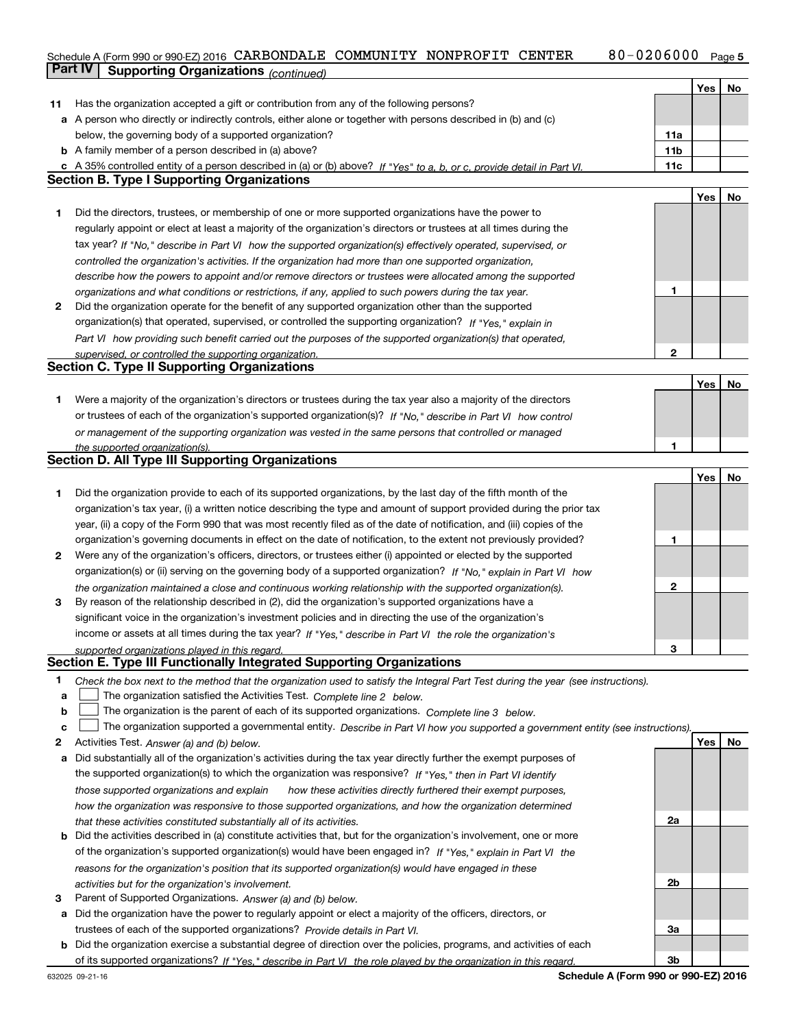#### **5** Schedule A (Form 990 or 990-EZ) 2016  $\,$  CARBONDALE  $\,$  COMMUNITY  $\,$  NONPROFIT  $\,$  CENTER  $\,$   $\,$   $\,$  80  $-$  0.206000  $\,$  Page **Part IV** Supporting Organizations *(continued)*

|        |                                                                                                                                                                               |                 | Yes | No |
|--------|-------------------------------------------------------------------------------------------------------------------------------------------------------------------------------|-----------------|-----|----|
|        | 11 Has the organization accepted a gift or contribution from any of the following persons?                                                                                    |                 |     |    |
|        | a A person who directly or indirectly controls, either alone or together with persons described in (b) and (c)                                                                |                 |     |    |
|        | below, the governing body of a supported organization?                                                                                                                        | 11a             |     |    |
|        | <b>b</b> A family member of a person described in (a) above?                                                                                                                  | 11 <sub>b</sub> |     |    |
|        | c A 35% controlled entity of a person described in (a) or (b) above? If "Yes" to a, b, or c, provide detail in Part VI.                                                       | 11c             |     |    |
|        | <b>Section B. Type I Supporting Organizations</b>                                                                                                                             |                 |     |    |
|        |                                                                                                                                                                               |                 | Yes | No |
| 1      | Did the directors, trustees, or membership of one or more supported organizations have the power to                                                                           |                 |     |    |
|        | regularly appoint or elect at least a majority of the organization's directors or trustees at all times during the                                                            |                 |     |    |
|        | tax year? If "No," describe in Part VI how the supported organization(s) effectively operated, supervised, or                                                                 |                 |     |    |
|        | controlled the organization's activities. If the organization had more than one supported organization,                                                                       |                 |     |    |
|        | describe how the powers to appoint and/or remove directors or trustees were allocated among the supported                                                                     |                 |     |    |
|        | organizations and what conditions or restrictions, if any, applied to such powers during the tax year.                                                                        | 1               |     |    |
| 2      | Did the organization operate for the benefit of any supported organization other than the supported                                                                           |                 |     |    |
|        | organization(s) that operated, supervised, or controlled the supporting organization? If "Yes," explain in                                                                    |                 |     |    |
|        | Part VI how providing such benefit carried out the purposes of the supported organization(s) that operated,                                                                   |                 |     |    |
|        | supervised, or controlled the supporting organization.                                                                                                                        | 2               |     |    |
|        | <b>Section C. Type II Supporting Organizations</b>                                                                                                                            |                 |     |    |
|        |                                                                                                                                                                               |                 | Yes | No |
| 1      | Were a majority of the organization's directors or trustees during the tax year also a majority of the directors                                                              |                 |     |    |
|        | or trustees of each of the organization's supported organization(s)? If "No," describe in Part VI how control                                                                 |                 |     |    |
|        | or management of the supporting organization was vested in the same persons that controlled or managed                                                                        |                 |     |    |
|        | the supported organization(s).                                                                                                                                                | 1               |     |    |
|        | Section D. All Type III Supporting Organizations                                                                                                                              |                 |     |    |
|        |                                                                                                                                                                               |                 | Yes | No |
| 1      | Did the organization provide to each of its supported organizations, by the last day of the fifth month of the                                                                |                 |     |    |
|        | organization's tax year, (i) a written notice describing the type and amount of support provided during the prior tax                                                         |                 |     |    |
|        | year, (ii) a copy of the Form 990 that was most recently filed as of the date of notification, and (iii) copies of the                                                        |                 |     |    |
|        | organization's governing documents in effect on the date of notification, to the extent not previously provided?                                                              | 1               |     |    |
| 2      | Were any of the organization's officers, directors, or trustees either (i) appointed or elected by the supported                                                              |                 |     |    |
|        | organization(s) or (ii) serving on the governing body of a supported organization? If "No," explain in Part VI how                                                            |                 |     |    |
|        | the organization maintained a close and continuous working relationship with the supported organization(s).                                                                   | 2               |     |    |
| 3      | By reason of the relationship described in (2), did the organization's supported organizations have a                                                                         |                 |     |    |
|        | significant voice in the organization's investment policies and in directing the use of the organization's                                                                    |                 |     |    |
|        | income or assets at all times during the tax year? If "Yes," describe in Part VI the role the organization's                                                                  |                 |     |    |
|        | supported organizations played in this regard.<br>Section E. Type III Functionally Integrated Supporting Organizations                                                        | З               |     |    |
|        |                                                                                                                                                                               |                 |     |    |
| 1      | Check the box next to the method that the organization used to satisfy the Integral Part Test during the year (see instructions).                                             |                 |     |    |
| a      | The organization satisfied the Activities Test. Complete line 2 below.                                                                                                        |                 |     |    |
| b      | The organization is the parent of each of its supported organizations. Complete line 3 below.                                                                                 |                 |     |    |
| c<br>2 | The organization supported a governmental entity. Describe in Part VI how you supported a government entity (see instructions).<br>Activities Test. Answer (a) and (b) below. |                 | Yes | No |
|        | Did substantially all of the organization's activities during the tax year directly further the exempt purposes of                                                            |                 |     |    |
| а      | the supported organization(s) to which the organization was responsive? If "Yes," then in Part VI identify                                                                    |                 |     |    |
|        | those supported organizations and explain<br>how these activities directly furthered their exempt purposes,                                                                   |                 |     |    |
|        | how the organization was responsive to those supported organizations, and how the organization determined                                                                     |                 |     |    |
|        | that these activities constituted substantially all of its activities.                                                                                                        | 2a              |     |    |
|        | <b>b</b> Did the activities described in (a) constitute activities that, but for the organization's involvement, one or more                                                  |                 |     |    |
|        | of the organization's supported organization(s) would have been engaged in? If "Yes," explain in Part VI the                                                                  |                 |     |    |
|        | reasons for the organization's position that its supported organization(s) would have engaged in these                                                                        |                 |     |    |
|        | activities but for the organization's involvement.                                                                                                                            | 2b              |     |    |
| з      | Parent of Supported Organizations. Answer (a) and (b) below.                                                                                                                  |                 |     |    |
|        | a Did the organization have the power to regularly appoint or elect a majority of the officers, directors, or                                                                 |                 |     |    |
|        | trustees of each of the supported organizations? Provide details in Part VI.                                                                                                  | За              |     |    |
|        | <b>b</b> Did the organization exercise a substantial degree of direction over the policies, programs, and activities of each                                                  |                 |     |    |
|        | of its supported organizations? If "Yes." describe in Part VI the role played by the organization in this regard.                                                             | 3b              |     |    |

**Schedule A (Form 990 or 990-EZ) 2016**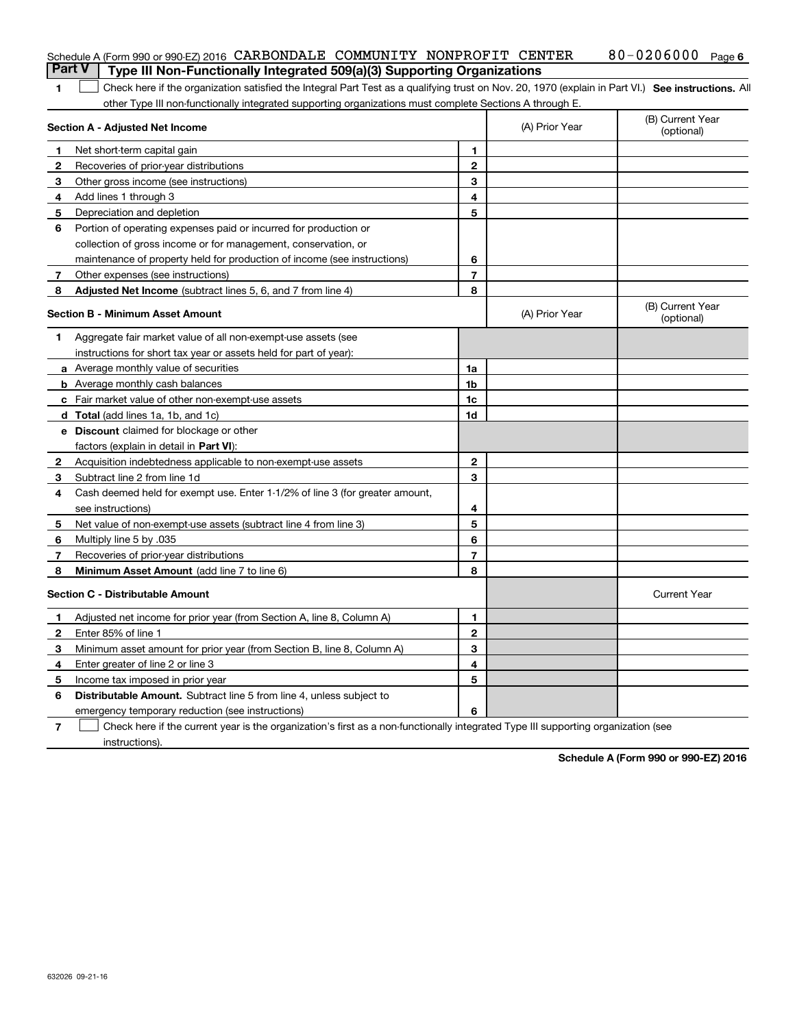| <b>Part V</b> | Schedule A (Form 990 or 990-EZ) 2016 CARBONDALE COMMUNITY NONPROFIT CENTER<br>Type III Non-Functionally Integrated 509(a)(3) Supporting Organizations |                |                | 80-0206000<br>Page 6           |
|---------------|-------------------------------------------------------------------------------------------------------------------------------------------------------|----------------|----------------|--------------------------------|
| 1             | Check here if the organization satisfied the Integral Part Test as a qualifying trust on Nov. 20, 1970 (explain in Part VI.) See instructions. All    |                |                |                                |
|               | other Type III non-functionally integrated supporting organizations must complete Sections A through E.                                               |                |                |                                |
|               | Section A - Adjusted Net Income                                                                                                                       |                | (A) Prior Year | (B) Current Year<br>(optional) |
|               | Net short-term capital gain                                                                                                                           | 1              |                |                                |
| 2             | Recoveries of prior-year distributions                                                                                                                | $\mathbf{2}$   |                |                                |
| 3             | Other gross income (see instructions)                                                                                                                 | 3              |                |                                |
| 4             | Add lines 1 through 3                                                                                                                                 | 4              |                |                                |
| 5             | Depreciation and depletion                                                                                                                            | 5              |                |                                |
| 6             | Portion of operating expenses paid or incurred for production or                                                                                      |                |                |                                |
|               | collection of gross income or for management, conservation, or                                                                                        |                |                |                                |
|               | maintenance of property held for production of income (see instructions)                                                                              | 6              |                |                                |
| 7             | Other expenses (see instructions)                                                                                                                     | $\overline{7}$ |                |                                |
| 8             | Adjusted Net Income (subtract lines 5, 6, and 7 from line 4)                                                                                          | 8              |                |                                |
|               | <b>Section B - Minimum Asset Amount</b>                                                                                                               |                | (A) Prior Year | (B) Current Year<br>(optional) |
| 1             | Aggregate fair market value of all non-exempt-use assets (see                                                                                         |                |                |                                |
|               | instructions for short tax year or assets held for part of year):                                                                                     |                |                |                                |
|               | <b>a</b> Average monthly value of securities                                                                                                          | 1a             |                |                                |
|               | <b>b</b> Average monthly cash balances                                                                                                                | 1b             |                |                                |
|               | c Fair market value of other non-exempt-use assets                                                                                                    | 1c             |                |                                |
|               | d Total (add lines 1a, 1b, and 1c)                                                                                                                    | 1d             |                |                                |
|               | <b>e</b> Discount claimed for blockage or other                                                                                                       |                |                |                                |
|               | factors (explain in detail in Part VI):                                                                                                               |                |                |                                |
| $\mathbf{2}$  | Acquisition indebtedness applicable to non-exempt-use assets                                                                                          | $\mathbf{2}$   |                |                                |
| З             | Subtract line 2 from line 1d                                                                                                                          | 3              |                |                                |
| 4             | Cash deemed held for exempt use. Enter 1-1/2% of line 3 (for greater amount,                                                                          |                |                |                                |
|               | see instructions)                                                                                                                                     | 4              |                |                                |
| 5             | Net value of non-exempt-use assets (subtract line 4 from line 3)                                                                                      | 5              |                |                                |
| 6             | Multiply line 5 by .035                                                                                                                               | 6              |                |                                |
| 7             | Recoveries of prior-year distributions                                                                                                                | $\overline{7}$ |                |                                |
| 8             | Minimum Asset Amount (add line 7 to line 6)                                                                                                           | 8              |                |                                |
|               | <b>Section C - Distributable Amount</b>                                                                                                               |                |                | <b>Current Year</b>            |
|               | Adjusted net income for prior year (from Section A, line 8, Column A)                                                                                 | 1              |                |                                |
|               | Enter 85% of line 1                                                                                                                                   | 2              |                |                                |
| 3             | Minimum asset amount for prior year (from Section B, line 8, Column A)                                                                                | 3              |                |                                |
| 4             | Enter greater of line 2 or line 3                                                                                                                     | 4              |                |                                |
| 5             | Income tax imposed in prior year                                                                                                                      | 5              |                |                                |
| 6             | <b>Distributable Amount.</b> Subtract line 5 from line 4, unless subject to                                                                           |                |                |                                |
|               | emergency temporary reduction (see instructions)                                                                                                      | 6              |                |                                |
| 7             | Check here if the current year is the organization's first as a non-functionally integrated Type III supporting organization (see                     |                |                |                                |

instructions).

**Schedule A (Form 990 or 990-EZ) 2016**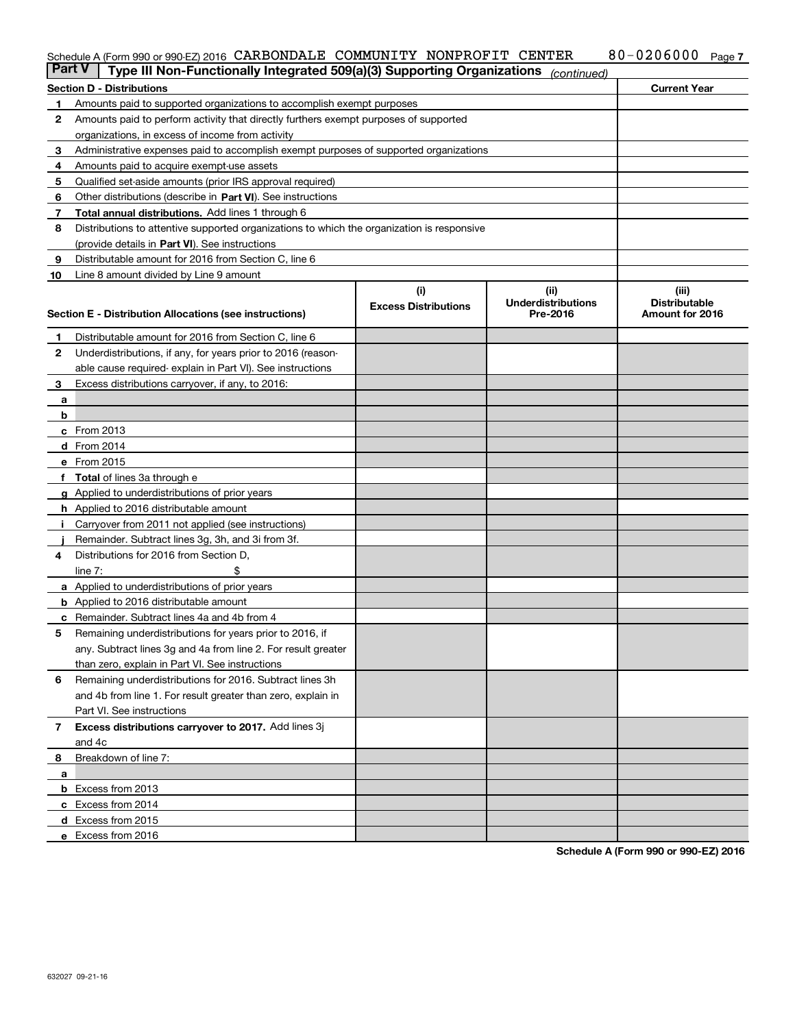## Schedule A (Form 990 or 990-EZ) 2016 CARBONDALE COMMUNITY NONPROFIT CENTER  $80$  – 0206000  $\,$  Page 7

| Part V | Type III Non-Functionally Integrated 509(a)(3) Supporting Organizations                    |                                    | (continued)                                   |                                                  |
|--------|--------------------------------------------------------------------------------------------|------------------------------------|-----------------------------------------------|--------------------------------------------------|
|        | <b>Section D - Distributions</b>                                                           |                                    |                                               | <b>Current Year</b>                              |
| 1      | Amounts paid to supported organizations to accomplish exempt purposes                      |                                    |                                               |                                                  |
| 2      | Amounts paid to perform activity that directly furthers exempt purposes of supported       |                                    |                                               |                                                  |
|        | organizations, in excess of income from activity                                           |                                    |                                               |                                                  |
| з      | Administrative expenses paid to accomplish exempt purposes of supported organizations      |                                    |                                               |                                                  |
| 4      | Amounts paid to acquire exempt-use assets                                                  |                                    |                                               |                                                  |
| 5      | Qualified set-aside amounts (prior IRS approval required)                                  |                                    |                                               |                                                  |
| 6      | Other distributions (describe in Part VI). See instructions                                |                                    |                                               |                                                  |
| 7      | Total annual distributions. Add lines 1 through 6                                          |                                    |                                               |                                                  |
| 8      | Distributions to attentive supported organizations to which the organization is responsive |                                    |                                               |                                                  |
|        | (provide details in Part VI). See instructions                                             |                                    |                                               |                                                  |
| 9      | Distributable amount for 2016 from Section C, line 6                                       |                                    |                                               |                                                  |
| 10     | Line 8 amount divided by Line 9 amount                                                     |                                    |                                               |                                                  |
|        | Section E - Distribution Allocations (see instructions)                                    | (i)<br><b>Excess Distributions</b> | (ii)<br><b>Underdistributions</b><br>Pre-2016 | (iii)<br><b>Distributable</b><br>Amount for 2016 |
| 1      | Distributable amount for 2016 from Section C, line 6                                       |                                    |                                               |                                                  |
| 2      | Underdistributions, if any, for years prior to 2016 (reason-                               |                                    |                                               |                                                  |
|        | able cause required-explain in Part VI). See instructions                                  |                                    |                                               |                                                  |
| 3      | Excess distributions carryover, if any, to 2016:                                           |                                    |                                               |                                                  |
| а      |                                                                                            |                                    |                                               |                                                  |
| b      |                                                                                            |                                    |                                               |                                                  |
|        | c From 2013                                                                                |                                    |                                               |                                                  |
|        | <b>d</b> From 2014                                                                         |                                    |                                               |                                                  |
|        | e From 2015                                                                                |                                    |                                               |                                                  |
|        | Total of lines 3a through e                                                                |                                    |                                               |                                                  |
|        | <b>g</b> Applied to underdistributions of prior years                                      |                                    |                                               |                                                  |
|        | <b>h</b> Applied to 2016 distributable amount                                              |                                    |                                               |                                                  |
|        | Carryover from 2011 not applied (see instructions)                                         |                                    |                                               |                                                  |
|        | Remainder. Subtract lines 3g, 3h, and 3i from 3f.                                          |                                    |                                               |                                                  |
| 4      | Distributions for 2016 from Section D,                                                     |                                    |                                               |                                                  |
|        | line $7:$                                                                                  |                                    |                                               |                                                  |
|        | <b>a</b> Applied to underdistributions of prior years                                      |                                    |                                               |                                                  |
|        | <b>b</b> Applied to 2016 distributable amount                                              |                                    |                                               |                                                  |
| c      | Remainder. Subtract lines 4a and 4b from 4                                                 |                                    |                                               |                                                  |
| 5      | Remaining underdistributions for years prior to 2016, if                                   |                                    |                                               |                                                  |
|        | any. Subtract lines 3g and 4a from line 2. For result greater                              |                                    |                                               |                                                  |
|        | than zero, explain in Part VI. See instructions                                            |                                    |                                               |                                                  |
| 6      | Remaining underdistributions for 2016. Subtract lines 3h                                   |                                    |                                               |                                                  |
|        | and 4b from line 1. For result greater than zero, explain in                               |                                    |                                               |                                                  |
|        | Part VI. See instructions                                                                  |                                    |                                               |                                                  |
| 7      | Excess distributions carryover to 2017. Add lines 3j                                       |                                    |                                               |                                                  |
|        | and 4c                                                                                     |                                    |                                               |                                                  |
| 8      | Breakdown of line 7:                                                                       |                                    |                                               |                                                  |

**b** Excess from 2013 **c** Excess from 2014 **d** Excess from 2015 **e** Excess from 2016

**Schedule A (Form 990 or 990-EZ) 2016**

**a**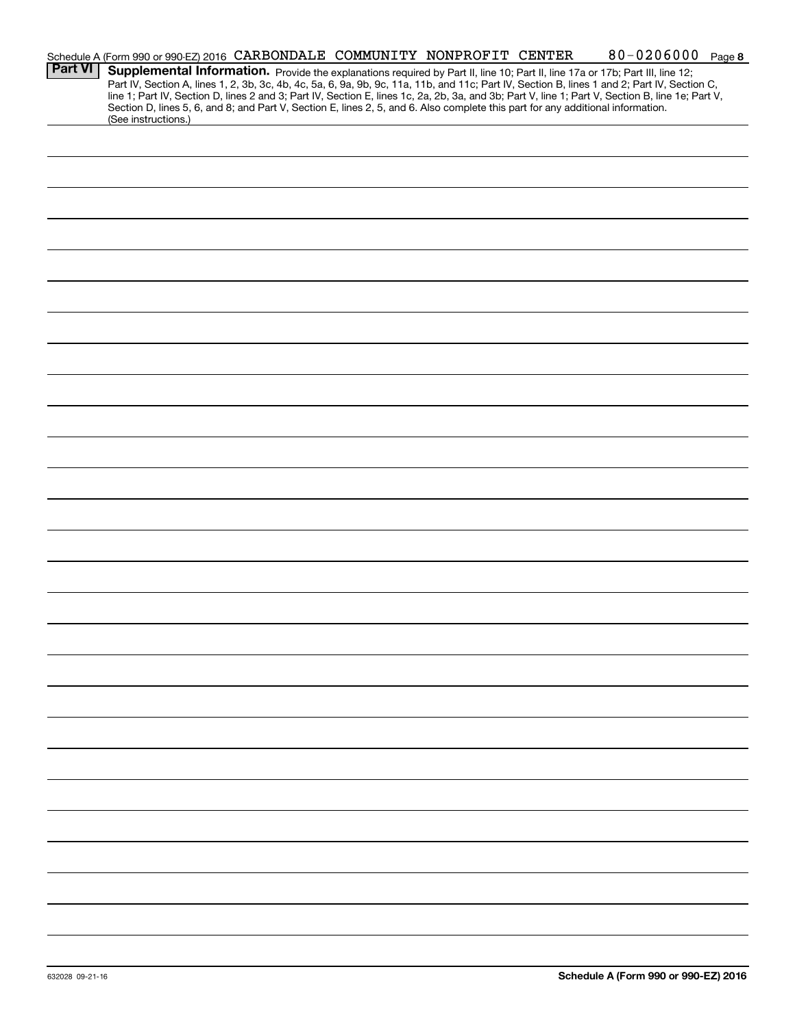|                | Schedule A (Form 990 or 990-EZ) 2016 CARBONDALE COMMUNITY NONPROFIT CENTER                                                                                                                                                                                                                                 |  |  | 80-0206000 Page 8 |  |
|----------------|------------------------------------------------------------------------------------------------------------------------------------------------------------------------------------------------------------------------------------------------------------------------------------------------------------|--|--|-------------------|--|
| <b>Part VI</b> | Supplemental Information. Provide the explanations required by Part II, line 10; Part II, line 17a or 17b; Part III, line 12;<br>Part IV, Section A, lines 1, 2, 3b, 3c, 4b, 4c, 5a, 6, 9a, 9b, 9c, 11a, 11b, and 11c; Part IV, Section B, lines 1 and 2; Part IV, Section C,                              |  |  |                   |  |
|                | line 1; Part IV, Section D, lines 2 and 3; Part IV, Section E, lines 1c, 2a, 2b, 3a, and 3b; Part V, line 1; Part V, Section B, line 1e; Part V,<br>Section D, lines 5, 6, and 8; and Part V, Section E, lines 2, 5, and 6. Also complete this part for any additional information.<br>(See instructions.) |  |  |                   |  |
|                |                                                                                                                                                                                                                                                                                                            |  |  |                   |  |
|                |                                                                                                                                                                                                                                                                                                            |  |  |                   |  |
|                |                                                                                                                                                                                                                                                                                                            |  |  |                   |  |
|                |                                                                                                                                                                                                                                                                                                            |  |  |                   |  |
|                |                                                                                                                                                                                                                                                                                                            |  |  |                   |  |
|                |                                                                                                                                                                                                                                                                                                            |  |  |                   |  |
|                |                                                                                                                                                                                                                                                                                                            |  |  |                   |  |
|                |                                                                                                                                                                                                                                                                                                            |  |  |                   |  |
|                |                                                                                                                                                                                                                                                                                                            |  |  |                   |  |
|                |                                                                                                                                                                                                                                                                                                            |  |  |                   |  |
|                |                                                                                                                                                                                                                                                                                                            |  |  |                   |  |
|                |                                                                                                                                                                                                                                                                                                            |  |  |                   |  |
|                |                                                                                                                                                                                                                                                                                                            |  |  |                   |  |
|                |                                                                                                                                                                                                                                                                                                            |  |  |                   |  |
|                |                                                                                                                                                                                                                                                                                                            |  |  |                   |  |
|                |                                                                                                                                                                                                                                                                                                            |  |  |                   |  |
|                |                                                                                                                                                                                                                                                                                                            |  |  |                   |  |
|                |                                                                                                                                                                                                                                                                                                            |  |  |                   |  |
|                |                                                                                                                                                                                                                                                                                                            |  |  |                   |  |
|                |                                                                                                                                                                                                                                                                                                            |  |  |                   |  |
|                |                                                                                                                                                                                                                                                                                                            |  |  |                   |  |
|                |                                                                                                                                                                                                                                                                                                            |  |  |                   |  |
|                |                                                                                                                                                                                                                                                                                                            |  |  |                   |  |
|                |                                                                                                                                                                                                                                                                                                            |  |  |                   |  |
|                |                                                                                                                                                                                                                                                                                                            |  |  |                   |  |
|                |                                                                                                                                                                                                                                                                                                            |  |  |                   |  |
|                |                                                                                                                                                                                                                                                                                                            |  |  |                   |  |
|                |                                                                                                                                                                                                                                                                                                            |  |  |                   |  |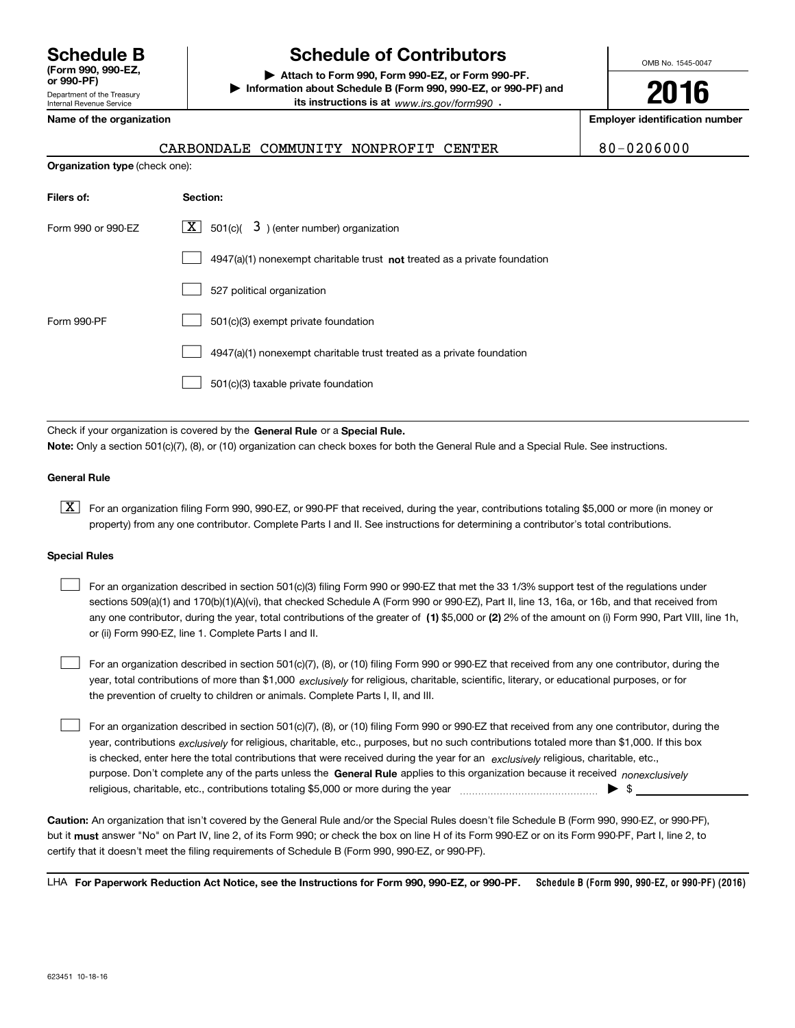Department of the Treasury Internal Revenue Service **(Form 990, 990-EZ, or 990-PF)**

# **Schedule B Schedule of Contributors**

**| Attach to Form 990, Form 990-EZ, or Form 990-PF. | Information about Schedule B (Form 990, 990-EZ, or 990-PF) and its instructions is at** www.irs.gov/form990  $\cdot$ 

**Name of the organization Employer identification number**

**Organization type** (check one):

CARBONDALE COMMUNITY NONPROFIT CENTER 80-0206000

OMB No. 1545-0047

**2016**

| Filers of:         | Section:                                                                    |
|--------------------|-----------------------------------------------------------------------------|
| Form 990 or 990-EZ | $\lfloor x \rfloor$ 501(c)( 3) (enter number) organization                  |
|                    | $4947(a)(1)$ nonexempt charitable trust not treated as a private foundation |
|                    | 527 political organization                                                  |
| Form 990-PF        | 501(c)(3) exempt private foundation                                         |
|                    | 4947(a)(1) nonexempt charitable trust treated as a private foundation       |
|                    | 501(c)(3) taxable private foundation                                        |

Check if your organization is covered by the **General Rule** or a **Special Rule. Note:**  Only a section 501(c)(7), (8), or (10) organization can check boxes for both the General Rule and a Special Rule. See instructions.

## **General Rule**

 $\boxed{\textbf{X}}$  For an organization filing Form 990, 990-EZ, or 990-PF that received, during the year, contributions totaling \$5,000 or more (in money or property) from any one contributor. Complete Parts I and II. See instructions for determining a contributor's total contributions.

### **Special Rules**

 $\Box$ 

 $\mathcal{L}^{\text{max}}$ 

| For an organization described in section 501(c)(3) filing Form 990 or 990-EZ that met the 33 1/3% support test of the regulations under              |
|------------------------------------------------------------------------------------------------------------------------------------------------------|
| sections 509(a)(1) and 170(b)(1)(A)(vi), that checked Schedule A (Form 990 or 990-EZ), Part II, line 13, 16a, or 16b, and that received from         |
| any one contributor, during the year, total contributions of the greater of (1) \$5,000 or (2) 2% of the amount on (i) Form 990, Part VIII, line 1h, |
| or (ii) Form 990-EZ, line 1. Complete Parts I and II.                                                                                                |

year, total contributions of more than \$1,000 *exclusively* for religious, charitable, scientific, literary, or educational purposes, or for For an organization described in section 501(c)(7), (8), or (10) filing Form 990 or 990-EZ that received from any one contributor, during the the prevention of cruelty to children or animals. Complete Parts I, II, and III.  $\mathcal{L}^{\text{max}}$ 

purpose. Don't complete any of the parts unless the **General Rule** applies to this organization because it received *nonexclusively* year, contributions <sub>exclusively</sub> for religious, charitable, etc., purposes, but no such contributions totaled more than \$1,000. If this box is checked, enter here the total contributions that were received during the year for an *exclusively* religious, charitable, etc., For an organization described in section 501(c)(7), (8), or (10) filing Form 990 or 990-EZ that received from any one contributor, during the religious, charitable, etc., contributions totaling \$5,000 or more during the year  $\ldots$  $\ldots$  $\ldots$  $\ldots$  $\ldots$  $\ldots$ 

**Caution:**  An organization that isn't covered by the General Rule and/or the Special Rules doesn't file Schedule B (Form 990, 990-EZ, or 990-PF),  **must** but it answer "No" on Part IV, line 2, of its Form 990; or check the box on line H of its Form 990-EZ or on its Form 990-PF, Part I, line 2, to certify that it doesn't meet the filing requirements of Schedule B (Form 990, 990-EZ, or 990-PF).

**Schedule B (Form 990, 990-EZ, or 990-PF) (2016) For Paperwork Reduction Act Notice, see the Instructions for Form 990, 990-EZ, or 990-PF.** LHA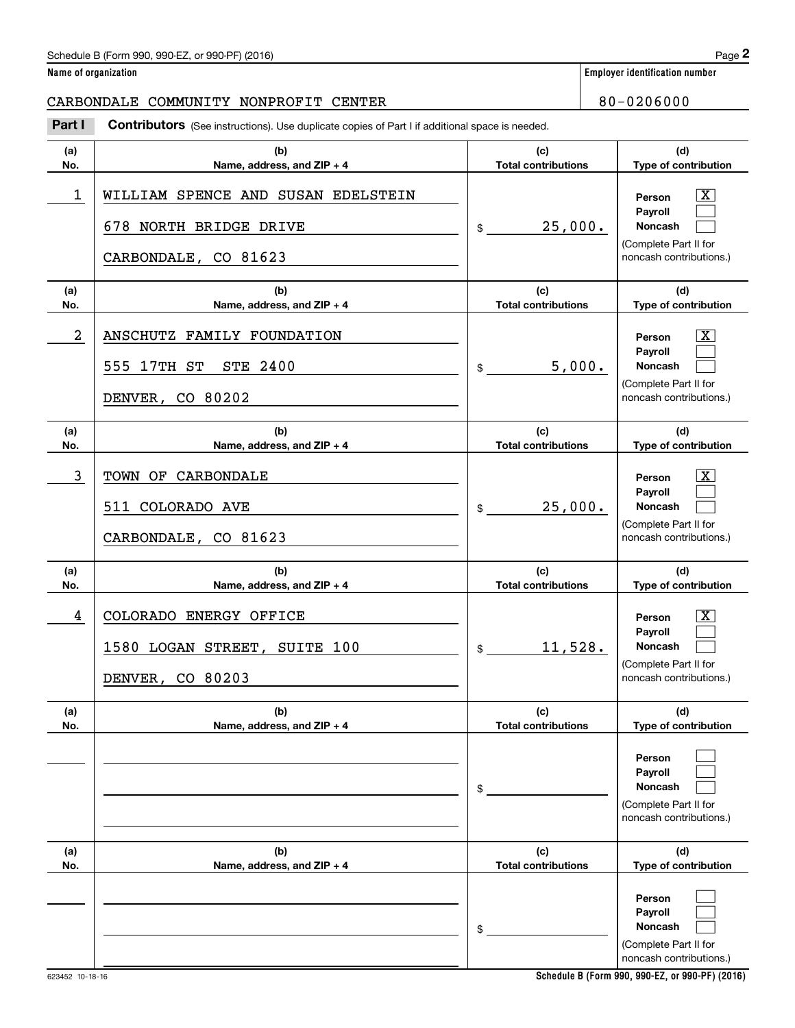# Schedule B (Form 990, 990-EZ, or 990-PF) (2016) Page 2

|                      | Schedule B (Form 990, 990-EZ, or 990-PF) (2016)                                                       |                                   |        | Page 2                                                                                                    |
|----------------------|-------------------------------------------------------------------------------------------------------|-----------------------------------|--------|-----------------------------------------------------------------------------------------------------------|
| Name of organization |                                                                                                       |                                   |        | <b>Employer identification number</b>                                                                     |
|                      | CARBONDALE COMMUNITY NONPROFIT CENTER                                                                 |                                   |        | 80-0206000                                                                                                |
| Part I               | <b>Contributors</b> (See instructions). Use duplicate copies of Part I if additional space is needed. |                                   |        |                                                                                                           |
| (a)<br>No.           | (b)<br>Name, address, and ZIP + 4                                                                     | (c)<br><b>Total contributions</b> |        | (d)<br>Type of contribution                                                                               |
| $\mathbf 1$          | WILLIAM SPENCE AND SUSAN EDELSTEIN<br>678 NORTH BRIDGE DRIVE<br>CARBONDALE, CO 81623                  | 25,000.<br>\$                     |        | $\overline{\text{X}}$<br>Person<br>Payroll<br>Noncash<br>(Complete Part II for<br>noncash contributions.) |
| (a)<br>No.           | (b)<br>Name, address, and ZIP + 4                                                                     | (c)<br><b>Total contributions</b> |        | (d)<br>Type of contribution                                                                               |
| $\overline{a}$       | ANSCHUTZ FAMILY FOUNDATION<br>555 17TH ST<br><b>STE 2400</b><br>DENVER, CO 80202                      | \$                                | 5,000. | $\overline{\text{X}}$<br>Person<br>Payroll<br>Noncash<br>(Complete Part II for<br>noncash contributions.) |
| (a)<br>No.           | (b)<br>Name, address, and ZIP + 4                                                                     | (c)<br><b>Total contributions</b> |        | (d)<br>Type of contribution                                                                               |
| 3                    | TOWN OF CARBONDALE<br>511 COLORADO AVE<br>CARBONDALE, CO 81623                                        | 25,000.<br>\$                     |        | $\overline{\text{X}}$<br>Person<br>Payroll<br>Noncash<br>(Complete Part II for<br>noncash contributions.) |
| (a)<br>No.           | (b)<br>Name, address, and ZIP + 4                                                                     | (c)<br><b>Total contributions</b> |        | (d)<br>Type of contribution                                                                               |
| 4                    | COLORADO ENERGY OFFICE<br>1580 LOGAN STREET, SUITE 100<br>DENVER, CO 80203                            | 11,528.<br>\$                     |        | $\mathbf{X}$<br>Person<br>Payroll<br><b>Noncash</b><br>(Complete Part II for<br>noncash contributions.)   |
| (a)<br>No.           | (b)<br>Name, address, and ZIP + 4                                                                     | (c)<br><b>Total contributions</b> |        | (d)<br>Type of contribution                                                                               |
|                      |                                                                                                       | \$                                |        | Person<br>Payroll<br>Noncash<br>(Complete Part II for<br>noncash contributions.)                          |
| (a)<br>No.           | (b)<br>Name, address, and ZIP + 4                                                                     | (c)<br><b>Total contributions</b> |        | (d)<br>Type of contribution                                                                               |
|                      |                                                                                                       | \$                                |        | Person<br>Payroll<br>Noncash<br>(Complete Part II for<br>noncash contributions.)                          |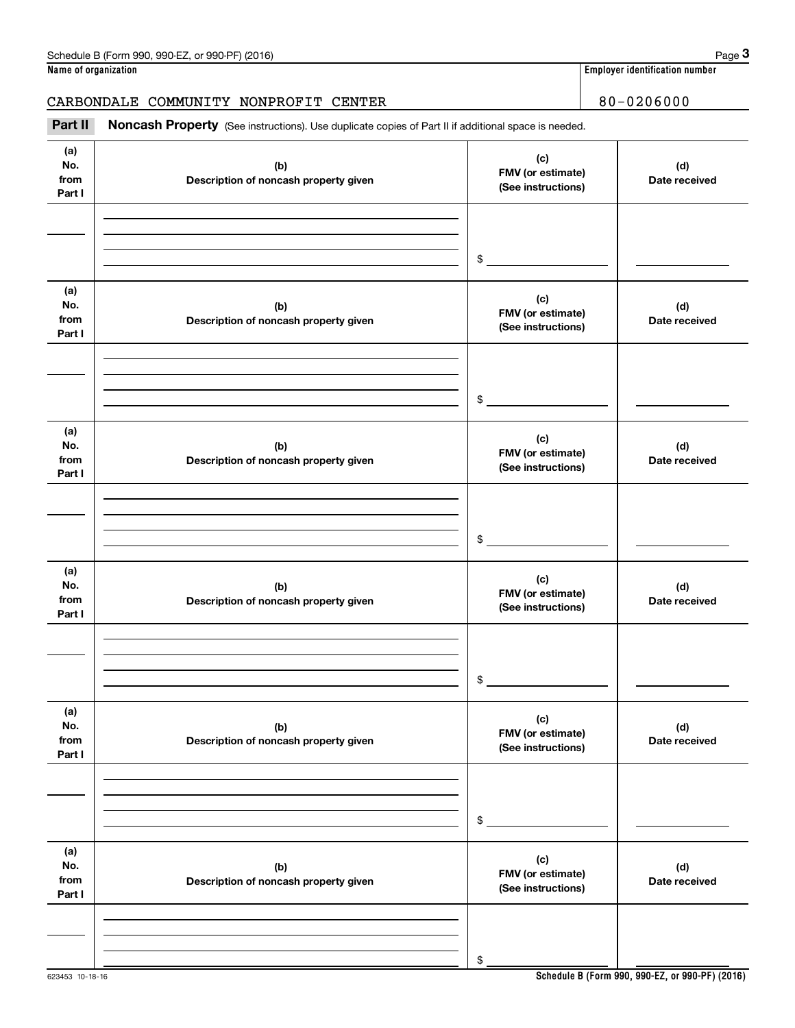CARBONDALE COMMUNITY NONPROFIT CENTER **EXAMPLE 180-0206000** 

#### **(a) No.fromPart I (c)FMV (or estimate) (See instructions) (b) Description of noncash property given (d) Date received (a)No.fromPart I (c) FMV (or estimate) (See instructions) (b) Description of noncash property given (d) Date received (a)No.fromPart I (c)FMV (or estimate) (See instructions) (b) Description of noncash property given (d) Date received (a) No.fromPart I (c) FMV (or estimate) (See instructions) (b)Description of noncash property given (d)Date received (a) No.fromPart I (c) FMV (or estimate) (See instructions) (b) Description of noncash property given (d) Date received (a) No.fromPart I (c)FMV (or estimate) (See instructions) (b)Description of noncash property given (d)Date received Noncash Property** (See instructions). Use duplicate copies of Part II if additional space is needed. \$\$\$\$\$\$Employer identification number<br>ame of organization<br>**2Part II Noncash Property** (See instructions). Use duplicate copies of Part II if additional space is needed.<br>2Part II **Noncash Property** (See instructions). Use duplic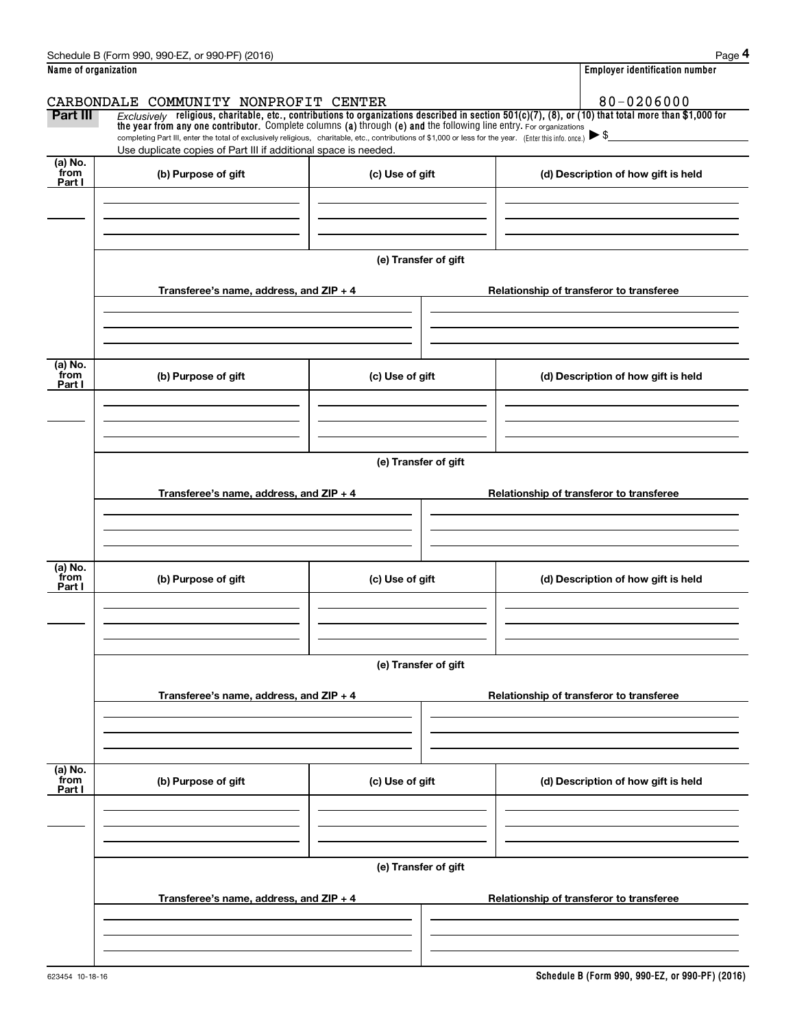| Schedule B (Form 990, 990-EZ, or 990-PF) (2016) | Page |
|-------------------------------------------------|------|
| .                                               |      |

|                           | Schedule B (Form 990, 990-EZ, or 990-PF) (2016)                                                                                                                                                                                                                                 |                      | Page 4                                                                                                                                                  |  |  |  |
|---------------------------|---------------------------------------------------------------------------------------------------------------------------------------------------------------------------------------------------------------------------------------------------------------------------------|----------------------|---------------------------------------------------------------------------------------------------------------------------------------------------------|--|--|--|
| Name of organization      |                                                                                                                                                                                                                                                                                 |                      | <b>Employer identification number</b>                                                                                                                   |  |  |  |
|                           | CARBONDALE COMMUNITY NONPROFIT CENTER                                                                                                                                                                                                                                           |                      | 80-0206000                                                                                                                                              |  |  |  |
| Part III                  |                                                                                                                                                                                                                                                                                 |                      | $Exclusively$ religious, charitable, etc., contributions to organizations described in section 501(c)(7), (8), or (10) that total more than \$1,000 for |  |  |  |
|                           | the year from any one contributor. Complete columns (a) through (e) and the following line entry. For organizations<br>completing Part III, enter the total of exclusively religious, charitable, etc., contributions of \$1,000 or less for the year. (Enter this info. once.) |                      |                                                                                                                                                         |  |  |  |
|                           | Use duplicate copies of Part III if additional space is needed.                                                                                                                                                                                                                 |                      |                                                                                                                                                         |  |  |  |
| (a) No.<br>from<br>Part I | (b) Purpose of gift                                                                                                                                                                                                                                                             | (c) Use of gift      | (d) Description of how gift is held                                                                                                                     |  |  |  |
|                           |                                                                                                                                                                                                                                                                                 |                      |                                                                                                                                                         |  |  |  |
|                           |                                                                                                                                                                                                                                                                                 |                      |                                                                                                                                                         |  |  |  |
|                           |                                                                                                                                                                                                                                                                                 |                      |                                                                                                                                                         |  |  |  |
|                           |                                                                                                                                                                                                                                                                                 | (e) Transfer of gift |                                                                                                                                                         |  |  |  |
|                           | Transferee's name, address, and $ZIP + 4$                                                                                                                                                                                                                                       |                      | Relationship of transferor to transferee                                                                                                                |  |  |  |
|                           |                                                                                                                                                                                                                                                                                 |                      |                                                                                                                                                         |  |  |  |
|                           |                                                                                                                                                                                                                                                                                 |                      |                                                                                                                                                         |  |  |  |
|                           |                                                                                                                                                                                                                                                                                 |                      |                                                                                                                                                         |  |  |  |
| (a) No.<br>from           |                                                                                                                                                                                                                                                                                 |                      |                                                                                                                                                         |  |  |  |
| Part I                    | (b) Purpose of gift                                                                                                                                                                                                                                                             | (c) Use of gift      | (d) Description of how gift is held                                                                                                                     |  |  |  |
|                           |                                                                                                                                                                                                                                                                                 |                      |                                                                                                                                                         |  |  |  |
|                           |                                                                                                                                                                                                                                                                                 |                      |                                                                                                                                                         |  |  |  |
|                           |                                                                                                                                                                                                                                                                                 |                      |                                                                                                                                                         |  |  |  |
|                           | (e) Transfer of gift                                                                                                                                                                                                                                                            |                      |                                                                                                                                                         |  |  |  |
|                           | Transferee's name, address, and $ZIP + 4$                                                                                                                                                                                                                                       |                      | Relationship of transferor to transferee                                                                                                                |  |  |  |
|                           |                                                                                                                                                                                                                                                                                 |                      |                                                                                                                                                         |  |  |  |
|                           |                                                                                                                                                                                                                                                                                 |                      |                                                                                                                                                         |  |  |  |
|                           |                                                                                                                                                                                                                                                                                 |                      |                                                                                                                                                         |  |  |  |
| (a) No.<br>from           | (b) Purpose of gift<br>(c) Use of gift                                                                                                                                                                                                                                          |                      | (d) Description of how gift is held                                                                                                                     |  |  |  |
| Part I                    |                                                                                                                                                                                                                                                                                 |                      |                                                                                                                                                         |  |  |  |
|                           |                                                                                                                                                                                                                                                                                 |                      |                                                                                                                                                         |  |  |  |
|                           |                                                                                                                                                                                                                                                                                 |                      |                                                                                                                                                         |  |  |  |
|                           | (e) Transfer of gift                                                                                                                                                                                                                                                            |                      |                                                                                                                                                         |  |  |  |
|                           |                                                                                                                                                                                                                                                                                 |                      |                                                                                                                                                         |  |  |  |
|                           | Transferee's name, address, and ZIP + 4                                                                                                                                                                                                                                         |                      | Relationship of transferor to transferee                                                                                                                |  |  |  |
|                           |                                                                                                                                                                                                                                                                                 |                      |                                                                                                                                                         |  |  |  |
|                           |                                                                                                                                                                                                                                                                                 |                      |                                                                                                                                                         |  |  |  |
|                           |                                                                                                                                                                                                                                                                                 |                      |                                                                                                                                                         |  |  |  |
| (a) No.<br>from<br>Part I | (b) Purpose of gift                                                                                                                                                                                                                                                             | (c) Use of gift      | (d) Description of how gift is held                                                                                                                     |  |  |  |
|                           |                                                                                                                                                                                                                                                                                 |                      |                                                                                                                                                         |  |  |  |
|                           |                                                                                                                                                                                                                                                                                 |                      |                                                                                                                                                         |  |  |  |
|                           |                                                                                                                                                                                                                                                                                 |                      |                                                                                                                                                         |  |  |  |
|                           |                                                                                                                                                                                                                                                                                 | (e) Transfer of gift |                                                                                                                                                         |  |  |  |
|                           |                                                                                                                                                                                                                                                                                 |                      |                                                                                                                                                         |  |  |  |
|                           | Transferee's name, address, and $ZIP + 4$                                                                                                                                                                                                                                       |                      | Relationship of transferor to transferee                                                                                                                |  |  |  |
|                           |                                                                                                                                                                                                                                                                                 |                      |                                                                                                                                                         |  |  |  |
|                           |                                                                                                                                                                                                                                                                                 |                      |                                                                                                                                                         |  |  |  |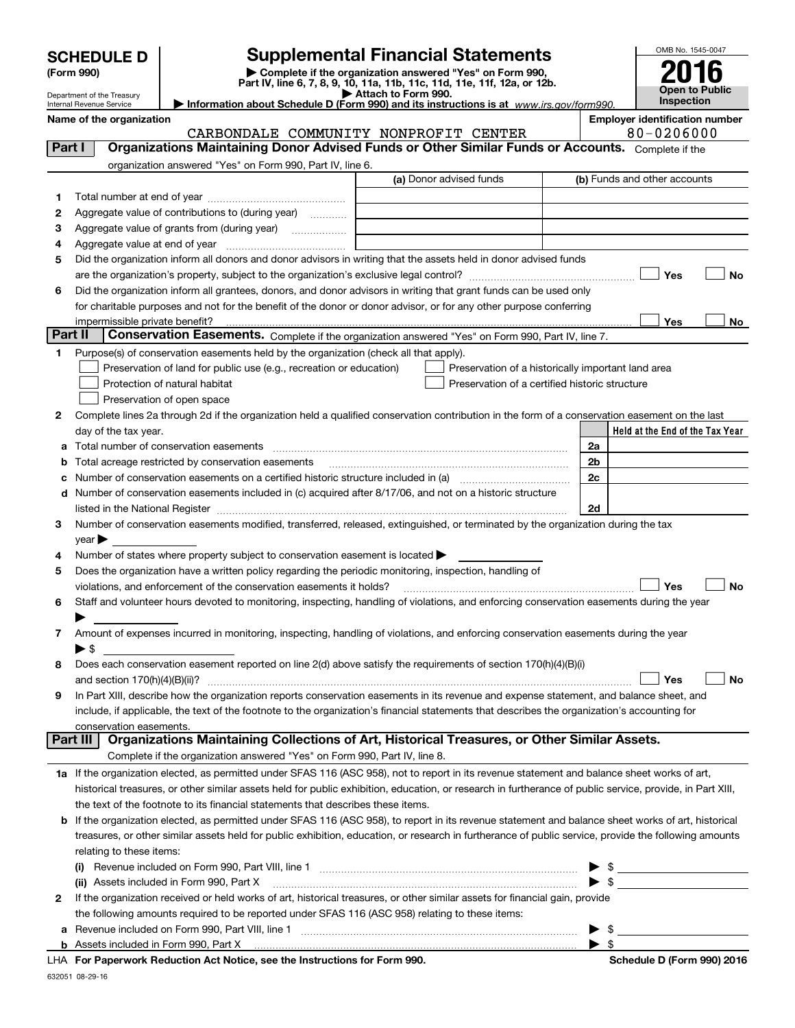# **SCHEDULE D Supplemental Financial Statements**

(Form 990)<br>
Pepartment of the Treasury<br>
Department of the Treasury<br>
Department of the Treasury<br>
Information about Schedule D (Form 990) and its instructions is at www.irs.gov/form990.



|         | Department of the Treasury<br>Internal Revenue Service |                                                                                                                                                                                                                               | Attach to Form 990.<br>Information about Schedule D (Form 990) and its instructions is at www.irs.gov/form990. |    | Open to Public<br>Inspection          |
|---------|--------------------------------------------------------|-------------------------------------------------------------------------------------------------------------------------------------------------------------------------------------------------------------------------------|----------------------------------------------------------------------------------------------------------------|----|---------------------------------------|
|         | Name of the organization                               |                                                                                                                                                                                                                               |                                                                                                                |    | <b>Employer identification number</b> |
|         |                                                        |                                                                                                                                                                                                                               | CARBONDALE COMMUNITY NONPROFIT CENTER                                                                          |    | 80-0206000                            |
| Part I  |                                                        | Organizations Maintaining Donor Advised Funds or Other Similar Funds or Accounts. Complete if the                                                                                                                             |                                                                                                                |    |                                       |
|         |                                                        | organization answered "Yes" on Form 990, Part IV, line 6.                                                                                                                                                                     |                                                                                                                |    |                                       |
|         |                                                        |                                                                                                                                                                                                                               | (a) Donor advised funds                                                                                        |    | (b) Funds and other accounts          |
| 1.      |                                                        |                                                                                                                                                                                                                               |                                                                                                                |    |                                       |
| 2       |                                                        | Aggregate value of contributions to (during year)                                                                                                                                                                             |                                                                                                                |    |                                       |
| 3       |                                                        | Aggregate value of grants from (during year)                                                                                                                                                                                  |                                                                                                                |    |                                       |
| 4       |                                                        |                                                                                                                                                                                                                               |                                                                                                                |    |                                       |
| 5       |                                                        | Did the organization inform all donors and donor advisors in writing that the assets held in donor advised funds                                                                                                              |                                                                                                                |    |                                       |
|         |                                                        |                                                                                                                                                                                                                               |                                                                                                                |    | Yes<br>No                             |
| 6       |                                                        | Did the organization inform all grantees, donors, and donor advisors in writing that grant funds can be used only                                                                                                             |                                                                                                                |    |                                       |
|         |                                                        | for charitable purposes and not for the benefit of the donor or donor advisor, or for any other purpose conferring                                                                                                            |                                                                                                                |    |                                       |
| Part II | impermissible private benefit?                         | Conservation Easements. Complete if the organization answered "Yes" on Form 990, Part IV, line 7.                                                                                                                             |                                                                                                                |    | Yes<br>No                             |
| 1       |                                                        | Purpose(s) of conservation easements held by the organization (check all that apply).                                                                                                                                         |                                                                                                                |    |                                       |
|         |                                                        | Preservation of land for public use (e.g., recreation or education)                                                                                                                                                           | Preservation of a historically important land area                                                             |    |                                       |
|         |                                                        | Protection of natural habitat                                                                                                                                                                                                 | Preservation of a certified historic structure                                                                 |    |                                       |
|         |                                                        | Preservation of open space                                                                                                                                                                                                    |                                                                                                                |    |                                       |
| 2       |                                                        | Complete lines 2a through 2d if the organization held a qualified conservation contribution in the form of a conservation easement on the last                                                                                |                                                                                                                |    |                                       |
|         | day of the tax year.                                   |                                                                                                                                                                                                                               |                                                                                                                |    | Held at the End of the Tax Year       |
| а       |                                                        | Total number of conservation easements                                                                                                                                                                                        |                                                                                                                | 2a |                                       |
| b       |                                                        | Total acreage restricted by conservation easements                                                                                                                                                                            |                                                                                                                | 2b |                                       |
| с       |                                                        |                                                                                                                                                                                                                               |                                                                                                                | 2c |                                       |
| d       |                                                        | Number of conservation easements included in (c) acquired after 8/17/06, and not on a historic structure                                                                                                                      |                                                                                                                |    |                                       |
|         |                                                        | listed in the National Register [111] Marshall Register [11] Marshall Register [11] Marshall Register [11] Marshall Register [11] Marshall Register [11] Marshall Register [11] Marshall Register [11] Marshall Register [11] |                                                                                                                | 2d |                                       |
| 3       |                                                        | Number of conservation easements modified, transferred, released, extinguished, or terminated by the organization during the tax                                                                                              |                                                                                                                |    |                                       |
|         | year $\blacktriangleright$                             |                                                                                                                                                                                                                               |                                                                                                                |    |                                       |
| 4       |                                                        | Number of states where property subject to conservation easement is located                                                                                                                                                   |                                                                                                                |    |                                       |
| 5       |                                                        | Does the organization have a written policy regarding the periodic monitoring, inspection, handling of                                                                                                                        |                                                                                                                |    |                                       |
|         |                                                        | violations, and enforcement of the conservation easements it holds?                                                                                                                                                           |                                                                                                                |    | Yes<br>No                             |
| 6       |                                                        | Staff and volunteer hours devoted to monitoring, inspecting, handling of violations, and enforcing conservation easements during the year                                                                                     |                                                                                                                |    |                                       |
|         |                                                        |                                                                                                                                                                                                                               |                                                                                                                |    |                                       |
| 7       |                                                        | Amount of expenses incurred in monitoring, inspecting, handling of violations, and enforcing conservation easements during the year                                                                                           |                                                                                                                |    |                                       |
|         | $\blacktriangleright$ \$                               |                                                                                                                                                                                                                               |                                                                                                                |    |                                       |
| 8       |                                                        | Does each conservation easement reported on line 2(d) above satisfy the requirements of section 170(h)(4)(B)(i)                                                                                                               |                                                                                                                |    |                                       |
|         | and section 170(h)(4)(B)(ii)?                          |                                                                                                                                                                                                                               |                                                                                                                |    | No<br>Yes                             |
| 9       |                                                        | In Part XIII, describe how the organization reports conservation easements in its revenue and expense statement, and balance sheet, and                                                                                       |                                                                                                                |    |                                       |
|         |                                                        | include, if applicable, the text of the footnote to the organization's financial statements that describes the organization's accounting for                                                                                  |                                                                                                                |    |                                       |
|         | conservation easements.<br>Part III                    | Organizations Maintaining Collections of Art, Historical Treasures, or Other Similar Assets.                                                                                                                                  |                                                                                                                |    |                                       |
|         |                                                        | Complete if the organization answered "Yes" on Form 990, Part IV, line 8.                                                                                                                                                     |                                                                                                                |    |                                       |
|         |                                                        | 1a If the organization elected, as permitted under SFAS 116 (ASC 958), not to report in its revenue statement and balance sheet works of art,                                                                                 |                                                                                                                |    |                                       |
|         |                                                        | historical treasures, or other similar assets held for public exhibition, education, or research in furtherance of public service, provide, in Part XIII,                                                                     |                                                                                                                |    |                                       |
|         |                                                        | the text of the footnote to its financial statements that describes these items.                                                                                                                                              |                                                                                                                |    |                                       |
|         |                                                        | If the organization elected, as permitted under SFAS 116 (ASC 958), to report in its revenue statement and balance sheet works of art, historical                                                                             |                                                                                                                |    |                                       |
| b       |                                                        | treasures, or other similar assets held for public exhibition, education, or research in furtherance of public service, provide the following amounts                                                                         |                                                                                                                |    |                                       |
|         | relating to these items:                               |                                                                                                                                                                                                                               |                                                                                                                |    |                                       |
|         | (I)                                                    |                                                                                                                                                                                                                               |                                                                                                                | \$ |                                       |
|         |                                                        | (ii) Assets included in Form 990, Part X                                                                                                                                                                                      |                                                                                                                | \$ |                                       |
| 2       |                                                        | If the organization received or held works of art, historical treasures, or other similar assets for financial gain, provide                                                                                                  |                                                                                                                |    |                                       |
|         |                                                        | the following amounts required to be reported under SFAS 116 (ASC 958) relating to these items:                                                                                                                               |                                                                                                                |    |                                       |

| Revenue included on Form 990, Part VIII, line |  |
|-----------------------------------------------|--|
| Assets included in Form 990, Part X           |  |

**For Paperwork Reduction Act Notice, see the Instructions for Form 990. Schedule D (Form 990) 2016** LHA

 $\blacktriangleright$  \$

 $\blacktriangleright$  \$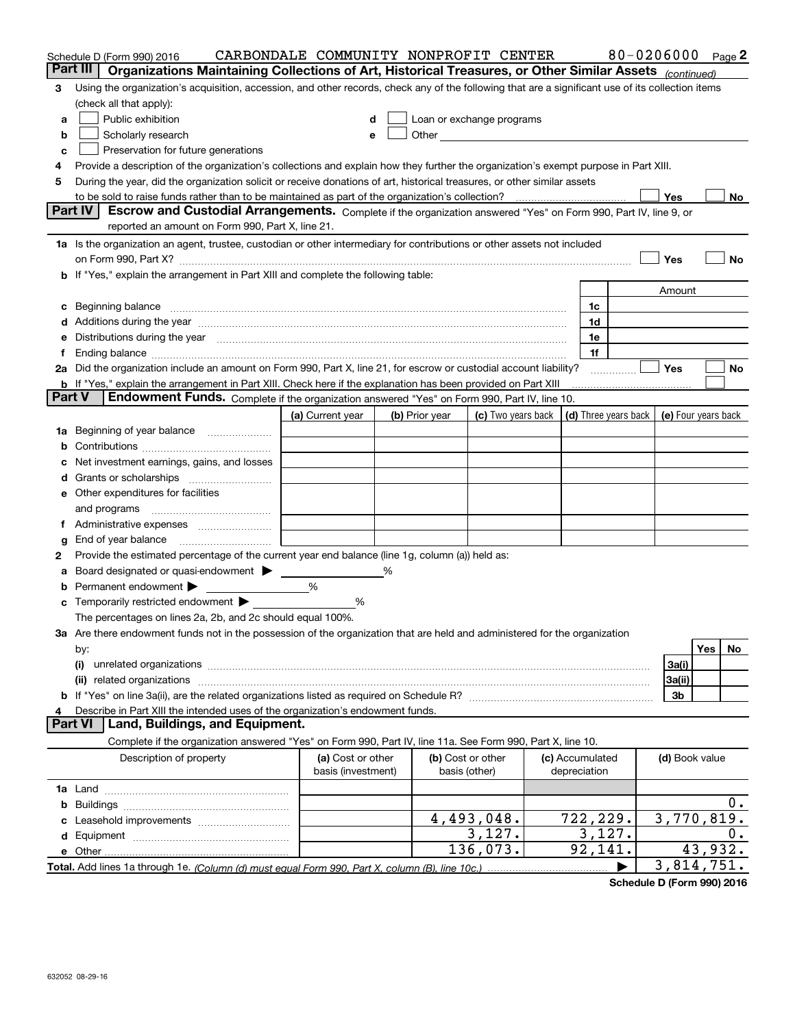|        | Schedule D (Form 990) 2016                                                                                                                                                                                                     | CARBONDALE COMMUNITY NONPROFIT CENTER   |   |                |                                                                                                                                                                                                                                      |                                 | 80-0206000 Page 2                    |                     |            |    |
|--------|--------------------------------------------------------------------------------------------------------------------------------------------------------------------------------------------------------------------------------|-----------------------------------------|---|----------------|--------------------------------------------------------------------------------------------------------------------------------------------------------------------------------------------------------------------------------------|---------------------------------|--------------------------------------|---------------------|------------|----|
|        | Part III<br>Organizations Maintaining Collections of Art, Historical Treasures, or Other Similar Assets (continued)                                                                                                            |                                         |   |                |                                                                                                                                                                                                                                      |                                 |                                      |                     |            |    |
| з      | Using the organization's acquisition, accession, and other records, check any of the following that are a significant use of its collection items                                                                              |                                         |   |                |                                                                                                                                                                                                                                      |                                 |                                      |                     |            |    |
|        | (check all that apply):                                                                                                                                                                                                        |                                         |   |                |                                                                                                                                                                                                                                      |                                 |                                      |                     |            |    |
| a      | Public exhibition                                                                                                                                                                                                              |                                         |   |                | Loan or exchange programs                                                                                                                                                                                                            |                                 |                                      |                     |            |    |
| b      | Scholarly research                                                                                                                                                                                                             | e                                       |   |                | Other <u>with the contract of the contract of the contract of the contract of the contract of the contract of the contract of the contract of the contract of the contract of the contract of the contract of the contract of th</u> |                                 |                                      |                     |            |    |
| c      | Preservation for future generations                                                                                                                                                                                            |                                         |   |                |                                                                                                                                                                                                                                      |                                 |                                      |                     |            |    |
|        | Provide a description of the organization's collections and explain how they further the organization's exempt purpose in Part XIII.                                                                                           |                                         |   |                |                                                                                                                                                                                                                                      |                                 |                                      |                     |            |    |
| 5      | During the year, did the organization solicit or receive donations of art, historical treasures, or other similar assets                                                                                                       |                                         |   |                |                                                                                                                                                                                                                                      |                                 |                                      |                     |            |    |
|        | to be sold to raise funds rather than to be maintained as part of the organization's collection?                                                                                                                               |                                         |   |                |                                                                                                                                                                                                                                      |                                 |                                      | Yes                 |            | No |
|        | Part IV<br>Escrow and Custodial Arrangements. Complete if the organization answered "Yes" on Form 990, Part IV, line 9, or                                                                                                     |                                         |   |                |                                                                                                                                                                                                                                      |                                 |                                      |                     |            |    |
|        | reported an amount on Form 990, Part X, line 21.                                                                                                                                                                               |                                         |   |                |                                                                                                                                                                                                                                      |                                 |                                      |                     |            |    |
|        | 1a Is the organization an agent, trustee, custodian or other intermediary for contributions or other assets not included                                                                                                       |                                         |   |                |                                                                                                                                                                                                                                      |                                 |                                      |                     |            |    |
|        | on Form 990, Part X? [11] matter contracts and contracts and contracts are contracted and contracts are contracted and contract and contract of the set of the set of the set of the set of the set of the set of the set of t |                                         |   |                |                                                                                                                                                                                                                                      |                                 |                                      | Yes                 |            | No |
|        | b If "Yes," explain the arrangement in Part XIII and complete the following table:                                                                                                                                             |                                         |   |                |                                                                                                                                                                                                                                      |                                 |                                      |                     |            |    |
|        |                                                                                                                                                                                                                                |                                         |   |                |                                                                                                                                                                                                                                      |                                 |                                      | Amount              |            |    |
|        | c Beginning balance measurements and the contract of the contract of the contract of the contract of the contract of the contract of the contract of the contract of the contract of the contract of the contract of the contr |                                         |   |                |                                                                                                                                                                                                                                      | 1c<br>1d                        |                                      |                     |            |    |
|        | d Additions during the year measurements are all an according to the year measurement of the year measurement of the state of the state of the state of the state of the state of the state of the state of the state of the s |                                         |   |                |                                                                                                                                                                                                                                      | 1e                              |                                      |                     |            |    |
|        | Distributions during the year manufactured and continuum and the year manufactured and the year manufactured and the year manufactured and the year manufactured and the year manufactured and the year manufactured and the y |                                         |   |                |                                                                                                                                                                                                                                      | 1f                              |                                      |                     |            |    |
|        | 2a Did the organization include an amount on Form 990, Part X, line 21, for escrow or custodial account liability?                                                                                                             |                                         |   |                |                                                                                                                                                                                                                                      |                                 |                                      | Yes                 |            | No |
|        | <b>b</b> If "Yes," explain the arrangement in Part XIII. Check here if the explanation has been provided on Part XIII                                                                                                          |                                         |   |                |                                                                                                                                                                                                                                      |                                 |                                      |                     |            |    |
| Part V | Endowment Funds. Complete if the organization answered "Yes" on Form 990, Part IV, line 10.                                                                                                                                    |                                         |   |                |                                                                                                                                                                                                                                      |                                 |                                      |                     |            |    |
|        |                                                                                                                                                                                                                                | (a) Current year                        |   | (b) Prior year | (c) Two years back                                                                                                                                                                                                                   |                                 | $\vert$ (d) Three years back $\vert$ | (e) Four years back |            |    |
| 1a     | Beginning of year balance                                                                                                                                                                                                      |                                         |   |                |                                                                                                                                                                                                                                      |                                 |                                      |                     |            |    |
|        |                                                                                                                                                                                                                                |                                         |   |                |                                                                                                                                                                                                                                      |                                 |                                      |                     |            |    |
|        | Net investment earnings, gains, and losses                                                                                                                                                                                     |                                         |   |                |                                                                                                                                                                                                                                      |                                 |                                      |                     |            |    |
|        |                                                                                                                                                                                                                                |                                         |   |                |                                                                                                                                                                                                                                      |                                 |                                      |                     |            |    |
|        | e Other expenditures for facilities                                                                                                                                                                                            |                                         |   |                |                                                                                                                                                                                                                                      |                                 |                                      |                     |            |    |
|        | and programs                                                                                                                                                                                                                   |                                         |   |                |                                                                                                                                                                                                                                      |                                 |                                      |                     |            |    |
|        |                                                                                                                                                                                                                                |                                         |   |                |                                                                                                                                                                                                                                      |                                 |                                      |                     |            |    |
| g      |                                                                                                                                                                                                                                |                                         |   |                |                                                                                                                                                                                                                                      |                                 |                                      |                     |            |    |
| 2      | Provide the estimated percentage of the current year end balance (line 1g, column (a)) held as:                                                                                                                                |                                         |   |                |                                                                                                                                                                                                                                      |                                 |                                      |                     |            |    |
| а      | Board designated or quasi-endowment                                                                                                                                                                                            |                                         | % |                |                                                                                                                                                                                                                                      |                                 |                                      |                     |            |    |
|        | Permanent endowment $\blacktriangleright$                                                                                                                                                                                      | %                                       |   |                |                                                                                                                                                                                                                                      |                                 |                                      |                     |            |    |
|        | Temporarily restricted endowment $\blacktriangleright$                                                                                                                                                                         | %                                       |   |                |                                                                                                                                                                                                                                      |                                 |                                      |                     |            |    |
|        | The percentages on lines 2a, 2b, and 2c should equal 100%.                                                                                                                                                                     |                                         |   |                |                                                                                                                                                                                                                                      |                                 |                                      |                     |            |    |
|        | 3a Are there endowment funds not in the possession of the organization that are held and administered for the organization                                                                                                     |                                         |   |                |                                                                                                                                                                                                                                      |                                 |                                      |                     |            |    |
|        | by:                                                                                                                                                                                                                            |                                         |   |                |                                                                                                                                                                                                                                      |                                 |                                      |                     | <b>Yes</b> | No |
|        | (i)                                                                                                                                                                                                                            |                                         |   |                |                                                                                                                                                                                                                                      |                                 |                                      | 3a(i)               |            |    |
|        | related organizations<br>(ii)                                                                                                                                                                                                  |                                         |   |                |                                                                                                                                                                                                                                      |                                 |                                      | 3a(ii)              |            |    |
|        |                                                                                                                                                                                                                                |                                         |   |                |                                                                                                                                                                                                                                      |                                 |                                      | 3b                  |            |    |
|        | Describe in Part XIII the intended uses of the organization's endowment funds.<br><b>Part VI</b><br>Land, Buildings, and Equipment.                                                                                            |                                         |   |                |                                                                                                                                                                                                                                      |                                 |                                      |                     |            |    |
|        |                                                                                                                                                                                                                                |                                         |   |                |                                                                                                                                                                                                                                      |                                 |                                      |                     |            |    |
|        | Complete if the organization answered "Yes" on Form 990, Part IV, line 11a. See Form 990, Part X, line 10.                                                                                                                     |                                         |   |                |                                                                                                                                                                                                                                      |                                 |                                      |                     |            |    |
|        | Description of property                                                                                                                                                                                                        | (a) Cost or other<br>basis (investment) |   |                | (b) Cost or other<br>basis (other)                                                                                                                                                                                                   | (c) Accumulated<br>depreciation |                                      | (d) Book value      |            |    |
|        |                                                                                                                                                                                                                                |                                         |   |                |                                                                                                                                                                                                                                      |                                 |                                      |                     |            |    |
|        |                                                                                                                                                                                                                                |                                         |   |                |                                                                                                                                                                                                                                      |                                 |                                      |                     |            | υ. |
|        |                                                                                                                                                                                                                                |                                         |   |                | 4,493,048.                                                                                                                                                                                                                           | 722,229.                        |                                      | 3,770,819.          |            |    |
|        |                                                                                                                                                                                                                                |                                         |   |                | 3,127.                                                                                                                                                                                                                               | 3,127.                          |                                      |                     |            | О. |
|        |                                                                                                                                                                                                                                |                                         |   |                | 136,073.                                                                                                                                                                                                                             | 92,141.                         |                                      |                     | 43,932.    |    |
|        | Total. Add lines 1a through 1e. (Column (d) must equal Form 990. Part X. column (B). line 10c.)                                                                                                                                |                                         |   |                |                                                                                                                                                                                                                                      |                                 |                                      | 3,814,751.          |            |    |

**Schedule D (Form 990) 2016**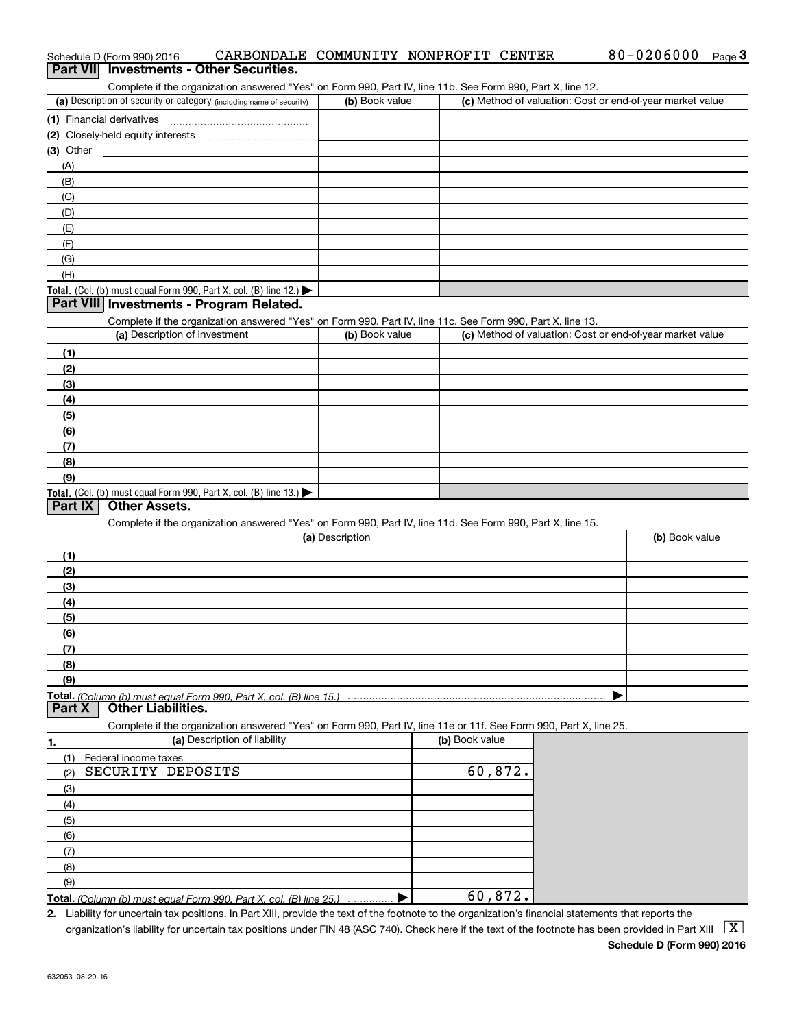|    | Complete if the organization answered "Yes" on Form 990, Part IV, line 11b. See Form 990, Part X, line 12.        |                 |                |                |                                                           |
|----|-------------------------------------------------------------------------------------------------------------------|-----------------|----------------|----------------|-----------------------------------------------------------|
|    | (a) Description of security or category (including name of security)                                              |                 | (b) Book value |                | (c) Method of valuation: Cost or end-of-year market value |
|    |                                                                                                                   |                 |                |                |                                                           |
|    |                                                                                                                   |                 |                |                |                                                           |
|    | (3) Other                                                                                                         |                 |                |                |                                                           |
|    | (A)                                                                                                               |                 |                |                |                                                           |
|    | (B)                                                                                                               |                 |                |                |                                                           |
|    | (C)                                                                                                               |                 |                |                |                                                           |
|    | (D)                                                                                                               |                 |                |                |                                                           |
|    | (E)                                                                                                               |                 |                |                |                                                           |
|    | (F)                                                                                                               |                 |                |                |                                                           |
|    | (G)                                                                                                               |                 |                |                |                                                           |
|    | (H)                                                                                                               |                 |                |                |                                                           |
|    | <b>Total.</b> (Col. (b) must equal Form 990, Part X, col. (B) line 12.)                                           |                 |                |                |                                                           |
|    | Part VIII Investments - Program Related.                                                                          |                 |                |                |                                                           |
|    | Complete if the organization answered "Yes" on Form 990, Part IV, line 11c. See Form 990, Part X, line 13.        |                 |                |                |                                                           |
|    | (a) Description of investment                                                                                     |                 | (b) Book value |                | (c) Method of valuation: Cost or end-of-year market value |
|    | (1)                                                                                                               |                 |                |                |                                                           |
|    | (2)                                                                                                               |                 |                |                |                                                           |
|    | (3)                                                                                                               |                 |                |                |                                                           |
|    | (4)                                                                                                               |                 |                |                |                                                           |
|    | (5)                                                                                                               |                 |                |                |                                                           |
|    | (6)                                                                                                               |                 |                |                |                                                           |
|    | (7)                                                                                                               |                 |                |                |                                                           |
|    | (8)                                                                                                               |                 |                |                |                                                           |
|    | (9)                                                                                                               |                 |                |                |                                                           |
|    |                                                                                                                   |                 |                |                |                                                           |
|    | <b>Total.</b> (Col. (b) must equal Form 990, Part X, col. (B) line 13.)                                           |                 |                |                |                                                           |
|    | <b>Other Assets.</b><br><b>Part IX</b>                                                                            |                 |                |                |                                                           |
|    | Complete if the organization answered "Yes" on Form 990, Part IV, line 11d. See Form 990, Part X, line 15.        |                 |                |                |                                                           |
|    |                                                                                                                   | (a) Description |                |                | (b) Book value                                            |
|    | (1)                                                                                                               |                 |                |                |                                                           |
|    | (2)                                                                                                               |                 |                |                |                                                           |
|    | (3)                                                                                                               |                 |                |                |                                                           |
|    | (4)                                                                                                               |                 |                |                |                                                           |
|    | (5)                                                                                                               |                 |                |                |                                                           |
|    | (6)                                                                                                               |                 |                |                |                                                           |
|    | (7)                                                                                                               |                 |                |                |                                                           |
|    | (8)                                                                                                               |                 |                |                |                                                           |
|    | (9)                                                                                                               |                 |                |                |                                                           |
|    | Total. (Column (b) must equal Form 990. Part X. col. (B) line 15.)                                                |                 |                |                |                                                           |
|    | <b>Part X</b><br><b>Other Liabilities.</b>                                                                        |                 |                |                |                                                           |
|    | Complete if the organization answered "Yes" on Form 990, Part IV, line 11e or 11f. See Form 990, Part X, line 25. |                 |                |                |                                                           |
| 1. | (a) Description of liability                                                                                      |                 |                | (b) Book value |                                                           |
|    | (1)<br>Federal income taxes                                                                                       |                 |                |                |                                                           |
|    | SECURITY DEPOSITS<br>(2)                                                                                          |                 |                | 60,872.        |                                                           |
|    | (3)                                                                                                               |                 |                |                |                                                           |
|    | (4)                                                                                                               |                 |                |                |                                                           |
|    | (5)                                                                                                               |                 |                |                |                                                           |
|    | (6)                                                                                                               |                 |                |                |                                                           |
|    | (7)                                                                                                               |                 |                |                |                                                           |
|    | (8)                                                                                                               |                 |                |                |                                                           |
|    | (9)                                                                                                               |                 |                |                |                                                           |
|    | Total. (Column (b) must equal Form 990. Part X, col. (B) line 25.)                                                |                 |                | 60,872.        |                                                           |

**2.** Liability for uncertain tax positions. In Part XIII, provide the text of the footnote to the organization's financial statements that reports the organization's liability for uncertain tax positions under FIN 48 (ASC 740). Check here if the text of the footnote has been provided in Part XIII  $~\boxed{\rm X}$ 

# Schedule D (Form 990) 2016 CARBONDALE COMMUNITY NONPROFIT CENTER 80-0206000 <sub>Page</sub> 3<br>| **Part VII** | Investments - Other Securities.

| ັ                                                                    |                |                                                           |
|----------------------------------------------------------------------|----------------|-----------------------------------------------------------|
| (a) Description of security or category (including name of security) | (b) Book value | (c) Method of valuation: Cost or end-of-year market value |
| 1) Financial derivatives                                             |                |                                                           |
| (2) Closely-held equity interests                                    |                |                                                           |
| 3) Other                                                             |                |                                                           |
| (A)                                                                  |                |                                                           |
| (B)                                                                  |                |                                                           |
| (C)                                                                  |                |                                                           |
| (D)                                                                  |                |                                                           |
| (E)                                                                  |                |                                                           |
| (F)                                                                  |                |                                                           |
| (G)                                                                  |                |                                                           |
| (H)                                                                  |                |                                                           |
| $\blacksquare$ . In the second the second contract $\blacksquare$    |                |                                                           |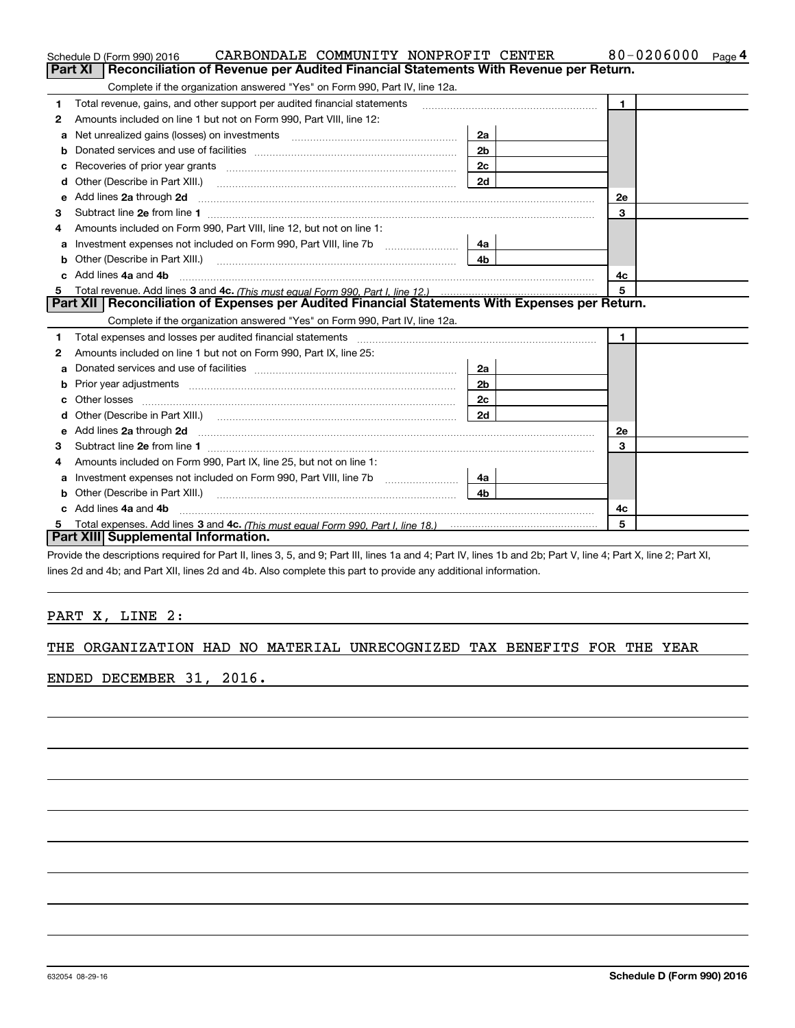|    | CARBONDALE COMMUNITY NONPROFIT CENTER<br>Schedule D (Form 990) 2016                                                                                                                                                                                                                      |                | 80-0206000<br>Page 4 |
|----|------------------------------------------------------------------------------------------------------------------------------------------------------------------------------------------------------------------------------------------------------------------------------------------|----------------|----------------------|
|    | <b>Part XI</b><br>Reconciliation of Revenue per Audited Financial Statements With Revenue per Return.                                                                                                                                                                                    |                |                      |
|    | Complete if the organization answered "Yes" on Form 990, Part IV, line 12a.                                                                                                                                                                                                              |                |                      |
| 1  | Total revenue, gains, and other support per audited financial statements                                                                                                                                                                                                                 |                | $\blacksquare$       |
| 2  | Amounts included on line 1 but not on Form 990, Part VIII, line 12:                                                                                                                                                                                                                      |                |                      |
| a  | Net unrealized gains (losses) on investments [11] matter contracts and the unrealized gains (losses) on investments                                                                                                                                                                      | 2a             |                      |
|    |                                                                                                                                                                                                                                                                                          | 2 <sub>b</sub> |                      |
|    | Recoveries of prior year grants [111] matter contracts and prior year grants and matter contracts and all all                                                                                                                                                                            | 2c             |                      |
| d  | Other (Describe in Part XIII.) <b>2006</b> 2007 2010 2010 2010 2010 2011 2012 2013 2014 2014 2015 2016 2017 2018 2019 2016 2017 2018 2019 2016 2017 2018 2019 2016 2017 2018 2019 2018 2019 2019 2016 2017 2018 2019 2018 2019 2019                                                      | 2d             |                      |
| е  | Add lines 2a through 2d <b>[10]</b> [20] <b>All (20)</b> [20] [20] <b>All (20)</b> [30] <b>All (20)</b> [30] <b>All (20)</b> [30] <b>All (20)</b> [30] <b>All (20)</b> [30] <b>All (20)</b> [30] <b>All (20)</b> [30] <b>All (20)</b> [30] <b>All (20)</b> [30] <b>All (20) All (20)</b> |                | 2e                   |
| 3  |                                                                                                                                                                                                                                                                                          |                | 3                    |
| 4  | Amounts included on Form 990, Part VIII, line 12, but not on line 1:                                                                                                                                                                                                                     |                |                      |
|    | Investment expenses not included on Form 990, Part VIII, line 7b [111] [11] Investment expenses not included on Form 990, Part VIII, line 7b                                                                                                                                             | 4a             |                      |
|    | Other (Describe in Part XIII.) <b>Construction Construction</b> Chern Construction Chern Chern Chern Chern Chern Chern                                                                                                                                                                   | 4 <sub>b</sub> |                      |
| c. | Add lines 4a and 4b                                                                                                                                                                                                                                                                      |                | 4с                   |
|    |                                                                                                                                                                                                                                                                                          |                | 5                    |
|    | Part XII   Reconciliation of Expenses per Audited Financial Statements With Expenses per Return.                                                                                                                                                                                         |                |                      |
|    | Complete if the organization answered "Yes" on Form 990, Part IV, line 12a.                                                                                                                                                                                                              |                |                      |
| 1  |                                                                                                                                                                                                                                                                                          |                | 1.                   |
| 2  | Amounts included on line 1 but not on Form 990, Part IX, line 25:                                                                                                                                                                                                                        |                |                      |
| a  |                                                                                                                                                                                                                                                                                          | 2a             |                      |
| b  |                                                                                                                                                                                                                                                                                          | 2 <sub>b</sub> |                      |
| с  |                                                                                                                                                                                                                                                                                          | 2c             |                      |
| d  |                                                                                                                                                                                                                                                                                          | 2d             |                      |
| е  | Add lines 2a through 2d <b>must be a constructed as the constant of the S2a</b> through 2d mess construction of the construction of the construction of the construction of the construction of the construction of the constructio                                                      |                | <b>2e</b>            |
| з  |                                                                                                                                                                                                                                                                                          |                | 3                    |
| 4  | Amounts included on Form 990, Part IX, line 25, but not on line 1:                                                                                                                                                                                                                       |                |                      |
| a  | Investment expenses not included on Form 990, Part VIII, line 7b [111] [11] Investment expenses not included on Form 990, Part VIII, line 7b                                                                                                                                             | 4a l           |                      |
|    | Other (Describe in Part XIII.)                                                                                                                                                                                                                                                           | 4 <sub>b</sub> |                      |
| c  | Add lines 4a and 4b                                                                                                                                                                                                                                                                      |                | 4c                   |
|    |                                                                                                                                                                                                                                                                                          |                | 5                    |
|    | Part XIII Supplemental Information.                                                                                                                                                                                                                                                      |                |                      |

Provide the descriptions required for Part II, lines 3, 5, and 9; Part III, lines 1a and 4; Part IV, lines 1b and 2b; Part V, line 4; Part X, line 2; Part XI, lines 2d and 4b; and Part XII, lines 2d and 4b. Also complete this part to provide any additional information.

# PART X, LINE 2:

# THE ORGANIZATION HAD NO MATERIAL UNRECOGNIZED TAX BENEFITS FOR THE YEAR

# ENDED DECEMBER 31, 2016.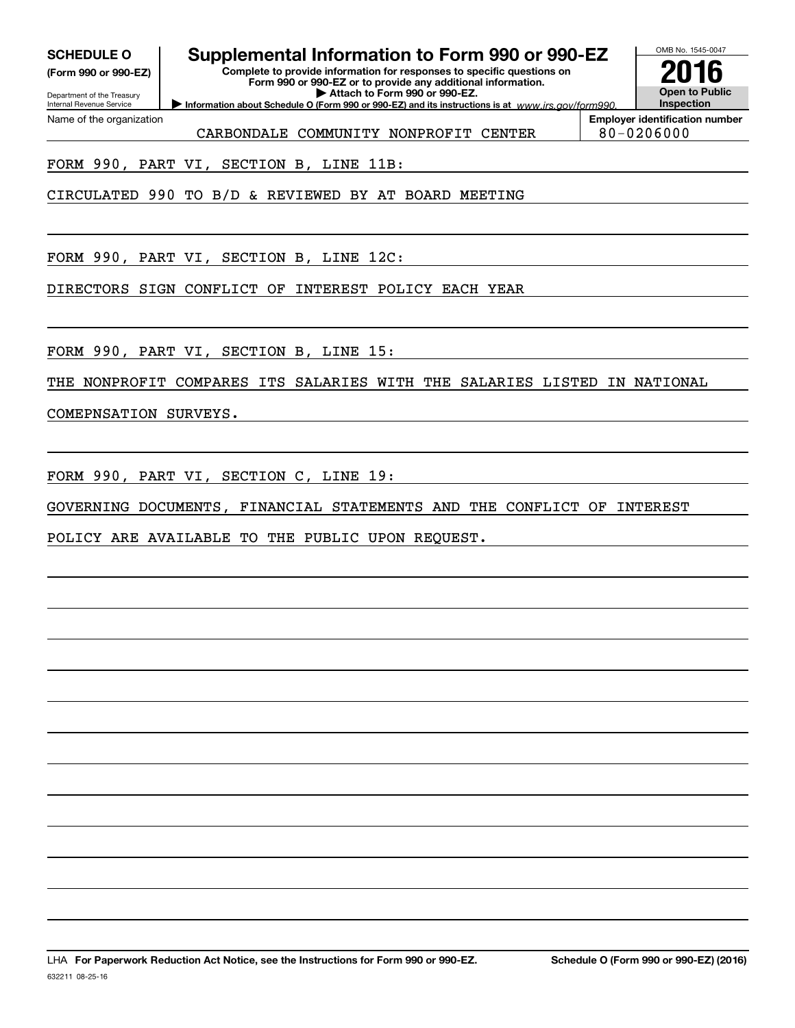**(Form 990 or 990-EZ)**

Department of the Treasury Internal Revenue Service Name of the organization

# **SCHEDULE O Supplemental Information to Form 990 or 990-EZ**

**Information about Schedule O (Form 990 or 990-EZ) and its instructions is at**  $www.irs.gov/form990.$ **Complete to provide information for responses to specific questions on Form 990 or 990-EZ or to provide any additional information. | Attach to Form 990 or 990-EZ.**



CARBONDALE COMMUNITY NONPROFIT CENTER | 80-0206000

FORM 990, PART VI, SECTION B, LINE 11B:

CIRCULATED 990 TO B/D & REVIEWED BY AT BOARD MEETING

FORM 990, PART VI, SECTION B, LINE 12C:

DIRECTORS SIGN CONFLICT OF INTEREST POLICY EACH YEAR

FORM 990, PART VI, SECTION B, LINE 15:

THE NONPROFIT COMPARES ITS SALARIES WITH THE SALARIES LISTED IN NATIONAL

COMEPNSATION SURVEYS.

FORM 990, PART VI, SECTION C, LINE 19:

GOVERNING DOCUMENTS, FINANCIAL STATEMENTS AND THE CONFLICT OF INTEREST

POLICY ARE AVAILABLE TO THE PUBLIC UPON REQUEST.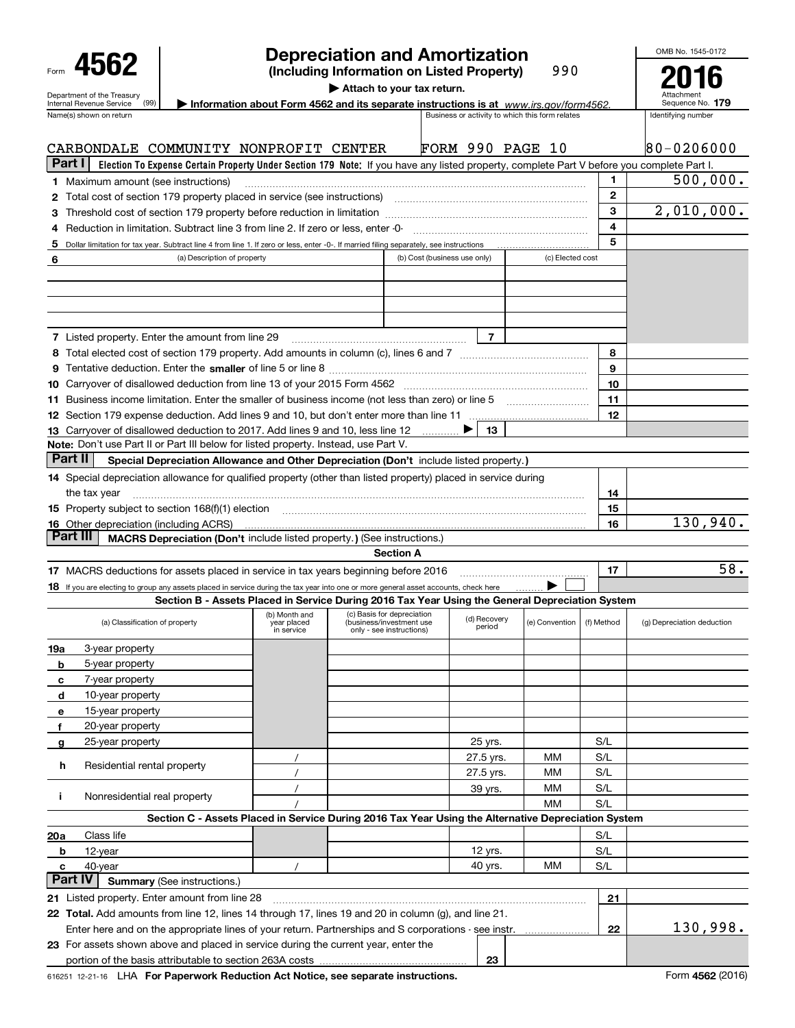|                     |                                                                                                                                                                                                                             |                           | <b>Depreciation and Amortization</b>                                                                      |                              |                    |                                                 |                   | OMB No. 1545-0172              |
|---------------------|-----------------------------------------------------------------------------------------------------------------------------------------------------------------------------------------------------------------------------|---------------------------|-----------------------------------------------------------------------------------------------------------|------------------------------|--------------------|-------------------------------------------------|-------------------|--------------------------------|
|                     | 4562                                                                                                                                                                                                                        |                           | (Including Information on Listed Property)<br>Attach to your tax return.                                  |                              |                    | 990                                             |                   |                                |
|                     | Department of the Treasury<br>(99)<br>Internal Revenue Service                                                                                                                                                              |                           | Information about Form 4562 and its separate instructions is at www.irs.gov/form4562.                     |                              |                    |                                                 |                   | Attachment<br>Sequence No. 179 |
|                     | Name(s) shown on return                                                                                                                                                                                                     |                           |                                                                                                           |                              |                    | Business or activity to which this form relates |                   | Identifying number             |
|                     | CARBONDALE COMMUNITY NONPROFIT CENTER                                                                                                                                                                                       |                           |                                                                                                           | <b>FORM 990 PAGE 10</b>      |                    |                                                 |                   | $80 - 0206000$                 |
| Part I              | Election To Expense Certain Property Under Section 179 Note: If you have any listed property, complete Part V before you complete Part I.                                                                                   |                           |                                                                                                           |                              |                    |                                                 |                   |                                |
|                     | <b>1</b> Maximum amount (see instructions)                                                                                                                                                                                  |                           |                                                                                                           |                              |                    |                                                 | 1                 | 500,000.                       |
|                     | 2 Total cost of section 179 property placed in service (see instructions) manufactured cost of section 179 property placed in service (see instructions)                                                                    |                           |                                                                                                           |                              |                    |                                                 | $\mathbf{2}$<br>3 |                                |
|                     |                                                                                                                                                                                                                             |                           |                                                                                                           |                              |                    |                                                 | 4                 | 2,010,000.                     |
|                     | Reduction in limitation. Subtract line 3 from line 2. If zero or less, enter -0-                                                                                                                                            |                           |                                                                                                           |                              |                    |                                                 | 5                 |                                |
| 5<br>6              | (a) Description of property                                                                                                                                                                                                 |                           |                                                                                                           | (b) Cost (business use only) |                    | (c) Elected cost                                |                   |                                |
|                     |                                                                                                                                                                                                                             |                           |                                                                                                           |                              |                    |                                                 |                   |                                |
|                     |                                                                                                                                                                                                                             |                           |                                                                                                           |                              |                    |                                                 |                   |                                |
|                     |                                                                                                                                                                                                                             |                           |                                                                                                           |                              |                    |                                                 |                   |                                |
|                     |                                                                                                                                                                                                                             |                           |                                                                                                           |                              |                    |                                                 |                   |                                |
|                     | 7 Listed property. Enter the amount from line 29                                                                                                                                                                            |                           |                                                                                                           |                              | $\overline{7}$     |                                                 |                   |                                |
|                     |                                                                                                                                                                                                                             |                           |                                                                                                           |                              |                    |                                                 | 8                 |                                |
|                     |                                                                                                                                                                                                                             |                           |                                                                                                           |                              |                    |                                                 | 9                 |                                |
|                     |                                                                                                                                                                                                                             |                           |                                                                                                           |                              |                    |                                                 | 10                |                                |
|                     |                                                                                                                                                                                                                             |                           |                                                                                                           |                              |                    |                                                 | 11                |                                |
|                     |                                                                                                                                                                                                                             |                           |                                                                                                           |                              |                    |                                                 | 12                |                                |
|                     | 13 Carryover of disallowed deduction to 2017. Add lines 9 and 10, less line 12                                                                                                                                              |                           |                                                                                                           |                              | 13                 |                                                 |                   |                                |
|                     | Note: Don't use Part II or Part III below for listed property. Instead, use Part V.                                                                                                                                         |                           |                                                                                                           |                              |                    |                                                 |                   |                                |
| <b>Part II</b>      | Special Depreciation Allowance and Other Depreciation (Don't include listed property.)                                                                                                                                      |                           |                                                                                                           |                              |                    |                                                 |                   |                                |
|                     | 14 Special depreciation allowance for qualified property (other than listed property) placed in service during                                                                                                              |                           |                                                                                                           |                              |                    |                                                 |                   |                                |
|                     | the tax year                                                                                                                                                                                                                |                           |                                                                                                           |                              |                    |                                                 | 14                |                                |
|                     | 15 Property subject to section 168(f)(1) election material content content and property subject to section 168(f)(1) election                                                                                               |                           |                                                                                                           |                              |                    |                                                 | 15                |                                |
| Part III            | <b>16</b> Other depreciation (including ACRS)                                                                                                                                                                               |                           |                                                                                                           |                              |                    |                                                 | 16                | 130,940.                       |
|                     | MACRS Depreciation (Don't include listed property.) (See instructions.)                                                                                                                                                     |                           | <b>Section A</b>                                                                                          |                              |                    |                                                 |                   |                                |
|                     |                                                                                                                                                                                                                             |                           |                                                                                                           |                              |                    |                                                 | 17                | 58.                            |
|                     | 17 MACRS deductions for assets placed in service in tax years beginning before 2016<br>18 If you are electing to group any assets placed in service during the tax year into one or more general asset accounts, check here |                           |                                                                                                           |                              |                    |                                                 |                   |                                |
|                     | Section B - Assets Placed in Service During 2016 Tax Year Using the General Depreciation System                                                                                                                             |                           |                                                                                                           |                              |                    |                                                 |                   |                                |
|                     |                                                                                                                                                                                                                             |                           | (b) Month and (c) Basis for depreciation $\left\{\begin{array}{c} (1) \text{ Boogon} \end{array}\right\}$ |                              | (d) Recovery       |                                                 |                   |                                |
|                     | (a) Classification of property                                                                                                                                                                                              | year placed<br>in service | (business/investment use<br>only - see instructions)                                                      |                              | period             | (e) Convention                                  | (f) Method        | (g) Depreciation deduction     |
| 19a                 | 3-year property                                                                                                                                                                                                             |                           |                                                                                                           |                              |                    |                                                 |                   |                                |
| b                   | 5-year property                                                                                                                                                                                                             |                           |                                                                                                           |                              |                    |                                                 |                   |                                |
| c                   | 7-year property                                                                                                                                                                                                             |                           |                                                                                                           |                              |                    |                                                 |                   |                                |
| d                   | 10-year property                                                                                                                                                                                                            |                           |                                                                                                           |                              |                    |                                                 |                   |                                |
| е                   | 15-year property                                                                                                                                                                                                            |                           |                                                                                                           |                              |                    |                                                 |                   |                                |
| f                   | 20-year property                                                                                                                                                                                                            |                           |                                                                                                           |                              |                    |                                                 |                   |                                |
| g                   | 25-year property                                                                                                                                                                                                            |                           |                                                                                                           |                              | 25 yrs.            |                                                 | S/L               |                                |
| h                   | Residential rental property                                                                                                                                                                                                 |                           |                                                                                                           |                              | 27.5 yrs.          | MМ                                              | S/L               |                                |
|                     |                                                                                                                                                                                                                             |                           |                                                                                                           |                              | 27.5 yrs.          | MМ                                              | S/L               |                                |
| j.                  | Nonresidential real property                                                                                                                                                                                                |                           |                                                                                                           |                              | 39 yrs.            | MМ                                              | S/L               |                                |
|                     |                                                                                                                                                                                                                             |                           |                                                                                                           |                              |                    | MM                                              | S/L               |                                |
|                     | Section C - Assets Placed in Service During 2016 Tax Year Using the Alternative Depreciation System                                                                                                                         |                           |                                                                                                           |                              |                    |                                                 |                   |                                |
| 20a                 | Class life                                                                                                                                                                                                                  |                           |                                                                                                           |                              |                    |                                                 | S/L               |                                |
| b                   | 12-year                                                                                                                                                                                                                     |                           |                                                                                                           |                              | 12 yrs.<br>40 yrs. | MМ                                              | S/L<br>S/L        |                                |
| c<br><b>Part IV</b> | 40-year<br><b>Summary (See instructions.)</b>                                                                                                                                                                               |                           |                                                                                                           |                              |                    |                                                 |                   |                                |
|                     | 21 Listed property. Enter amount from line 28                                                                                                                                                                               |                           |                                                                                                           |                              |                    |                                                 | 21                |                                |
|                     | 22 Total. Add amounts from line 12, lines 14 through 17, lines 19 and 20 in column (g), and line 21.                                                                                                                        |                           |                                                                                                           |                              |                    |                                                 |                   |                                |
|                     | Enter here and on the appropriate lines of your return. Partnerships and S corporations - see instr.                                                                                                                        |                           |                                                                                                           |                              |                    |                                                 | 22                | 130,998.                       |
|                     | 23 For assets shown above and placed in service during the current year, enter the                                                                                                                                          |                           |                                                                                                           |                              |                    |                                                 |                   |                                |
|                     |                                                                                                                                                                                                                             |                           |                                                                                                           |                              | 23                 |                                                 |                   |                                |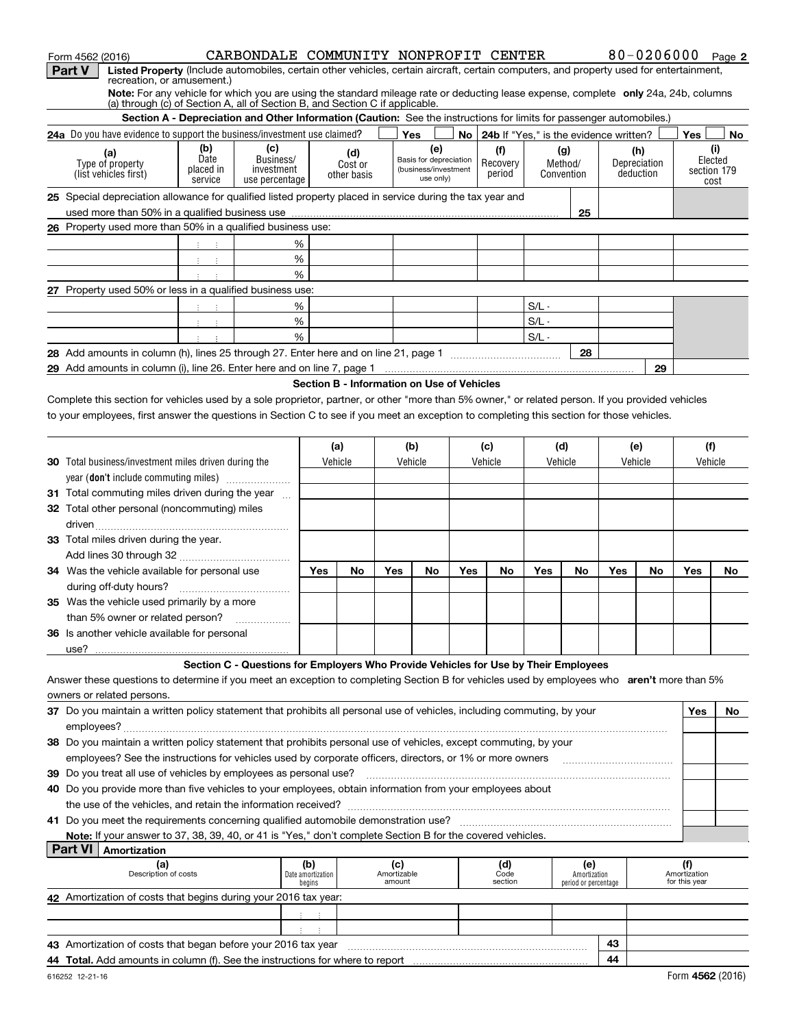| Form 4562 (2016)                                                                                                                                                                                                                                  |                                     | CARBONDALE COMMUNITY NONPROFIT CENTER                                                                                |                                    |                                            |                              |                                                                    |     |                                             |                       |                                             |     |                                  | 80-0206000 Page 2                    |     |
|---------------------------------------------------------------------------------------------------------------------------------------------------------------------------------------------------------------------------------------------------|-------------------------------------|----------------------------------------------------------------------------------------------------------------------|------------------------------------|--------------------------------------------|------------------------------|--------------------------------------------------------------------|-----|---------------------------------------------|-----------------------|---------------------------------------------|-----|----------------------------------|--------------------------------------|-----|
| Listed Property (Include automobiles, certain other vehicles, certain aircraft, certain computers, and property used for entertainment,<br><b>Part V</b>                                                                                          |                                     |                                                                                                                      |                                    |                                            |                              |                                                                    |     |                                             |                       |                                             |     |                                  |                                      |     |
| recreation, or amusement.)<br>Note: For any vehicle for which you are using the standard mileage rate or deducting lease expense, complete only 24a, 24b, columns<br>(a) through (c) of Section A, all of Section B, and Section C if applicable. |                                     |                                                                                                                      |                                    |                                            |                              |                                                                    |     |                                             |                       |                                             |     |                                  |                                      |     |
|                                                                                                                                                                                                                                                   |                                     | Section A - Depreciation and Other Information (Caution: See the instructions for limits for passenger automobiles.) |                                    |                                            |                              |                                                                    |     |                                             |                       |                                             |     |                                  |                                      |     |
| 24a Do you have evidence to support the business/investment use claimed?                                                                                                                                                                          |                                     |                                                                                                                      |                                    |                                            |                              | Yes                                                                |     | No   24b If "Yes," is the evidence written? |                       |                                             |     |                                  | Yes                                  | No  |
| (a)<br>Type of property<br>(list vehicles first)                                                                                                                                                                                                  | (b)<br>Date<br>placed in<br>service | (c)<br>Business/<br>investment<br>use percentage                                                                     |                                    | (d)<br>Cost or<br>other basis              |                              | (e)<br>Basis for depreciation<br>(business/investment<br>use only) |     | (f)<br>Recovery<br>period                   | Method/<br>Convention | (g)                                         |     | (h)<br>Depreciation<br>deduction | Elected<br>section 179<br>cost       | (i) |
| 25 Special depreciation allowance for qualified listed property placed in service during the tax year and                                                                                                                                         |                                     |                                                                                                                      |                                    |                                            |                              |                                                                    |     |                                             |                       |                                             |     |                                  |                                      |     |
|                                                                                                                                                                                                                                                   |                                     |                                                                                                                      |                                    |                                            |                              |                                                                    |     |                                             |                       | 25                                          |     |                                  |                                      |     |
| 26 Property used more than 50% in a qualified business use:                                                                                                                                                                                       |                                     |                                                                                                                      |                                    |                                            |                              |                                                                    |     |                                             |                       |                                             |     |                                  |                                      |     |
|                                                                                                                                                                                                                                                   | 生产于                                 |                                                                                                                      | %                                  |                                            |                              |                                                                    |     |                                             |                       |                                             |     |                                  |                                      |     |
|                                                                                                                                                                                                                                                   | 生产生                                 |                                                                                                                      | %                                  |                                            |                              |                                                                    |     |                                             |                       |                                             |     |                                  |                                      |     |
|                                                                                                                                                                                                                                                   | $\sim 10$                           |                                                                                                                      | %                                  |                                            |                              |                                                                    |     |                                             |                       |                                             |     |                                  |                                      |     |
| 27 Property used 50% or less in a qualified business use:                                                                                                                                                                                         |                                     |                                                                                                                      |                                    |                                            |                              |                                                                    |     |                                             |                       |                                             |     |                                  |                                      |     |
|                                                                                                                                                                                                                                                   | 生产于                                 |                                                                                                                      | %                                  |                                            |                              |                                                                    |     |                                             | $S/L -$               |                                             |     |                                  |                                      |     |
|                                                                                                                                                                                                                                                   | 生产生                                 |                                                                                                                      | %                                  |                                            |                              |                                                                    |     |                                             | $S/L -$               |                                             |     |                                  |                                      |     |
|                                                                                                                                                                                                                                                   | $3 - 3$                             |                                                                                                                      | %                                  |                                            |                              |                                                                    |     |                                             | $S/L -$               | 28                                          |     |                                  |                                      |     |
|                                                                                                                                                                                                                                                   |                                     |                                                                                                                      |                                    |                                            |                              |                                                                    |     |                                             |                       |                                             |     | 29                               |                                      |     |
| 29 Add amounts in column (i), line 26. Enter here and on line 7, page 1                                                                                                                                                                           |                                     |                                                                                                                      |                                    | Section B - Information on Use of Vehicles |                              |                                                                    |     |                                             |                       |                                             |     |                                  |                                      |     |
| Complete this section for vehicles used by a sole proprietor, partner, or other "more than 5% owner," or related person. If you provided vehicles                                                                                                 |                                     |                                                                                                                      |                                    |                                            |                              |                                                                    |     |                                             |                       |                                             |     |                                  |                                      |     |
| to your employees, first answer the questions in Section C to see if you meet an exception to completing this section for those vehicles.                                                                                                         |                                     |                                                                                                                      |                                    |                                            |                              |                                                                    |     |                                             |                       |                                             |     |                                  |                                      |     |
|                                                                                                                                                                                                                                                   |                                     |                                                                                                                      |                                    | (a)                                        |                              | (b)                                                                |     | (c)                                         | (d)                   |                                             |     | (e)                              | (f)                                  |     |
| <b>30</b> Total business/investment miles driven during the                                                                                                                                                                                       |                                     |                                                                                                                      |                                    | Vehicle                                    |                              | Vehicle                                                            |     | Vehicle                                     | Vehicle               |                                             |     | Vehicle                          | Vehicle                              |     |
| year (don't include commuting miles)                                                                                                                                                                                                              |                                     |                                                                                                                      |                                    |                                            |                              |                                                                    |     |                                             |                       |                                             |     |                                  |                                      |     |
| 31 Total commuting miles driven during the year                                                                                                                                                                                                   |                                     |                                                                                                                      |                                    |                                            |                              |                                                                    |     |                                             |                       |                                             |     |                                  |                                      |     |
| 32 Total other personal (noncommuting) miles                                                                                                                                                                                                      |                                     |                                                                                                                      |                                    |                                            |                              |                                                                    |     |                                             |                       |                                             |     |                                  |                                      |     |
| 33 Total miles driven during the year.                                                                                                                                                                                                            |                                     |                                                                                                                      |                                    |                                            |                              |                                                                    |     |                                             |                       |                                             |     |                                  |                                      |     |
|                                                                                                                                                                                                                                                   |                                     |                                                                                                                      |                                    |                                            |                              |                                                                    |     |                                             |                       |                                             |     |                                  |                                      |     |
| 34 Was the vehicle available for personal use                                                                                                                                                                                                     |                                     |                                                                                                                      | Yes                                | No                                         | Yes                          | No                                                                 | Yes | No                                          | Yes                   | No                                          | Yes | No                               | Yes                                  | No  |
|                                                                                                                                                                                                                                                   |                                     |                                                                                                                      |                                    |                                            |                              |                                                                    |     |                                             |                       |                                             |     |                                  |                                      |     |
| 35 Was the vehicle used primarily by a more                                                                                                                                                                                                       |                                     |                                                                                                                      |                                    |                                            |                              |                                                                    |     |                                             |                       |                                             |     |                                  |                                      |     |
| than 5% owner or related person?                                                                                                                                                                                                                  |                                     |                                                                                                                      |                                    |                                            |                              |                                                                    |     |                                             |                       |                                             |     |                                  |                                      |     |
| 36 Is another vehicle available for personal                                                                                                                                                                                                      |                                     |                                                                                                                      |                                    |                                            |                              |                                                                    |     |                                             |                       |                                             |     |                                  |                                      |     |
| use?                                                                                                                                                                                                                                              |                                     |                                                                                                                      |                                    |                                            |                              |                                                                    |     |                                             |                       |                                             |     |                                  |                                      |     |
|                                                                                                                                                                                                                                                   |                                     | Section C - Questions for Employers Who Provide Vehicles for Use by Their Employees                                  |                                    |                                            |                              |                                                                    |     |                                             |                       |                                             |     |                                  |                                      |     |
| Answer these questions to determine if you meet an exception to completing Section B for vehicles used by employees who aren't more than 5%<br>owners or related persons.                                                                         |                                     |                                                                                                                      |                                    |                                            |                              |                                                                    |     |                                             |                       |                                             |     |                                  |                                      |     |
| 37 Do you maintain a written policy statement that prohibits all personal use of vehicles, including commuting, by your                                                                                                                           |                                     |                                                                                                                      |                                    |                                            |                              |                                                                    |     |                                             |                       |                                             |     |                                  | Yes                                  | No  |
| 38 Do you maintain a written policy statement that prohibits personal use of vehicles, except commuting, by your                                                                                                                                  |                                     |                                                                                                                      |                                    |                                            |                              |                                                                    |     |                                             |                       |                                             |     |                                  |                                      |     |
| employees? See the instructions for vehicles used by corporate officers, directors, or 1% or more owners                                                                                                                                          |                                     |                                                                                                                      |                                    |                                            |                              |                                                                    |     |                                             |                       |                                             |     |                                  |                                      |     |
| 39 Do you treat all use of vehicles by employees as personal use?                                                                                                                                                                                 |                                     |                                                                                                                      |                                    |                                            |                              |                                                                    |     |                                             |                       |                                             |     |                                  |                                      |     |
| 40 Do you provide more than five vehicles to your employees, obtain information from your employees about                                                                                                                                         |                                     |                                                                                                                      |                                    |                                            |                              |                                                                    |     |                                             |                       |                                             |     |                                  |                                      |     |
|                                                                                                                                                                                                                                                   |                                     |                                                                                                                      |                                    |                                            |                              |                                                                    |     |                                             |                       |                                             |     |                                  |                                      |     |
|                                                                                                                                                                                                                                                   |                                     |                                                                                                                      |                                    |                                            |                              |                                                                    |     |                                             |                       |                                             |     |                                  |                                      |     |
| Note: If your answer to 37, 38, 39, 40, or 41 is "Yes," don't complete Section B for the covered vehicles.                                                                                                                                        |                                     |                                                                                                                      |                                    |                                            |                              |                                                                    |     |                                             |                       |                                             |     |                                  |                                      |     |
| <b>Part VI</b><br>Amortization                                                                                                                                                                                                                    |                                     |                                                                                                                      |                                    |                                            |                              |                                                                    |     |                                             |                       |                                             |     |                                  |                                      |     |
| (a)<br>Description of costs                                                                                                                                                                                                                       |                                     |                                                                                                                      | (b)<br>Date amortization<br>begins |                                            | (c)<br>Amortizable<br>amount |                                                                    |     | (d)<br>Code<br>section                      |                       | (e)<br>Amortization<br>period or percentage |     |                                  | (f)<br>Amortization<br>for this year |     |
| 42 Amortization of costs that begins during your 2016 tax year:                                                                                                                                                                                   |                                     |                                                                                                                      |                                    |                                            |                              |                                                                    |     |                                             |                       |                                             |     |                                  |                                      |     |
|                                                                                                                                                                                                                                                   |                                     |                                                                                                                      |                                    |                                            |                              |                                                                    |     |                                             |                       |                                             |     |                                  |                                      |     |

| 43 Amortization of costs that began before your 2016 tax year                 | 43 |  |  |        |
|-------------------------------------------------------------------------------|----|--|--|--------|
| 44 Total. Add amounts in column (f). See the instructions for where to report | 44 |  |  |        |
|                                                                               |    |  |  | ------ |